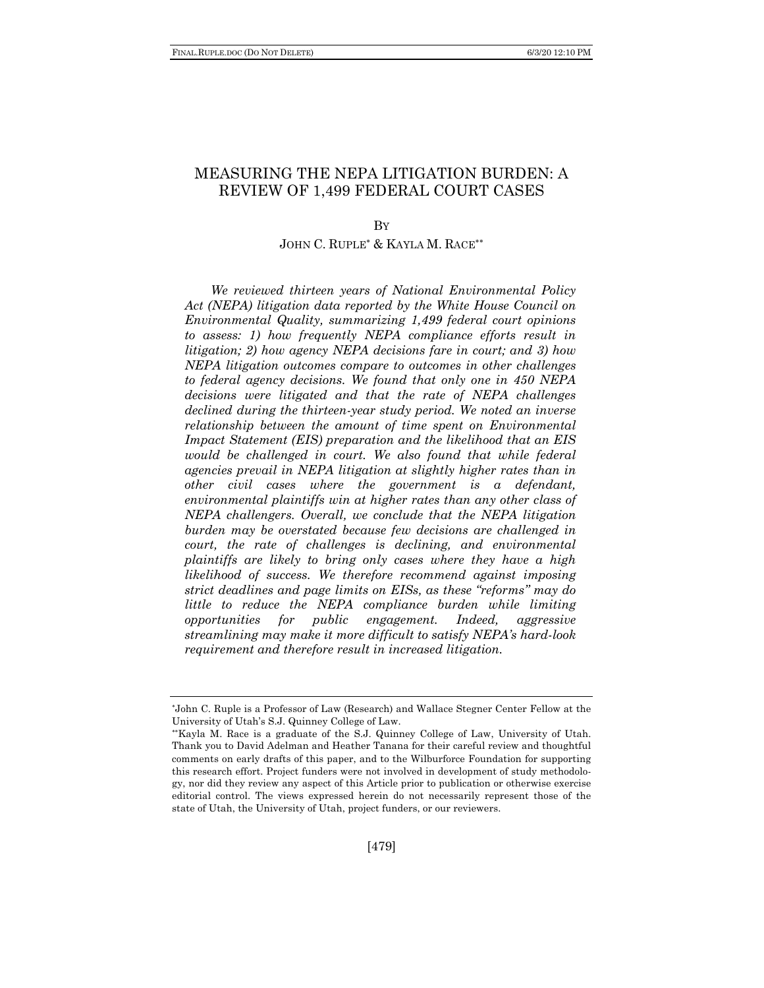# MEASURING THE NEPA LITIGATION BURDEN: A REVIEW OF 1,499 FEDERAL COURT CASES

BY

# JOHN C. RUPLE\* & KAYLA M. RACE\*\*

*We reviewed thirteen years of National Environmental Policy Act (NEPA) litigation data reported by the White House Council on Environmental Quality, summarizing 1,499 federal court opinions to assess: 1) how frequently NEPA compliance efforts result in litigation; 2) how agency NEPA decisions fare in court; and 3) how NEPA litigation outcomes compare to outcomes in other challenges to federal agency decisions. We found that only one in 450 NEPA decisions were litigated and that the rate of NEPA challenges declined during the thirteen-year study period. We noted an inverse relationship between the amount of time spent on Environmental Impact Statement (EIS) preparation and the likelihood that an EIS would be challenged in court. We also found that while federal agencies prevail in NEPA litigation at slightly higher rates than in other civil cases where the government is a defendant, environmental plaintiffs win at higher rates than any other class of NEPA challengers. Overall, we conclude that the NEPA litigation burden may be overstated because few decisions are challenged in court, the rate of challenges is declining, and environmental plaintiffs are likely to bring only cases where they have a high likelihood of success. We therefore recommend against imposing strict deadlines and page limits on EISs, as these "reforms" may do little to reduce the NEPA compliance burden while limiting opportunities for public engagement. Indeed, aggressive streamlining may make it more difficult to satisfy NEPA's hard-look requirement and therefore result in increased litigation.*

<sup>\*</sup> John C. Ruple is a Professor of Law (Research) and Wallace Stegner Center Fellow at the University of Utah's S.J. Quinney College of Law.

<sup>\*\*</sup> Kayla M. Race is a graduate of the S.J. Quinney College of Law, University of Utah. Thank you to David Adelman and Heather Tanana for their careful review and thoughtful comments on early drafts of this paper, and to the Wilburforce Foundation for supporting this research effort. Project funders were not involved in development of study methodology, nor did they review any aspect of this Article prior to publication or otherwise exercise editorial control. The views expressed herein do not necessarily represent those of the state of Utah, the University of Utah, project funders, or our reviewers.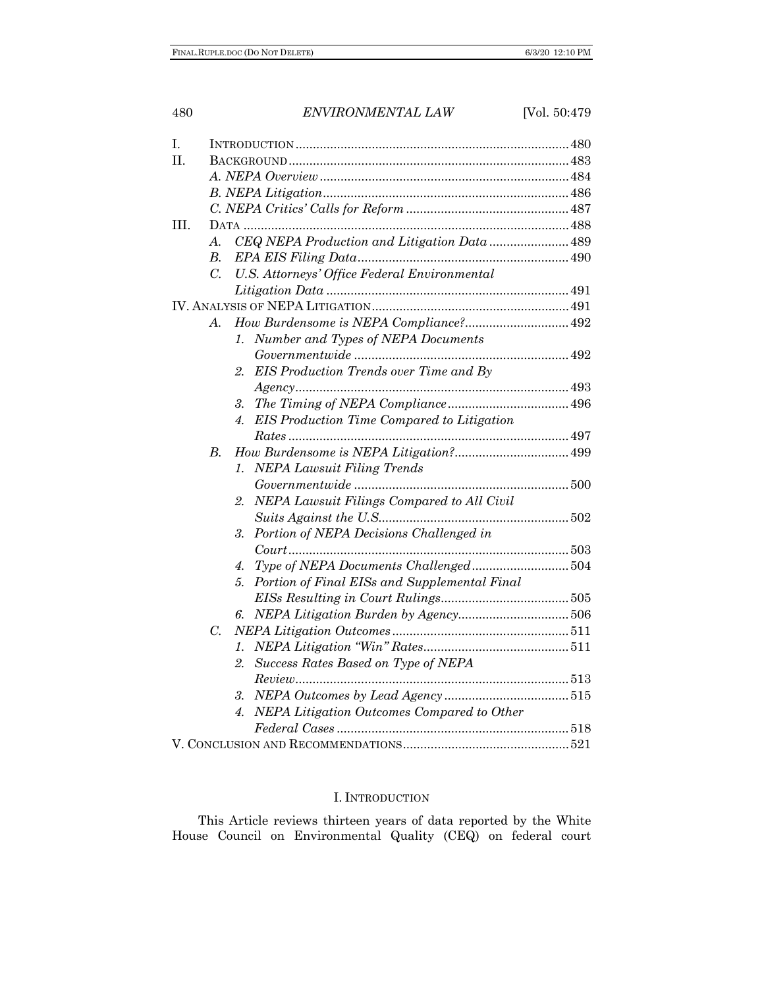| Ι.   |                  |                                                                                 |  |
|------|------------------|---------------------------------------------------------------------------------|--|
| II.  |                  |                                                                                 |  |
|      |                  |                                                                                 |  |
|      |                  |                                                                                 |  |
|      |                  |                                                                                 |  |
| III. |                  |                                                                                 |  |
|      | A.               | CEQ NEPA Production and Litigation Data  489                                    |  |
|      | <i>B.</i>        |                                                                                 |  |
|      | $\overline{C}$ . | U.S. Attorneys' Office Federal Environmental                                    |  |
|      |                  |                                                                                 |  |
|      |                  |                                                                                 |  |
|      | A.               | How Burdensome is NEPA Compliance? 492                                          |  |
|      |                  | Number and Types of NEPA Documents<br>$\mathcal{I}$ .                           |  |
|      |                  | $\label{prop:1} Government wide\,\,\,\,\,\,\,\,\,\,\,\,\,\,\,\,\,\,\,\,\,\,492$ |  |
|      |                  | EIS Production Trends over Time and By<br>2.                                    |  |
|      |                  | A gency. 493                                                                    |  |
|      |                  | 3.                                                                              |  |
|      |                  | <b>EIS</b> Production Time Compared to Litigation<br>4.                         |  |
|      |                  |                                                                                 |  |
|      | $B$ .            |                                                                                 |  |
|      |                  | <b>NEPA Lawsuit Filing Trends</b><br>1.                                         |  |
|      |                  |                                                                                 |  |
|      |                  | NEPA Lawsuit Filings Compared to All Civil<br>2.                                |  |
|      |                  |                                                                                 |  |
|      |                  | Portion of NEPA Decisions Challenged in<br>3.                                   |  |
|      |                  |                                                                                 |  |
|      |                  | Type of NEPA Documents Challenged504<br>4.                                      |  |
|      |                  | Portion of Final EISs and Supplemental Final<br>5.                              |  |
|      |                  |                                                                                 |  |
|      |                  | 6.                                                                              |  |
|      | $C_{\cdot}$      |                                                                                 |  |
|      |                  | 1.                                                                              |  |
|      |                  | Success Rates Based on Type of NEPA<br>2.                                       |  |
|      |                  |                                                                                 |  |
|      |                  | 3.                                                                              |  |
|      |                  | NEPA Litigation Outcomes Compared to Other<br>4.                                |  |
|      |                  |                                                                                 |  |
|      |                  |                                                                                 |  |
|      |                  |                                                                                 |  |

# I. INTRODUCTION

This Article reviews thirteen years of data reported by the White House Council on Environmental Quality (CEQ) on federal court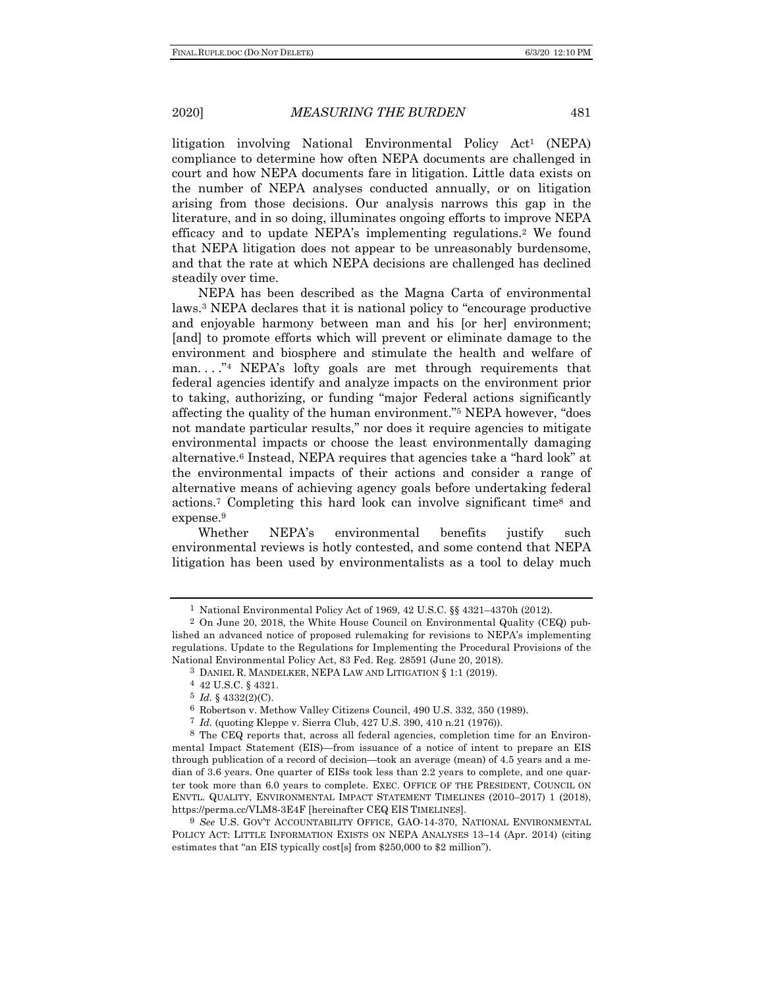litigation involving National Environmental Policy Act1 (NEPA) compliance to determine how often NEPA documents are challenged in court and how NEPA documents fare in litigation. Little data exists on the number of NEPA analyses conducted annually, or on litigation arising from those decisions. Our analysis narrows this gap in the literature, and in so doing, illuminates ongoing efforts to improve NEPA efficacy and to update NEPA's implementing regulations.2 We found that NEPA litigation does not appear to be unreasonably burdensome, and that the rate at which NEPA decisions are challenged has declined steadily over time.

NEPA has been described as the Magna Carta of environmental laws.3 NEPA declares that it is national policy to "encourage productive and enjoyable harmony between man and his [or her] environment; [and] to promote efforts which will prevent or eliminate damage to the environment and biosphere and stimulate the health and welfare of man...."<sup>4</sup> NEPA's lofty goals are met through requirements that federal agencies identify and analyze impacts on the environment prior to taking, authorizing, or funding "major Federal actions significantly affecting the quality of the human environment."5 NEPA however, "does not mandate particular results," nor does it require agencies to mitigate environmental impacts or choose the least environmentally damaging alternative.6 Instead, NEPA requires that agencies take a "hard look" at the environmental impacts of their actions and consider a range of alternative means of achieving agency goals before undertaking federal actions.7 Completing this hard look can involve significant time8 and expense.<sup>9</sup>

Whether NEPA's environmental benefits justify such environmental reviews is hotly contested, and some contend that NEPA litigation has been used by environmentalists as a tool to delay much

<sup>1</sup> National Environmental Policy Act of 1969, 42 U.S.C. §§ 4321–4370h (2012).

<sup>2</sup> On June 20, 2018, the White House Council on Environmental Quality (CEQ) published an advanced notice of proposed rulemaking for revisions to NEPA's implementing regulations. Update to the Regulations for Implementing the Procedural Provisions of the National Environmental Policy Act, 83 Fed. Reg. 28591 (June 20, 2018).

<sup>3</sup> DANIEL R. MANDELKER, NEPA LAW AND LITIGATION § 1:1 (2019).

<sup>4</sup> 42 U.S.C. § 4321.

 $5$  *Id.* § 4332(2)(C).

<sup>6</sup> Robertson v. Methow Valley Citizens Council, 490 U.S. 332, 350 (1989).

<sup>7</sup> *Id.* (quoting Kleppe v. Sierra Club, 427 U.S. 390, 410 n.21 (1976)).

<sup>8</sup> The CEQ reports that, across all federal agencies, completion time for an Environmental Impact Statement (EIS)—from issuance of a notice of intent to prepare an EIS through publication of a record of decision—took an average (mean) of 4.5 years and a median of 3.6 years. One quarter of EISs took less than 2.2 years to complete, and one quarter took more than 6.0 years to complete. EXEC. OFFICE OF THE PRESIDENT, COUNCIL ON ENVTL. QUALITY, ENVIRONMENTAL IMPACT STATEMENT TIMELINES (2010–2017) 1 (2018), https://perma.cc/VLM8-3E4F [hereinafter CEQ EIS TIMELINES].

<sup>9</sup> *See* U.S. GOV'T ACCOUNTABILITY OFFICE, GAO-14-370, NATIONAL ENVIRONMENTAL POLICY ACT: LITTLE INFORMATION EXISTS ON NEPA ANALYSES 13–14 (Apr. 2014) (citing estimates that "an EIS typically cost[s] from \$250,000 to \$2 million").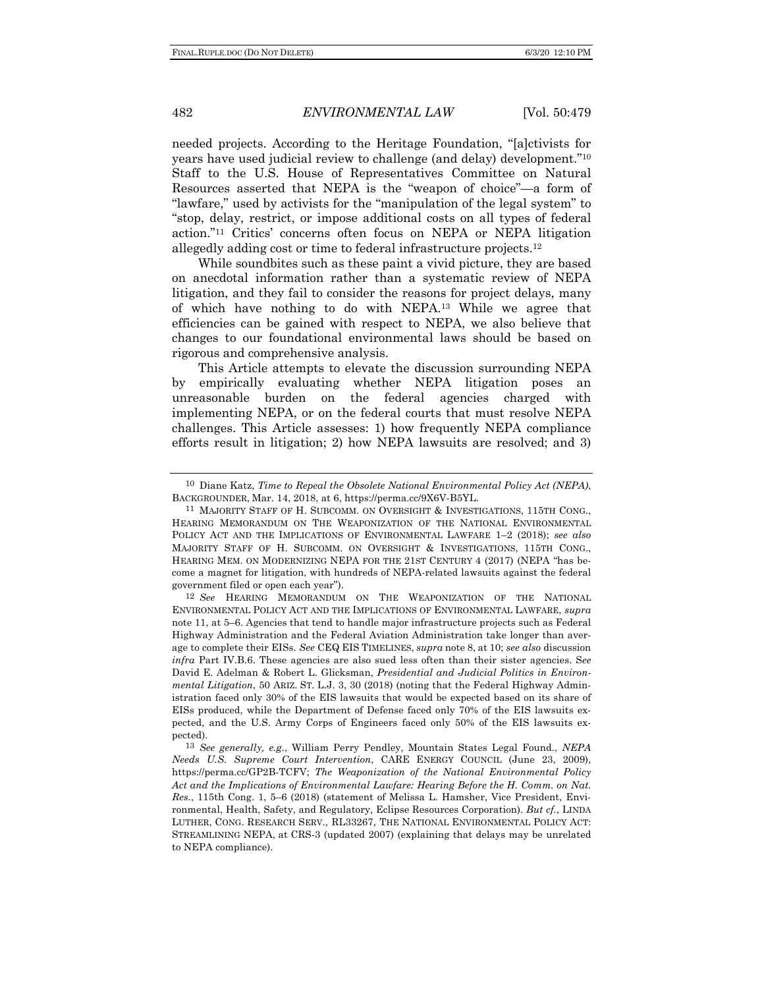needed projects. According to the Heritage Foundation, "[a]ctivists for years have used judicial review to challenge (and delay) development."10 Staff to the U.S. House of Representatives Committee on Natural Resources asserted that NEPA is the "weapon of choice"—a form of "lawfare," used by activists for the "manipulation of the legal system" to "stop, delay, restrict, or impose additional costs on all types of federal action."11 Critics' concerns often focus on NEPA or NEPA litigation allegedly adding cost or time to federal infrastructure projects.12

While soundbites such as these paint a vivid picture, they are based on anecdotal information rather than a systematic review of NEPA litigation, and they fail to consider the reasons for project delays, many of which have nothing to do with NEPA.13 While we agree that efficiencies can be gained with respect to NEPA, we also believe that changes to our foundational environmental laws should be based on rigorous and comprehensive analysis.

This Article attempts to elevate the discussion surrounding NEPA by empirically evaluating whether NEPA litigation poses an unreasonable burden on the federal agencies charged with implementing NEPA, or on the federal courts that must resolve NEPA challenges. This Article assesses: 1) how frequently NEPA compliance efforts result in litigation; 2) how NEPA lawsuits are resolved; and 3)

<sup>10</sup> Diane Katz, *Time to Repeal the Obsolete National Environmental Policy Act (NEPA)*, BACKGROUNDER, Mar. 14, 2018, at 6, https://perma.cc/9X6V-B5YL.

<sup>&</sup>lt;sup>11</sup> MAJORITY STAFF OF H. SUBCOMM. ON OVERSIGHT & INVESTIGATIONS, 115TH CONG., HEARING MEMORANDUM ON THE WEAPONIZATION OF THE NATIONAL ENVIRONMENTAL POLICY ACT AND THE IMPLICATIONS OF ENVIRONMENTAL LAWFARE 1–2 (2018); *see also* MAJORITY STAFF OF H. SUBCOMM. ON OVERSIGHT & INVESTIGATIONS, 115TH CONG., HEARING MEM. ON MODERNIZING NEPA FOR THE 21ST CENTURY 4 (2017) (NEPA "has become a magnet for litigation, with hundreds of NEPA-related lawsuits against the federal government filed or open each year").

<sup>12</sup> *See* HEARING MEMORANDUM ON THE WEAPONIZATION OF THE NATIONAL ENVIRONMENTAL POLICY ACT AND THE IMPLICATIONS OF ENVIRONMENTAL LAWFARE, *supra*  note 11, at 5–6. Agencies that tend to handle major infrastructure projects such as Federal Highway Administration and the Federal Aviation Administration take longer than average to complete their EISs. *See* CEQ EIS TIMELINES, *supra* note 8, at 10; *see also* discussion *infra* Part IV.B.6. These agencies are also sued less often than their sister agencies. S*ee*  David E. Adelman & Robert L. Glicksman, *Presidential and Judicial Politics in Environmental Litigation*, 50 ARIZ. ST. L.J. 3, 30 (2018) (noting that the Federal Highway Administration faced only 30% of the EIS lawsuits that would be expected based on its share of EISs produced, while the Department of Defense faced only 70% of the EIS lawsuits expected, and the U.S. Army Corps of Engineers faced only 50% of the EIS lawsuits expected).

<sup>13</sup> *See generally, e.g*., William Perry Pendley, Mountain States Legal Found., *NEPA Needs U.S. Supreme Court Intervention*, CARE ENERGY COUNCIL (June 23, 2009), https://perma.cc/GP2B-TCFV; *The Weaponization of the National Environmental Policy Act and the Implications of Environmental Lawfare: Hearing Before the H. Comm. on Nat. Res.*, 115th Cong. 1, 5–6 (2018) (statement of Melissa L. Hamsher, Vice President, Environmental, Health, Safety, and Regulatory, Eclipse Resources Corporation). *But cf.*, LINDA LUTHER, CONG. RESEARCH SERV., RL33267, THE NATIONAL ENVIRONMENTAL POLICY ACT: STREAMLINING NEPA, at CRS-3 (updated 2007) (explaining that delays may be unrelated to NEPA compliance).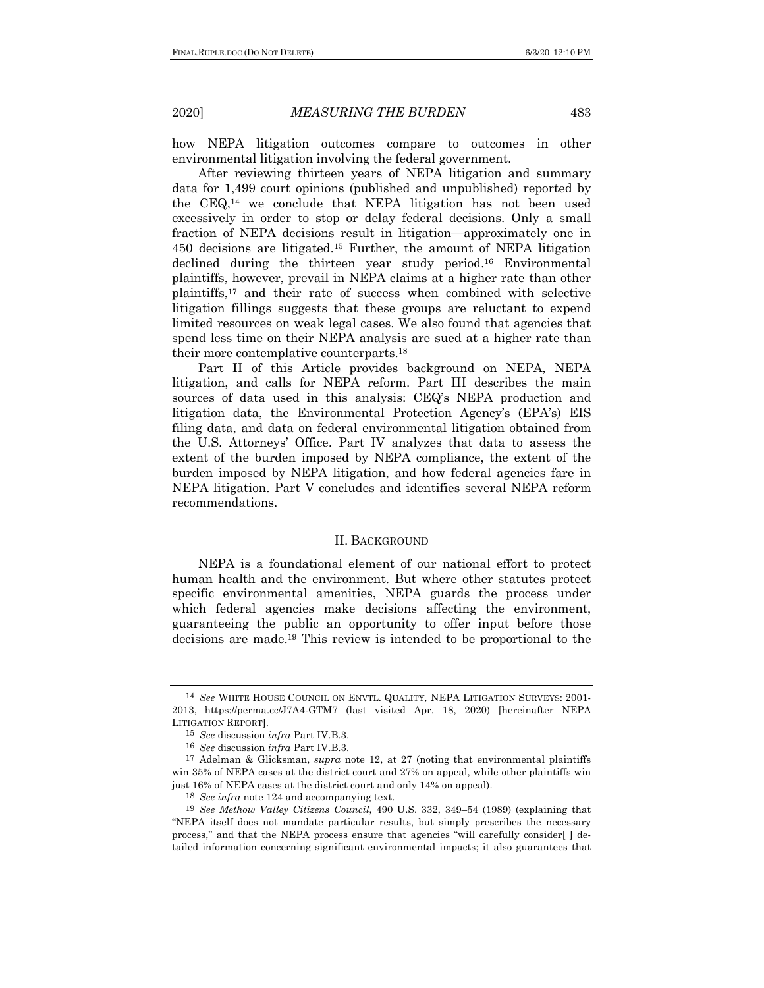how NEPA litigation outcomes compare to outcomes in other environmental litigation involving the federal government.

After reviewing thirteen years of NEPA litigation and summary data for 1,499 court opinions (published and unpublished) reported by the CEQ,14 we conclude that NEPA litigation has not been used excessively in order to stop or delay federal decisions. Only a small fraction of NEPA decisions result in litigation—approximately one in 450 decisions are litigated.15 Further, the amount of NEPA litigation declined during the thirteen year study period.16 Environmental plaintiffs, however, prevail in NEPA claims at a higher rate than other plaintiffs,17 and their rate of success when combined with selective litigation fillings suggests that these groups are reluctant to expend limited resources on weak legal cases. We also found that agencies that spend less time on their NEPA analysis are sued at a higher rate than their more contemplative counterparts.18

Part II of this Article provides background on NEPA, NEPA litigation, and calls for NEPA reform. Part III describes the main sources of data used in this analysis: CEQ's NEPA production and litigation data, the Environmental Protection Agency's (EPA's) EIS filing data, and data on federal environmental litigation obtained from the U.S. Attorneys' Office. Part IV analyzes that data to assess the extent of the burden imposed by NEPA compliance, the extent of the burden imposed by NEPA litigation, and how federal agencies fare in NEPA litigation. Part V concludes and identifies several NEPA reform recommendations.

### II. BACKGROUND

NEPA is a foundational element of our national effort to protect human health and the environment. But where other statutes protect specific environmental amenities, NEPA guards the process under which federal agencies make decisions affecting the environment, guaranteeing the public an opportunity to offer input before those decisions are made.19 This review is intended to be proportional to the

<sup>14</sup> *See* WHITE HOUSE COUNCIL ON ENVTL. QUALITY, NEPA LITIGATION SURVEYS: 2001- 2013, https://perma.cc/J7A4-GTM7 (last visited Apr. 18, 2020) [hereinafter NEPA LITIGATION REPORT].

<sup>15</sup> *See* discussion *infra* Part IV.B.3.

<sup>16</sup> *See* discussion *infra* Part IV.B.3.

<sup>17</sup> Adelman & Glicksman, *supra* note 12, at 27 (noting that environmental plaintiffs win 35% of NEPA cases at the district court and 27% on appeal, while other plaintiffs win just 16% of NEPA cases at the district court and only 14% on appeal).

<sup>18</sup> *See infra* note 124 and accompanying text.

<sup>19</sup> *See Methow Valley Citizens Council*, 490 U.S. 332, 349–54 (1989) (explaining that "NEPA itself does not mandate particular results, but simply prescribes the necessary process," and that the NEPA process ensure that agencies "will carefully consider[ ] detailed information concerning significant environmental impacts; it also guarantees that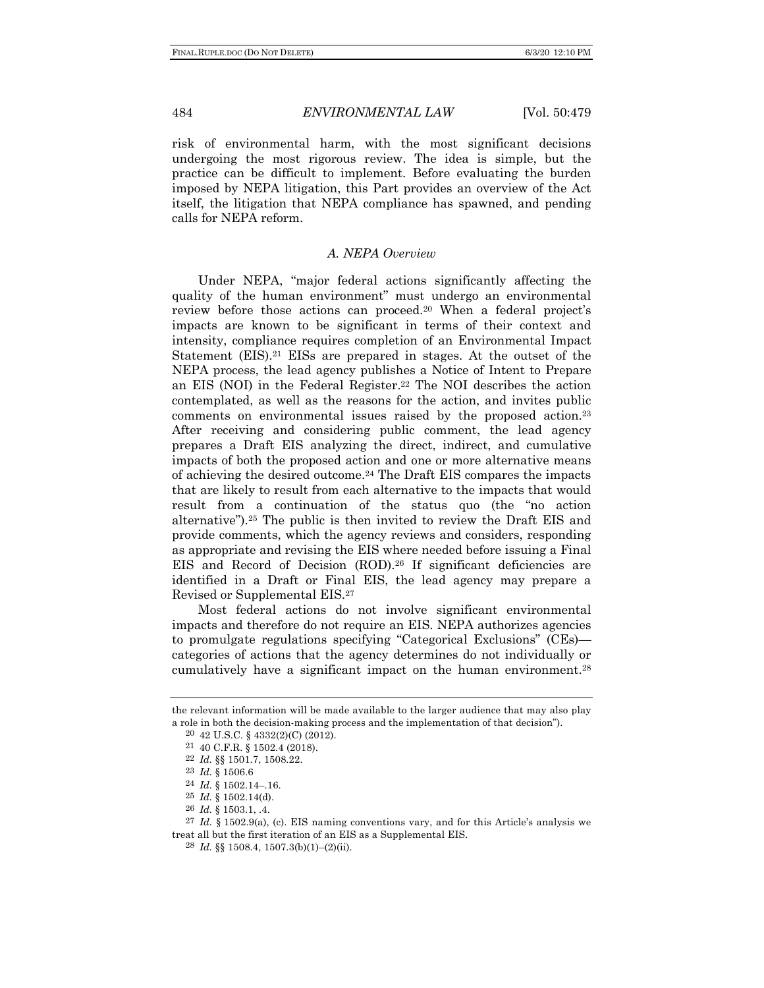risk of environmental harm, with the most significant decisions undergoing the most rigorous review. The idea is simple, but the practice can be difficult to implement. Before evaluating the burden imposed by NEPA litigation, this Part provides an overview of the Act itself, the litigation that NEPA compliance has spawned, and pending calls for NEPA reform.

## *A. NEPA Overview*

Under NEPA, "major federal actions significantly affecting the quality of the human environment" must undergo an environmental review before those actions can proceed.20 When a federal project's impacts are known to be significant in terms of their context and intensity, compliance requires completion of an Environmental Impact Statement (EIS).21 EISs are prepared in stages. At the outset of the NEPA process, the lead agency publishes a Notice of Intent to Prepare an EIS (NOI) in the Federal Register.22 The NOI describes the action contemplated, as well as the reasons for the action, and invites public comments on environmental issues raised by the proposed action.23 After receiving and considering public comment, the lead agency prepares a Draft EIS analyzing the direct, indirect, and cumulative impacts of both the proposed action and one or more alternative means of achieving the desired outcome.24 The Draft EIS compares the impacts that are likely to result from each alternative to the impacts that would result from a continuation of the status quo (the "no action alternative").25 The public is then invited to review the Draft EIS and provide comments, which the agency reviews and considers, responding as appropriate and revising the EIS where needed before issuing a Final EIS and Record of Decision (ROD).26 If significant deficiencies are identified in a Draft or Final EIS, the lead agency may prepare a Revised or Supplemental EIS.27

Most federal actions do not involve significant environmental impacts and therefore do not require an EIS. NEPA authorizes agencies to promulgate regulations specifying "Categorical Exclusions" (CEs) categories of actions that the agency determines do not individually or cumulatively have a significant impact on the human environment.28

the relevant information will be made available to the larger audience that may also play a role in both the decision-making process and the implementation of that decision").

<sup>20</sup> 42 U.S.C. § 4332(2)(C) (2012).

<sup>21</sup> 40 C.F.R. § 1502.4 (2018). 22 *Id.* §§ 1501.7, 1508.22.

<sup>23</sup> *Id.* § 1506.6

<sup>24</sup> *Id.* § 1502.14–.16.

<sup>25</sup> *Id.* § 1502.14(d).

<sup>26</sup> *Id.* § 1503.1, .4.

<sup>27</sup> *Id.* § 1502.9(a), (c). EIS naming conventions vary, and for this Article's analysis we treat all but the first iteration of an EIS as a Supplemental EIS.

<sup>28</sup> *Id.* §§ 1508.4, 1507.3(b)(1)–(2)(ii).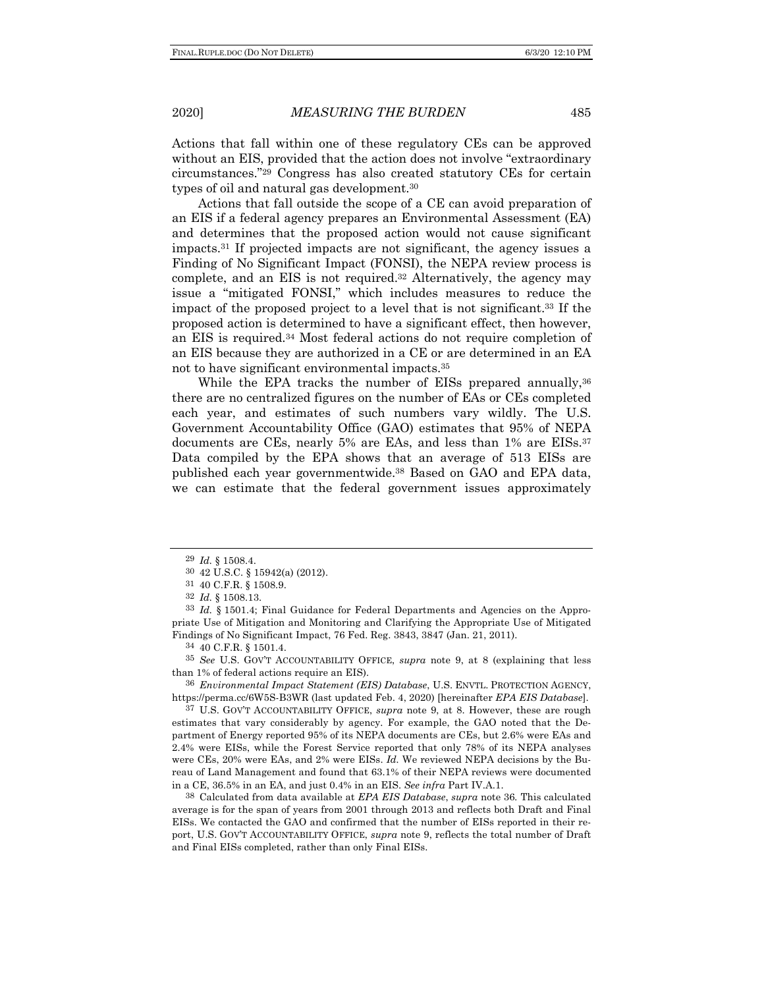Actions that fall within one of these regulatory CEs can be approved without an EIS, provided that the action does not involve "extraordinary circumstances."29 Congress has also created statutory CEs for certain types of oil and natural gas development.30

Actions that fall outside the scope of a CE can avoid preparation of an EIS if a federal agency prepares an Environmental Assessment (EA) and determines that the proposed action would not cause significant impacts.31 If projected impacts are not significant, the agency issues a Finding of No Significant Impact (FONSI), the NEPA review process is complete, and an EIS is not required.32 Alternatively, the agency may issue a "mitigated FONSI," which includes measures to reduce the impact of the proposed project to a level that is not significant.33 If the proposed action is determined to have a significant effect, then however, an EIS is required.34 Most federal actions do not require completion of an EIS because they are authorized in a CE or are determined in an EA not to have significant environmental impacts.35

While the EPA tracks the number of EISs prepared annually,<sup>36</sup> there are no centralized figures on the number of EAs or CEs completed each year, and estimates of such numbers vary wildly. The U.S. Government Accountability Office (GAO) estimates that 95% of NEPA documents are CEs, nearly 5% are EAs, and less than 1% are EISs.<sup>37</sup> Data compiled by the EPA shows that an average of 513 EISs are published each year governmentwide.38 Based on GAO and EPA data, we can estimate that the federal government issues approximately

34 40 C.F.R. § 1501.4.

35 *See* U.S. GOV'T ACCOUNTABILITY OFFICE, *supra* note 9, at 8 (explaining that less than 1% of federal actions require an EIS).

36 *Environmental Impact Statement (EIS) Database*, U.S. ENVTL. PROTECTION AGENCY, https://perma.cc/6W5S-B3WR (last updated Feb. 4, 2020) [hereinafter *EPA EIS Database*].

37 U.S. GOV'T ACCOUNTABILITY OFFICE, *supra* note 9, at 8. However, these are rough estimates that vary considerably by agency. For example, the GAO noted that the Department of Energy reported 95% of its NEPA documents are CEs, but 2.6% were EAs and 2.4% were EISs, while the Forest Service reported that only 78% of its NEPA analyses were CEs, 20% were EAs, and 2% were EISs. *Id.* We reviewed NEPA decisions by the Bureau of Land Management and found that 63.1% of their NEPA reviews were documented in a CE, 36.5% in an EA, and just 0.4% in an EIS. *See infra* Part IV.A.1.

38 Calculated from data available at *EPA EIS Database*, *supra* note 36*.* This calculated average is for the span of years from 2001 through 2013 and reflects both Draft and Final EISs. We contacted the GAO and confirmed that the number of EISs reported in their report, U.S. GOV'T ACCOUNTABILITY OFFICE, *supra* note 9, reflects the total number of Draft and Final EISs completed, rather than only Final EISs.

<sup>29</sup> *Id.* § 1508.4.

<sup>30</sup> 42 U.S.C. § 15942(a) (2012).

<sup>31</sup> 40 C.F.R. § 1508.9.

<sup>32</sup> *Id.* § 1508.13.

<sup>33</sup> *Id.* § 1501.4; Final Guidance for Federal Departments and Agencies on the Appropriate Use of Mitigation and Monitoring and Clarifying the Appropriate Use of Mitigated Findings of No Significant Impact, 76 Fed. Reg. 3843, 3847 (Jan. 21, 2011).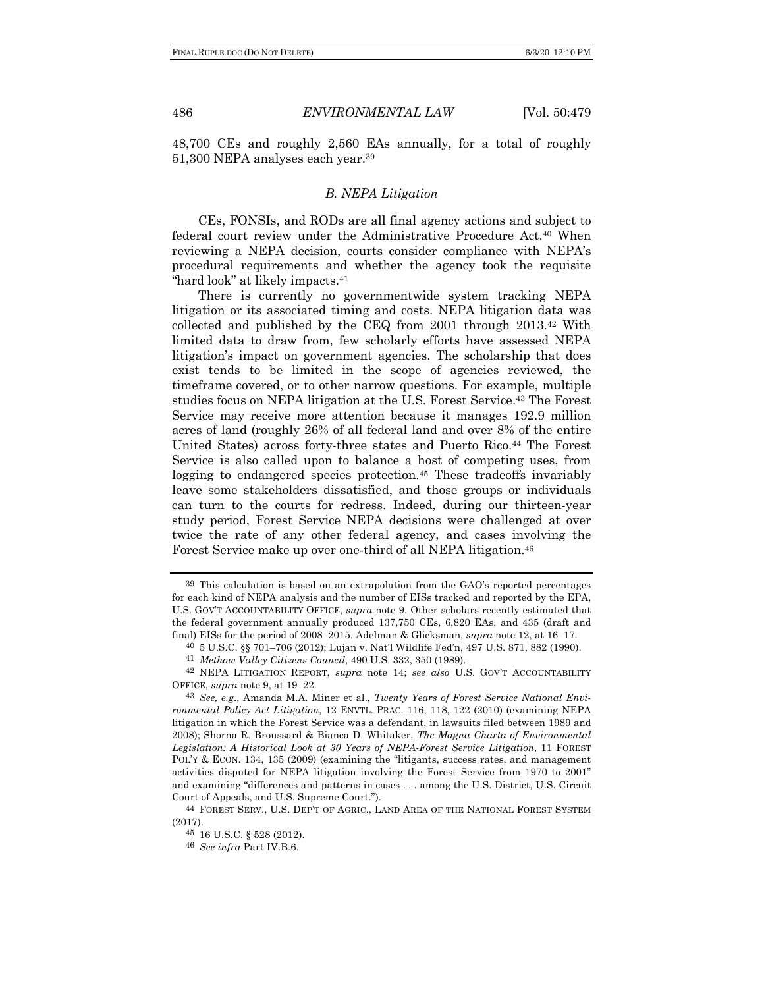48,700 CEs and roughly 2,560 EAs annually, for a total of roughly 51,300 NEPA analyses each year.39

# *B. NEPA Litigation*

CEs, FONSIs, and RODs are all final agency actions and subject to federal court review under the Administrative Procedure Act.40 When reviewing a NEPA decision, courts consider compliance with NEPA's procedural requirements and whether the agency took the requisite "hard look" at likely impacts.<sup>41</sup>

There is currently no governmentwide system tracking NEPA litigation or its associated timing and costs. NEPA litigation data was collected and published by the CEQ from 2001 through 2013.42 With limited data to draw from, few scholarly efforts have assessed NEPA litigation's impact on government agencies. The scholarship that does exist tends to be limited in the scope of agencies reviewed, the timeframe covered, or to other narrow questions. For example, multiple studies focus on NEPA litigation at the U.S. Forest Service.43 The Forest Service may receive more attention because it manages 192.9 million acres of land (roughly 26% of all federal land and over 8% of the entire United States) across forty-three states and Puerto Rico.44 The Forest Service is also called upon to balance a host of competing uses, from logging to endangered species protection.45 These tradeoffs invariably leave some stakeholders dissatisfied, and those groups or individuals can turn to the courts for redress. Indeed, during our thirteen-year study period, Forest Service NEPA decisions were challenged at over twice the rate of any other federal agency, and cases involving the Forest Service make up over one-third of all NEPA litigation.46

<sup>39</sup> This calculation is based on an extrapolation from the GAO's reported percentages for each kind of NEPA analysis and the number of EISs tracked and reported by the EPA, U.S. GOV'T ACCOUNTABILITY OFFICE, *supra* note 9. Other scholars recently estimated that the federal government annually produced 137,750 CEs, 6,820 EAs, and 435 (draft and final) EISs for the period of 2008–2015. Adelman & Glicksman, *supra* note 12, at 16–17.

<sup>40</sup> 5 U.S.C. §§ 701–706 (2012); Lujan v. Nat'l Wildlife Fed'n, 497 U.S. 871, 882 (1990).

<sup>41</sup> *Methow Valley Citizens Council*, 490 U.S. 332, 350 (1989).

<sup>42</sup> NEPA LITIGATION REPORT, *supra* note 14; *see also* U.S. GOV'T ACCOUNTABILITY OFFICE, *supra* note 9, at 19–22.

<sup>43</sup> *See, e.g*., Amanda M.A. Miner et al., *Twenty Years of Forest Service National Environmental Policy Act Litigation*, 12 ENVTL. PRAC. 116, 118, 122 (2010) (examining NEPA litigation in which the Forest Service was a defendant, in lawsuits filed between 1989 and 2008); Shorna R. Broussard & Bianca D. Whitaker, *The Magna Charta of Environmental Legislation: A Historical Look at 30 Years of NEPA-Forest Service Litigation*, 11 FOREST POL'Y & ECON. 134, 135 (2009) (examining the "litigants, success rates, and management activities disputed for NEPA litigation involving the Forest Service from 1970 to 2001" and examining "differences and patterns in cases . . . among the U.S. District, U.S. Circuit Court of Appeals, and U.S. Supreme Court.").

<sup>44</sup> FOREST SERV., U.S. DEP'T OF AGRIC., LAND AREA OF THE NATIONAL FOREST SYSTEM (2017).

<sup>45</sup> 16 U.S.C. § 528 (2012).

<sup>46</sup> *See infra* Part IV.B.6.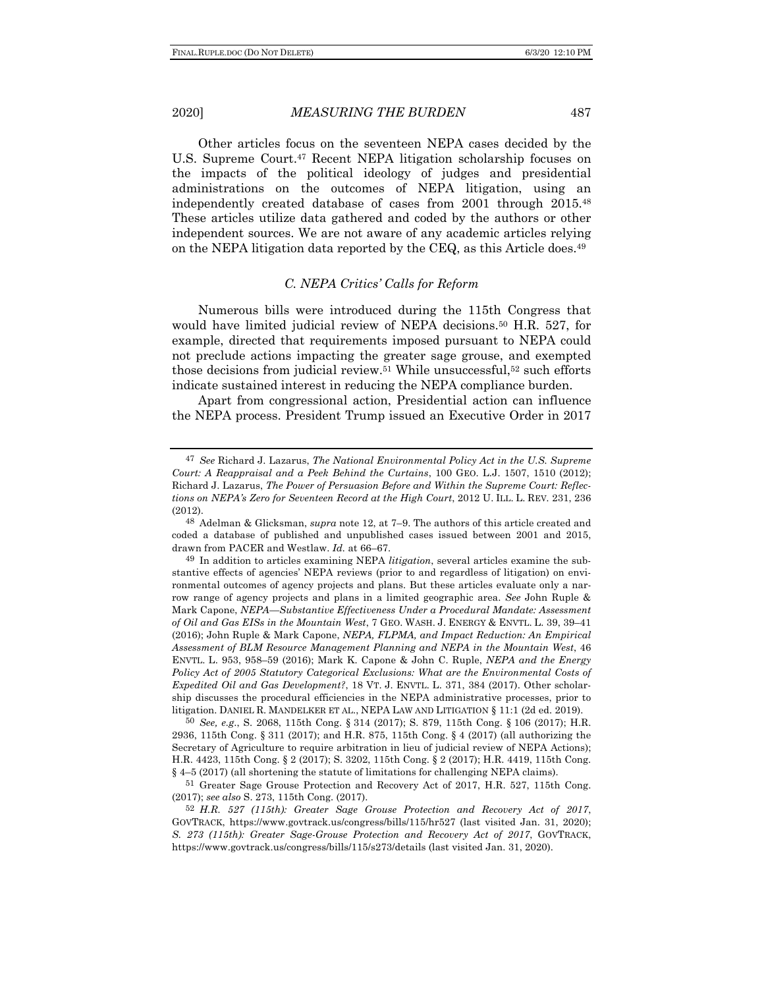Other articles focus on the seventeen NEPA cases decided by the U.S. Supreme Court.<sup>47</sup> Recent NEPA litigation scholarship focuses on the impacts of the political ideology of judges and presidential administrations on the outcomes of NEPA litigation, using an independently created database of cases from 2001 through 2015.48 These articles utilize data gathered and coded by the authors or other independent sources. We are not aware of any academic articles relying on the NEPA litigation data reported by the CEQ, as this Article does.49

## *C. NEPA Critics' Calls for Reform*

Numerous bills were introduced during the 115th Congress that would have limited judicial review of NEPA decisions.<sup>50</sup> H.R. 527, for example, directed that requirements imposed pursuant to NEPA could not preclude actions impacting the greater sage grouse, and exempted those decisions from judicial review.<sup>51</sup> While unsuccessful,<sup>52</sup> such efforts indicate sustained interest in reducing the NEPA compliance burden.

Apart from congressional action, Presidential action can influence the NEPA process. President Trump issued an Executive Order in 2017

50 *See, e.g*., S. 2068, 115th Cong. § 314 (2017); S. 879, 115th Cong. § 106 (2017); H.R. 2936, 115th Cong. § 311 (2017); and H.R. 875, 115th Cong. § 4 (2017) (all authorizing the Secretary of Agriculture to require arbitration in lieu of judicial review of NEPA Actions); H.R. 4423, 115th Cong. § 2 (2017); S. 3202, 115th Cong. § 2 (2017); H.R. 4419, 115th Cong. § 4–5 (2017) (all shortening the statute of limitations for challenging NEPA claims).

51 Greater Sage Grouse Protection and Recovery Act of 2017, H.R. 527, 115th Cong. (2017); *see also* S. 273, 115th Cong. (2017).

52 *H.R. 527 (115th): Greater Sage Grouse Protection and Recovery Act of 2017*, GOVTRACK, https://www.govtrack.us/congress/bills/115/hr527 (last visited Jan. 31, 2020); *S. 273 (115th): Greater Sage-Grouse Protection and Recovery Act of 2017*, GOVTRACK, https://www.govtrack.us/congress/bills/115/s273/details (last visited Jan. 31, 2020).

<sup>47</sup> *See* Richard J. Lazarus, *The National Environmental Policy Act in the U.S. Supreme Court: A Reappraisal and a Peek Behind the Curtains*, 100 GEO. L.J. 1507, 1510 (2012); Richard J. Lazarus, *The Power of Persuasion Before and Within the Supreme Court: Reflections on NEPA's Zero for Seventeen Record at the High Court*, 2012 U. ILL. L. REV*.* 231, 236 (2012).

<sup>48</sup> Adelman & Glicksman, *supra* note 12, at 7–9. The authors of this article created and coded a database of published and unpublished cases issued between 2001 and 2015, drawn from PACER and Westlaw. *Id.* at 66–67.

<sup>49</sup> In addition to articles examining NEPA *litigation*, several articles examine the substantive effects of agencies' NEPA reviews (prior to and regardless of litigation) on environmental outcomes of agency projects and plans. But these articles evaluate only a narrow range of agency projects and plans in a limited geographic area. *See* John Ruple & Mark Capone, *NEPA—Substantive Effectiveness Under a Procedural Mandate: Assessment of Oil and Gas EISs in the Mountain West*, 7 GEO. WASH. J. ENERGY & ENVTL. L. 39, 39–41 (2016); John Ruple & Mark Capone, *NEPA, FLPMA, and Impact Reduction: An Empirical Assessment of BLM Resource Management Planning and NEPA in the Mountain West*, 46 ENVTL. L. 953, 958–59 (2016); Mark K. Capone & John C. Ruple, *NEPA and the Energy*  Policy Act of 2005 Statutory Categorical Exclusions: What are the Environmental Costs of *Expedited Oil and Gas Development?*, 18 VT. J. ENVTL. L. 371, 384 (2017). Other scholarship discusses the procedural efficiencies in the NEPA administrative processes, prior to litigation. DANIEL R. MANDELKER ET AL., NEPA LAW AND LITIGATION § 11:1 (2d ed. 2019).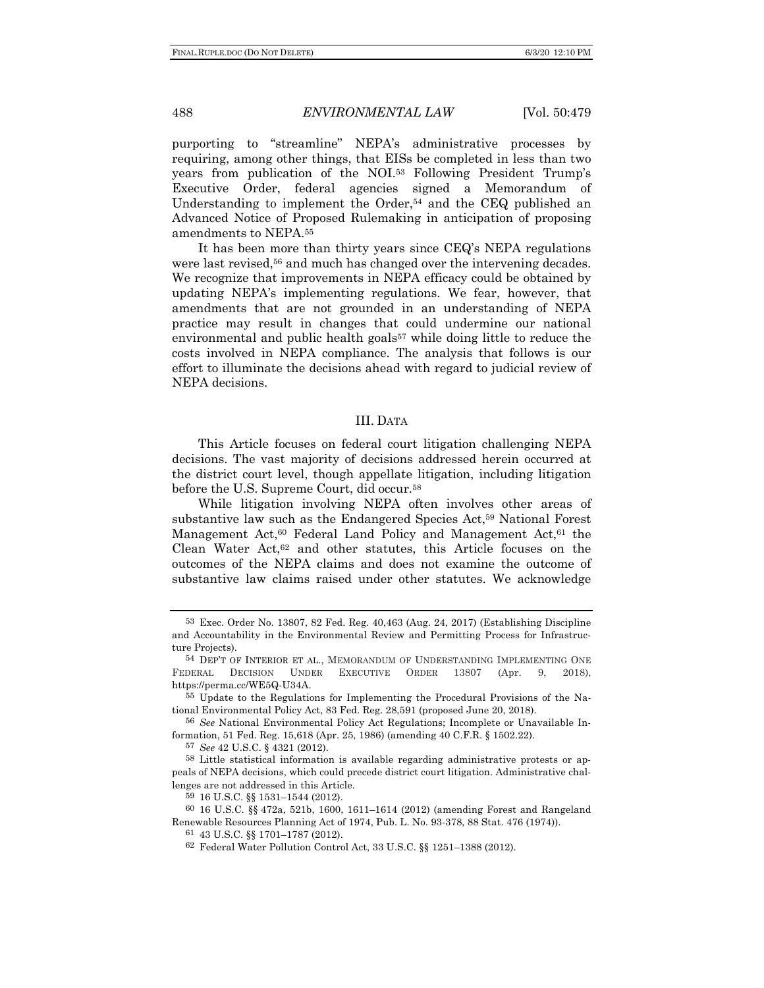purporting to "streamline" NEPA's administrative processes by requiring, among other things, that EISs be completed in less than two years from publication of the NOI.53 Following President Trump's Executive Order, federal agencies signed a Memorandum of Understanding to implement the Order,<sup>54</sup> and the CEQ published an Advanced Notice of Proposed Rulemaking in anticipation of proposing amendments to NEPA.55

It has been more than thirty years since CEQ's NEPA regulations were last revised,<sup>56</sup> and much has changed over the intervening decades. We recognize that improvements in NEPA efficacy could be obtained by updating NEPA's implementing regulations. We fear, however, that amendments that are not grounded in an understanding of NEPA practice may result in changes that could undermine our national environmental and public health goals<sup>57</sup> while doing little to reduce the costs involved in NEPA compliance. The analysis that follows is our effort to illuminate the decisions ahead with regard to judicial review of NEPA decisions.

### III. DATA

This Article focuses on federal court litigation challenging NEPA decisions. The vast majority of decisions addressed herein occurred at the district court level, though appellate litigation, including litigation before the U.S. Supreme Court, did occur.58

While litigation involving NEPA often involves other areas of substantive law such as the Endangered Species Act,59 National Forest Management Act, $60$  Federal Land Policy and Management Act, $61$  the Clean Water Act,62 and other statutes, this Article focuses on the outcomes of the NEPA claims and does not examine the outcome of substantive law claims raised under other statutes. We acknowledge

56 *See* National Environmental Policy Act Regulations; Incomplete or Unavailable Information, 51 Fed. Reg. 15,618 (Apr. 25, 1986) (amending 40 C.F.R. § 1502.22).

57 *See* 42 U.S.C. § 4321 (2012).

58 Little statistical information is available regarding administrative protests or appeals of NEPA decisions, which could precede district court litigation. Administrative challenges are not addressed in this Article.

<sup>53</sup> Exec. Order No. 13807, 82 Fed. Reg. 40,463 (Aug. 24, 2017) (Establishing Discipline and Accountability in the Environmental Review and Permitting Process for Infrastructure Projects).

<sup>54</sup> DEP'T OF INTERIOR ET AL., MEMORANDUM OF UNDERSTANDING IMPLEMENTING ONE FEDERAL DECISION UNDER EXECUTIVE ORDER 13807 (Apr. 9, 2018), https://perma.cc/WE5Q-U34A.

<sup>55</sup> Update to the Regulations for Implementing the Procedural Provisions of the National Environmental Policy Act, 83 Fed. Reg. 28,591 (proposed June 20, 2018).

<sup>59</sup> 16 U.S.C. §§ 1531–1544 (2012).

<sup>60</sup> 16 U.S.C. §§ 472a, 521b, 1600, 1611–1614 (2012) (amending Forest and Rangeland Renewable Resources Planning Act of 1974, Pub. L. No. 93-378, 88 Stat. 476 (1974)).

<sup>61</sup> 43 U.S.C. §§ 1701–1787 (2012).

<sup>62</sup> Federal Water Pollution Control Act, 33 U.S.C. §§ 1251–1388 (2012).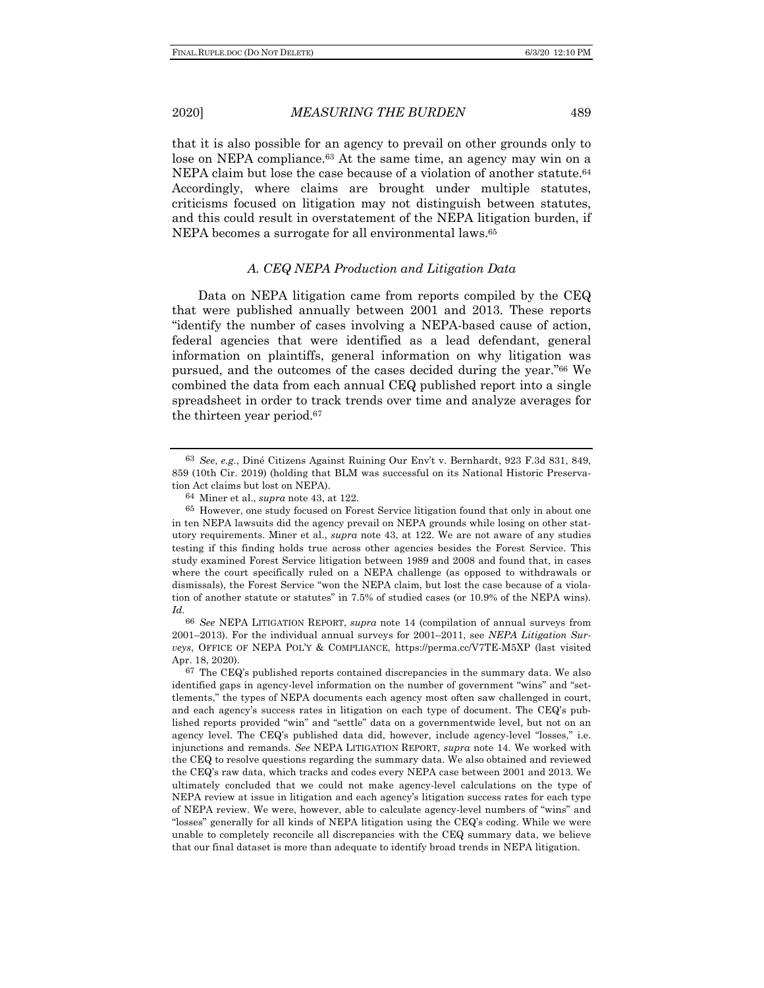that it is also possible for an agency to prevail on other grounds only to lose on NEPA compliance.<sup>63</sup> At the same time, an agency may win on a NEPA claim but lose the case because of a violation of another statute.<sup>64</sup> Accordingly, where claims are brought under multiple statutes, criticisms focused on litigation may not distinguish between statutes, and this could result in overstatement of the NEPA litigation burden, if NEPA becomes a surrogate for all environmental laws.65

### *A. CEQ NEPA Production and Litigation Data*

Data on NEPA litigation came from reports compiled by the CEQ that were published annually between 2001 and 2013. These reports "identify the number of cases involving a NEPA-based cause of action, federal agencies that were identified as a lead defendant, general information on plaintiffs, general information on why litigation was pursued, and the outcomes of the cases decided during the year."66 We combined the data from each annual CEQ published report into a single spreadsheet in order to track trends over time and analyze averages for the thirteen year period.67

<sup>63</sup> *See*, *e.g.*, Diné Citizens Against Ruining Our Env't v. Bernhardt, 923 F.3d 831, 849, 859 (10th Cir. 2019) (holding that BLM was successful on its National Historic Preservation Act claims but lost on NEPA).

<sup>64</sup> Miner et al., *supra* note 43, at 122.

<sup>65</sup> However, one study focused on Forest Service litigation found that only in about one in ten NEPA lawsuits did the agency prevail on NEPA grounds while losing on other statutory requirements. Miner et al., *supra* note 43, at 122. We are not aware of any studies testing if this finding holds true across other agencies besides the Forest Service. This study examined Forest Service litigation between 1989 and 2008 and found that, in cases where the court specifically ruled on a NEPA challenge (as opposed to withdrawals or dismissals), the Forest Service "won the NEPA claim, but lost the case because of a violation of another statute or statutes" in 7.5% of studied cases (or 10.9% of the NEPA wins). *Id.*

<sup>66</sup> *See* NEPA LITIGATION REPORT, *supra* note 14 (compilation of annual surveys from 2001–2013). For the individual annual surveys for 2001–2011, see *NEPA Litigation Surveys*, OFFICE OF NEPA POL'Y & COMPLIANCE, https://perma.cc/V7TE-M5XP (last visited Apr. 18, 2020).

 $67$  The CEQ's published reports contained discrepancies in the summary data. We also identified gaps in agency-level information on the number of government "wins" and "settlements," the types of NEPA documents each agency most often saw challenged in court, and each agency's success rates in litigation on each type of document. The CEQ's published reports provided "win" and "settle" data on a governmentwide level, but not on an agency level. The CEQ's published data did, however, include agency-level "losses," i.e. injunctions and remands. *See* NEPA LITIGATION REPORT, *supra* note 14. We worked with the CEQ to resolve questions regarding the summary data. We also obtained and reviewed the CEQ's raw data, which tracks and codes every NEPA case between 2001 and 2013. We ultimately concluded that we could not make agency-level calculations on the type of NEPA review at issue in litigation and each agency's litigation success rates for each type of NEPA review. We were, however, able to calculate agency-level numbers of "wins" and "losses" generally for all kinds of NEPA litigation using the CEQ's coding. While we were unable to completely reconcile all discrepancies with the CEQ summary data, we believe that our final dataset is more than adequate to identify broad trends in NEPA litigation.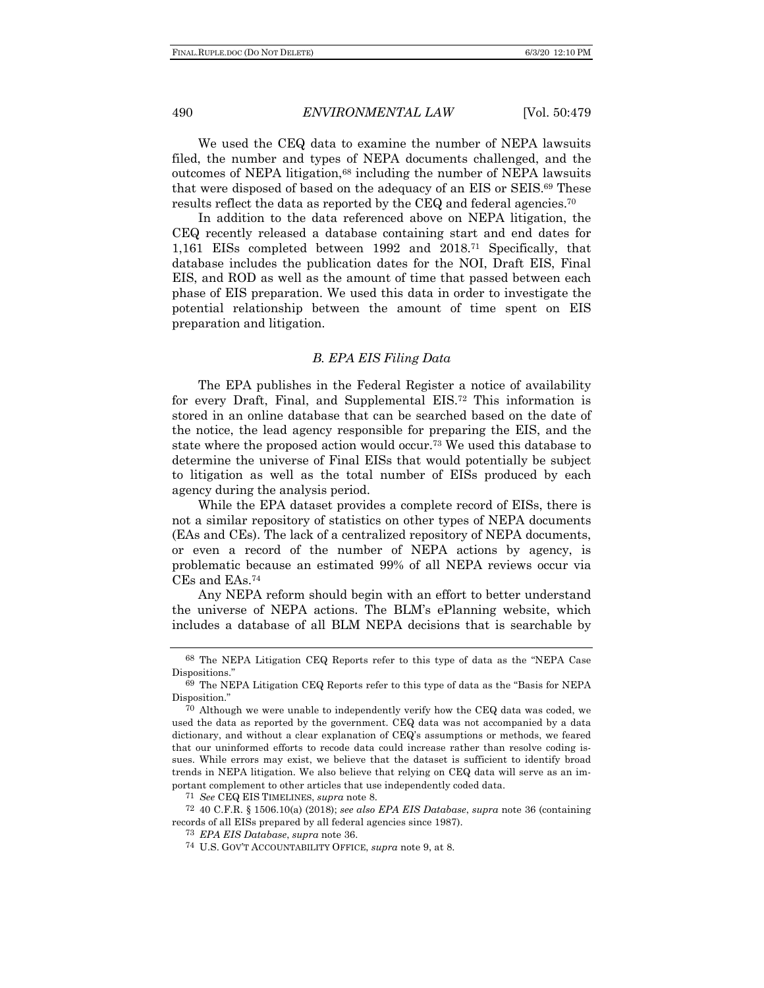We used the CEQ data to examine the number of NEPA lawsuits filed, the number and types of NEPA documents challenged, and the outcomes of NEPA litigation,<sup>68</sup> including the number of NEPA lawsuits that were disposed of based on the adequacy of an EIS or SEIS.69 These results reflect the data as reported by the CEQ and federal agencies.70

In addition to the data referenced above on NEPA litigation, the CEQ recently released a database containing start and end dates for 1,161 EISs completed between 1992 and 2018.71 Specifically, that database includes the publication dates for the NOI, Draft EIS, Final EIS, and ROD as well as the amount of time that passed between each phase of EIS preparation. We used this data in order to investigate the potential relationship between the amount of time spent on EIS preparation and litigation.

#### *B. EPA EIS Filing Data*

The EPA publishes in the Federal Register a notice of availability for every Draft, Final, and Supplemental EIS.72 This information is stored in an online database that can be searched based on the date of the notice, the lead agency responsible for preparing the EIS, and the state where the proposed action would occur.73 We used this database to determine the universe of Final EISs that would potentially be subject to litigation as well as the total number of EISs produced by each agency during the analysis period.

While the EPA dataset provides a complete record of EISs, there is not a similar repository of statistics on other types of NEPA documents (EAs and CEs). The lack of a centralized repository of NEPA documents, or even a record of the number of NEPA actions by agency, is problematic because an estimated 99% of all NEPA reviews occur via CEs and EAs.74

Any NEPA reform should begin with an effort to better understand the universe of NEPA actions. The BLM's ePlanning website, which includes a database of all BLM NEPA decisions that is searchable by

<sup>68</sup> The NEPA Litigation CEQ Reports refer to this type of data as the "NEPA Case Dispositions."

<sup>69</sup> The NEPA Litigation CEQ Reports refer to this type of data as the "Basis for NEPA Disposition."

<sup>70</sup> Although we were unable to independently verify how the CEQ data was coded, we used the data as reported by the government. CEQ data was not accompanied by a data dictionary, and without a clear explanation of CEQ's assumptions or methods, we feared that our uninformed efforts to recode data could increase rather than resolve coding issues. While errors may exist, we believe that the dataset is sufficient to identify broad trends in NEPA litigation. We also believe that relying on CEQ data will serve as an important complement to other articles that use independently coded data. 71 *See* CEQ EIS TIMELINES, *supra* note 8.

<sup>72</sup> 40 C.F.R. § 1506.10(a) (2018); *see also EPA EIS Database*, *supra* note 36 (containing records of all EISs prepared by all federal agencies since 1987).

<sup>73</sup> *EPA EIS Database*, *supra* note 36.

<sup>74</sup> U.S. GOV'T ACCOUNTABILITY OFFICE, *supra* note 9, at 8.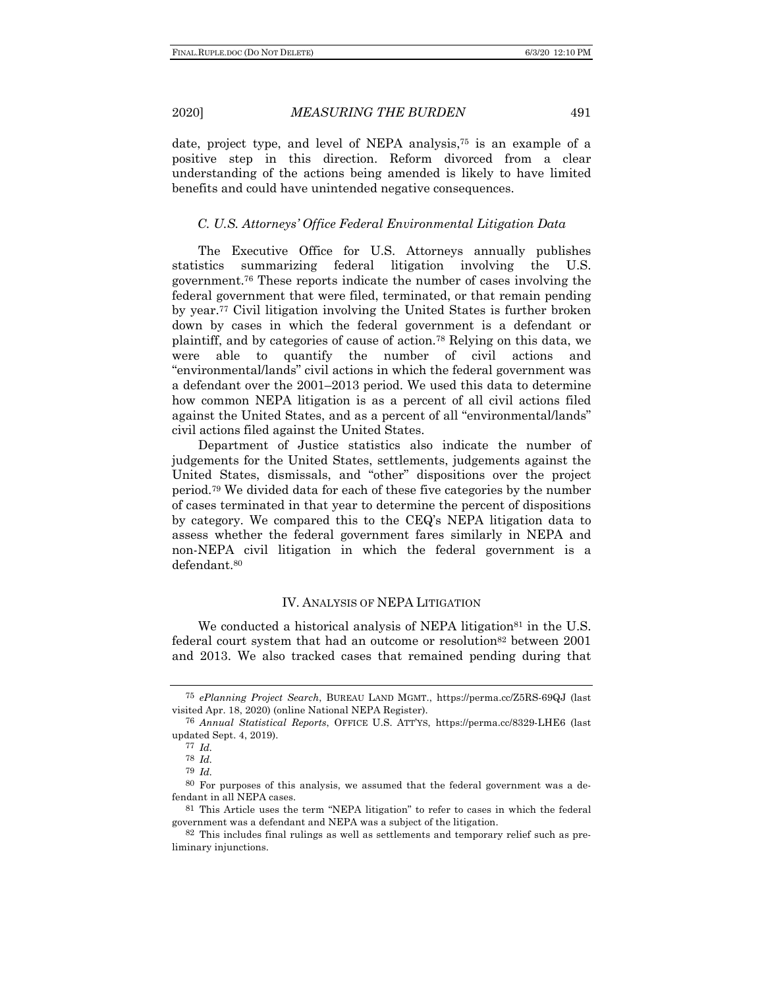date, project type, and level of NEPA analysis,75 is an example of a positive step in this direction. Reform divorced from a clear understanding of the actions being amended is likely to have limited benefits and could have unintended negative consequences.

## *C. U.S. Attorneys' Office Federal Environmental Litigation Data*

The Executive Office for U.S. Attorneys annually publishes statistics summarizing federal litigation involving the U.S. government.76 These reports indicate the number of cases involving the federal government that were filed, terminated, or that remain pending by year.77 Civil litigation involving the United States is further broken down by cases in which the federal government is a defendant or plaintiff, and by categories of cause of action.78 Relying on this data, we were able to quantify the number of civil actions and "environmental/lands" civil actions in which the federal government was a defendant over the 2001–2013 period. We used this data to determine how common NEPA litigation is as a percent of all civil actions filed against the United States, and as a percent of all "environmental/lands" civil actions filed against the United States.

Department of Justice statistics also indicate the number of judgements for the United States, settlements, judgements against the United States, dismissals, and "other" dispositions over the project period.79 We divided data for each of these five categories by the number of cases terminated in that year to determine the percent of dispositions by category. We compared this to the CEQ's NEPA litigation data to assess whether the federal government fares similarly in NEPA and non-NEPA civil litigation in which the federal government is a defendant.80

# IV. ANALYSIS OF NEPA LITIGATION

We conducted a historical analysis of NEPA litigation<sup>81</sup> in the U.S. federal court system that had an outcome or resolution<sup>82</sup> between 2001 and 2013. We also tracked cases that remained pending during that

<sup>75</sup> *ePlanning Project Search*, BUREAU LAND MGMT., https://perma.cc/Z5RS-69QJ (last visited Apr. 18, 2020) (online National NEPA Register).

<sup>76</sup> *Annual Statistical Reports*, OFFICE U.S. ATT'YS, https://perma.cc/8329-LHE6 (last updated Sept. 4, 2019).

<sup>77</sup> *Id.*

<sup>78</sup> *Id.*

<sup>79</sup> *Id.*

<sup>80</sup> For purposes of this analysis, we assumed that the federal government was a defendant in all NEPA cases.

<sup>81</sup> This Article uses the term "NEPA litigation" to refer to cases in which the federal government was a defendant and NEPA was a subject of the litigation.

<sup>82</sup> This includes final rulings as well as settlements and temporary relief such as preliminary injunctions.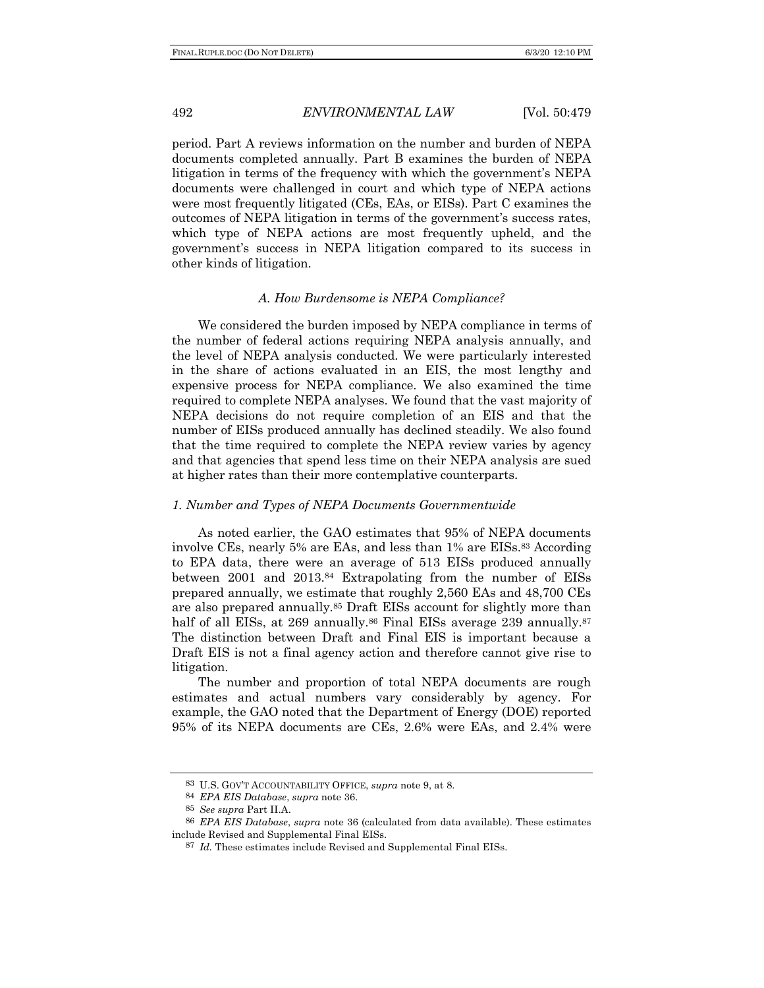period. Part A reviews information on the number and burden of NEPA documents completed annually. Part B examines the burden of NEPA litigation in terms of the frequency with which the government's NEPA documents were challenged in court and which type of NEPA actions were most frequently litigated (CEs, EAs, or EISs). Part C examines the outcomes of NEPA litigation in terms of the government's success rates, which type of NEPA actions are most frequently upheld, and the government's success in NEPA litigation compared to its success in other kinds of litigation.

#### *A. How Burdensome is NEPA Compliance?*

We considered the burden imposed by NEPA compliance in terms of the number of federal actions requiring NEPA analysis annually, and the level of NEPA analysis conducted. We were particularly interested in the share of actions evaluated in an EIS, the most lengthy and expensive process for NEPA compliance. We also examined the time required to complete NEPA analyses. We found that the vast majority of NEPA decisions do not require completion of an EIS and that the number of EISs produced annually has declined steadily. We also found that the time required to complete the NEPA review varies by agency and that agencies that spend less time on their NEPA analysis are sued at higher rates than their more contemplative counterparts.

### *1. Number and Types of NEPA Documents Governmentwide*

As noted earlier, the GAO estimates that 95% of NEPA documents involve CEs, nearly 5% are EAs, and less than 1% are EISs.83 According to EPA data, there were an average of 513 EISs produced annually between 2001 and 2013.84 Extrapolating from the number of EISs prepared annually, we estimate that roughly 2,560 EAs and 48,700 CEs are also prepared annually.85 Draft EISs account for slightly more than half of all EISs, at 269 annually.<sup>86</sup> Final EISs average 239 annually.<sup>87</sup> The distinction between Draft and Final EIS is important because a Draft EIS is not a final agency action and therefore cannot give rise to litigation.

The number and proportion of total NEPA documents are rough estimates and actual numbers vary considerably by agency. For example, the GAO noted that the Department of Energy (DOE) reported 95% of its NEPA documents are CEs, 2.6% were EAs, and 2.4% were

<sup>83</sup> U.S. GOV'T ACCOUNTABILITY OFFICE, *supra* note 9, at 8.

<sup>84</sup> *EPA EIS Database*, *supra* note 36.

<sup>85</sup> *See supra* Part II.A.

<sup>86</sup> *EPA EIS Database*, *supra* note 36 (calculated from data available). These estimates include Revised and Supplemental Final EISs.

<sup>87</sup> *Id.* These estimates include Revised and Supplemental Final EISs.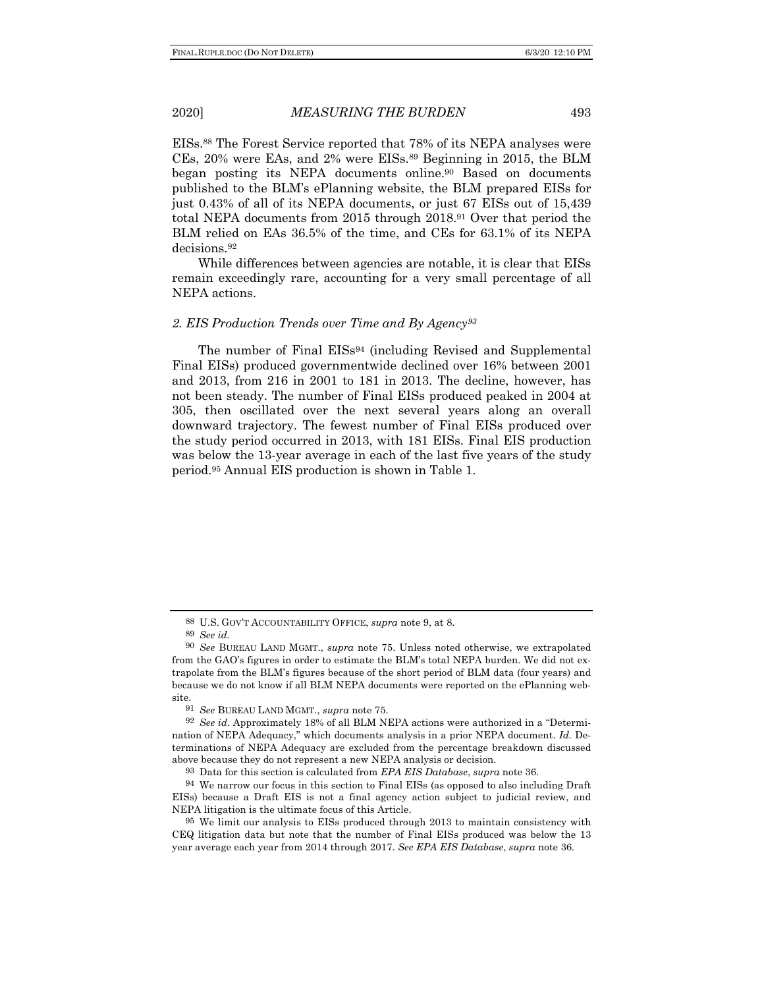EISs.88 The Forest Service reported that 78% of its NEPA analyses were CEs, 20% were EAs, and 2% were EISs.89 Beginning in 2015, the BLM began posting its NEPA documents online.90 Based on documents published to the BLM's ePlanning website, the BLM prepared EISs for just 0.43% of all of its NEPA documents, or just 67 EISs out of 15,439 total NEPA documents from 2015 through 2018.91 Over that period the BLM relied on EAs 36.5% of the time, and CEs for 63.1% of its NEPA decisions.92

While differences between agencies are notable, it is clear that EISs remain exceedingly rare, accounting for a very small percentage of all NEPA actions.

### *2. EIS Production Trends over Time and By Agency93*

The number of Final EISs<sup>94</sup> (including Revised and Supplemental Final EISs) produced governmentwide declined over 16% between 2001 and 2013, from 216 in 2001 to 181 in 2013. The decline, however, has not been steady. The number of Final EISs produced peaked in 2004 at 305, then oscillated over the next several years along an overall downward trajectory. The fewest number of Final EISs produced over the study period occurred in 2013, with 181 EISs. Final EIS production was below the 13-year average in each of the last five years of the study period.95 Annual EIS production is shown in Table 1.

<sup>88</sup> U.S. GOV'T ACCOUNTABILITY OFFICE, *supra* note 9, at 8.

<sup>89</sup> *See id.* 

<sup>90</sup> *See* BUREAU LAND MGMT., *supra* note 75. Unless noted otherwise, we extrapolated from the GAO's figures in order to estimate the BLM's total NEPA burden. We did not extrapolate from the BLM's figures because of the short period of BLM data (four years) and because we do not know if all BLM NEPA documents were reported on the ePlanning website.

<sup>91</sup> *See* BUREAU LAND MGMT., *supra* note 75.

<sup>92</sup> *See id.* Approximately 18% of all BLM NEPA actions were authorized in a "Determination of NEPA Adequacy," which documents analysis in a prior NEPA document. *Id.* Determinations of NEPA Adequacy are excluded from the percentage breakdown discussed above because they do not represent a new NEPA analysis or decision.

<sup>93</sup> Data for this section is calculated from *EPA EIS Database*, *supra* note 36*.*

<sup>94</sup> We narrow our focus in this section to Final EISs (as opposed to also including Draft EISs) because a Draft EIS is not a final agency action subject to judicial review, and NEPA litigation is the ultimate focus of this Article.

<sup>95</sup> We limit our analysis to EISs produced through 2013 to maintain consistency with CEQ litigation data but note that the number of Final EISs produced was below the 13 year average each year from 2014 through 2017. *See EPA EIS Database*, *supra* note 36*.*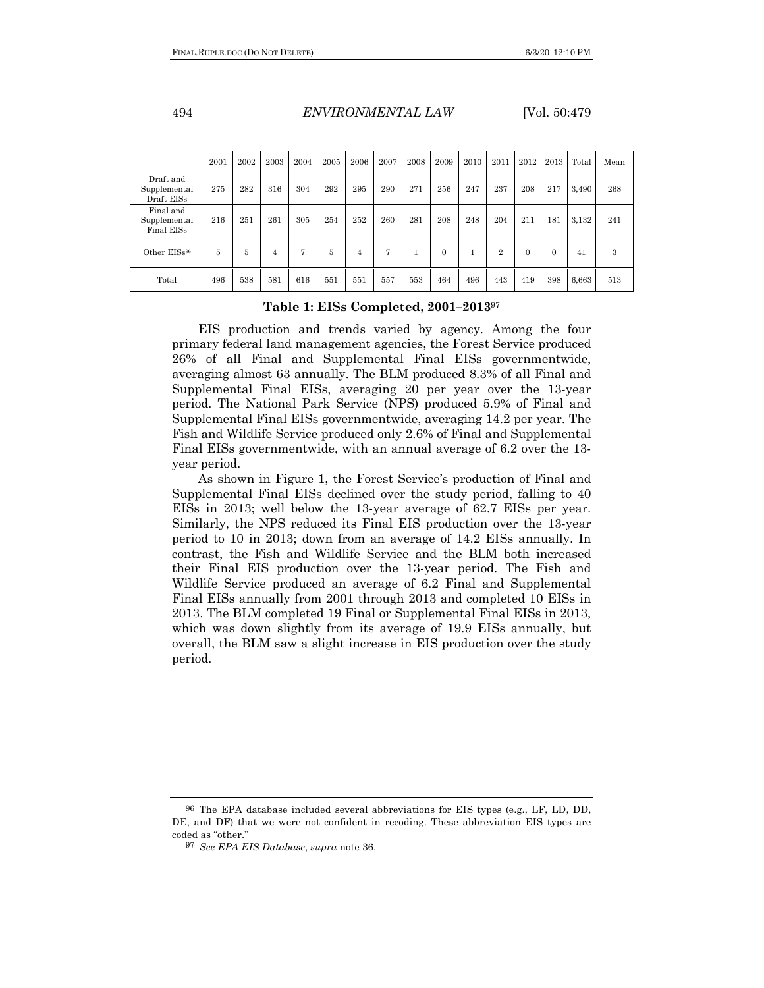|                                         | 2001 | 2002 | 2003 | 2004 | 2005 | 2006 | 2007 | 2008 | 2009     | 2010 | 2011           | 2012     | 2013 | Total | Mean |
|-----------------------------------------|------|------|------|------|------|------|------|------|----------|------|----------------|----------|------|-------|------|
| Draft and<br>Supplemental<br>Draft EISs | 275  | 282  | 316  | 304  | 292  | 295  | 290  | 271  | 256      | 247  | 237            | 208      | 217  | 3,490 | 268  |
| Final and<br>Supplemental<br>Final EISs | 216  | 251  | 261  | 305  | 254  | 252  | 260  | 281  | 208      | 248  | 204            | 211      | 181  | 3,132 | 241  |
| Other EISs <sup>96</sup>                | 5    | 5    | 4    | 7    | 5    | 4    | 7    | 1    | $\Omega$ |      | $\overline{2}$ | $\Omega$ | 0    | 41    | 3    |
| Total                                   | 496  | 538  | 581  | 616  | 551  | 551  | 557  | 553  | 464      | 496  | 443            | 419      | 398  | 6,663 | 513  |

### **Table 1: EISs Completed, 2001–2013**<sup>97</sup>

EIS production and trends varied by agency. Among the four primary federal land management agencies, the Forest Service produced 26% of all Final and Supplemental Final EISs governmentwide, averaging almost 63 annually. The BLM produced 8.3% of all Final and Supplemental Final EISs, averaging 20 per year over the 13-year period. The National Park Service (NPS) produced 5.9% of Final and Supplemental Final EISs governmentwide, averaging 14.2 per year. The Fish and Wildlife Service produced only 2.6% of Final and Supplemental Final EISs governmentwide, with an annual average of 6.2 over the 13 year period.

As shown in Figure 1, the Forest Service's production of Final and Supplemental Final EISs declined over the study period, falling to 40 EISs in 2013; well below the 13-year average of 62.7 EISs per year. Similarly, the NPS reduced its Final EIS production over the 13-year period to 10 in 2013; down from an average of 14.2 EISs annually. In contrast, the Fish and Wildlife Service and the BLM both increased their Final EIS production over the 13-year period. The Fish and Wildlife Service produced an average of 6.2 Final and Supplemental Final EISs annually from 2001 through 2013 and completed 10 EISs in 2013. The BLM completed 19 Final or Supplemental Final EISs in 2013, which was down slightly from its average of 19.9 EISs annually, but overall, the BLM saw a slight increase in EIS production over the study period.

<sup>96</sup> The EPA database included several abbreviations for EIS types (e.g., LF, LD, DD, DE, and DF) that we were not confident in recoding. These abbreviation EIS types are coded as "other."

<sup>97</sup> *See EPA EIS Database*, *supra* note 36.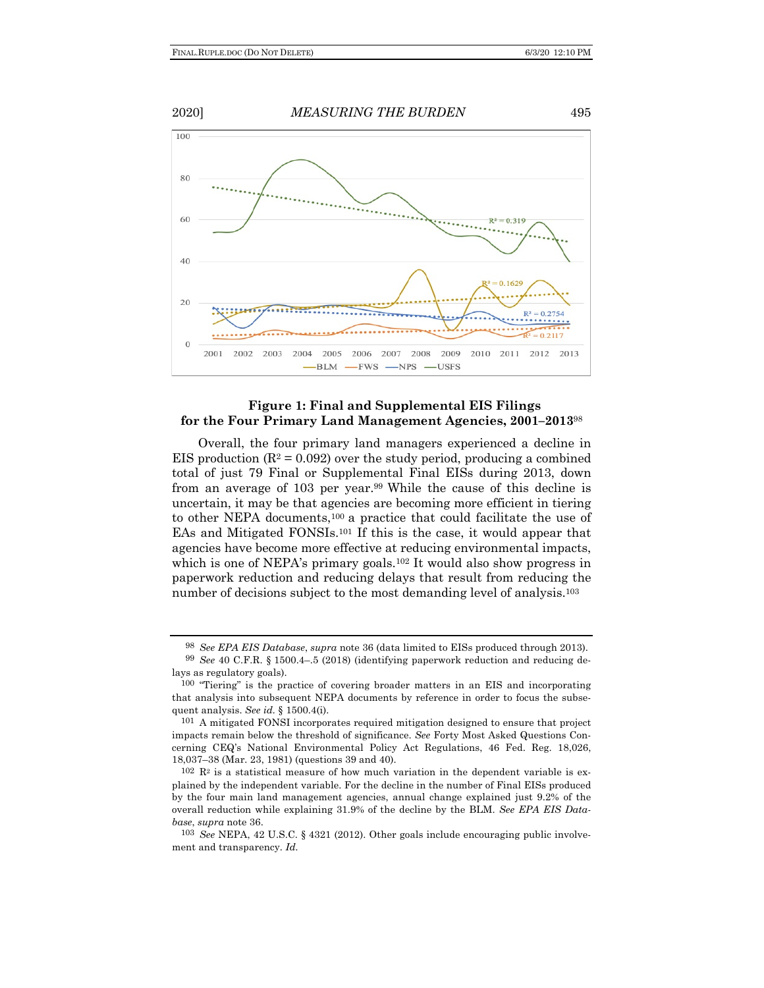

## **Figure 1: Final and Supplemental EIS Filings for the Four Primary Land Management Agencies, 2001–2013**<sup>98</sup>

Overall, the four primary land managers experienced a decline in EIS production  $(R^2 = 0.092)$  over the study period, producing a combined total of just 79 Final or Supplemental Final EISs during 2013, down from an average of 103 per year.99 While the cause of this decline is uncertain, it may be that agencies are becoming more efficient in tiering to other NEPA documents,100 a practice that could facilitate the use of EAs and Mitigated FONSIs.101 If this is the case, it would appear that agencies have become more effective at reducing environmental impacts, which is one of NEPA's primary goals.<sup>102</sup> It would also show progress in paperwork reduction and reducing delays that result from reducing the number of decisions subject to the most demanding level of analysis.<sup>103</sup>

<sup>98</sup> *See EPA EIS Database*, *supra* note 36 (data limited to EISs produced through 2013).

<sup>99</sup> *See* 40 C.F.R. § 1500.4–.5 (2018) (identifying paperwork reduction and reducing delays as regulatory goals).

<sup>100</sup> "Tiering" is the practice of covering broader matters in an EIS and incorporating that analysis into subsequent NEPA documents by reference in order to focus the subsequent analysis. *See id.* § 1500.4(i).

<sup>101</sup> A mitigated FONSI incorporates required mitigation designed to ensure that project impacts remain below the threshold of significance. *See* Forty Most Asked Questions Concerning CEQ's National Environmental Policy Act Regulations, 46 Fed. Reg. 18,026, 18,037–38 (Mar. 23, 1981) (questions 39 and 40).

 $102 \text{ R}^2$  is a statistical measure of how much variation in the dependent variable is explained by the independent variable. For the decline in the number of Final EISs produced by the four main land management agencies, annual change explained just 9.2% of the overall reduction while explaining 31.9% of the decline by the BLM. *See EPA EIS Database*, *supra* note 36.

<sup>103</sup> *See* NEPA, 42 U.S.C. § 4321 (2012). Other goals include encouraging public involvement and transparency. *Id.*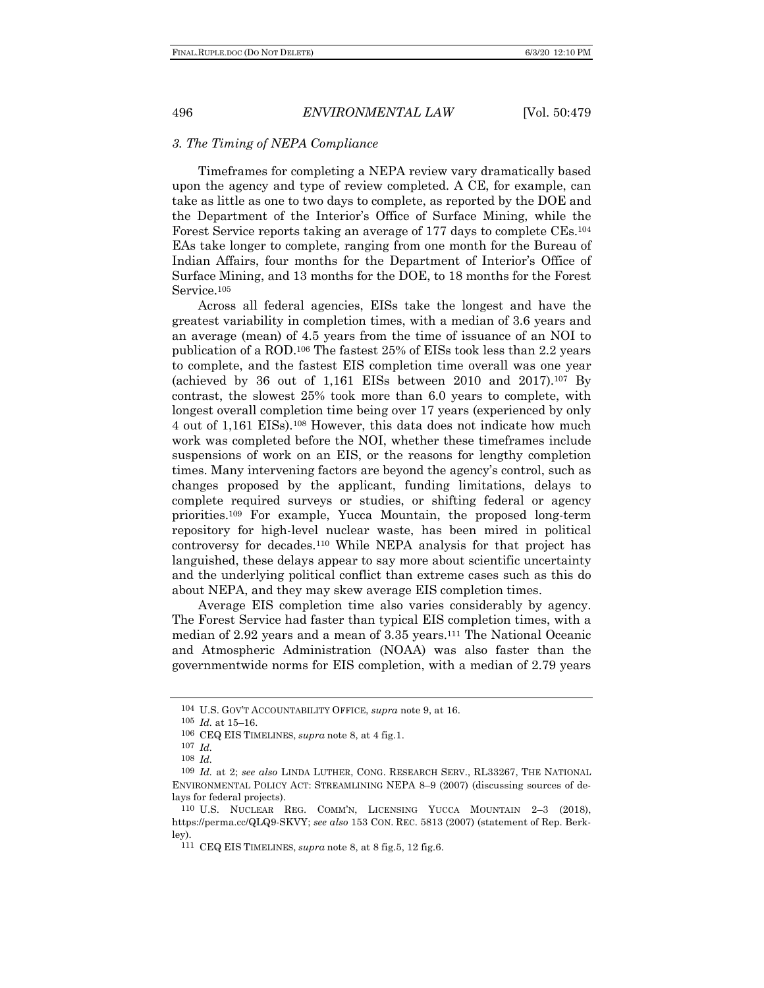### *3. The Timing of NEPA Compliance*

Timeframes for completing a NEPA review vary dramatically based upon the agency and type of review completed. A CE, for example, can take as little as one to two days to complete, as reported by the DOE and the Department of the Interior's Office of Surface Mining, while the Forest Service reports taking an average of 177 days to complete CEs.104 EAs take longer to complete, ranging from one month for the Bureau of Indian Affairs, four months for the Department of Interior's Office of Surface Mining, and 13 months for the DOE, to 18 months for the Forest Service.<sup>105</sup>

Across all federal agencies, EISs take the longest and have the greatest variability in completion times, with a median of 3.6 years and an average (mean) of 4.5 years from the time of issuance of an NOI to publication of a ROD.106 The fastest 25% of EISs took less than 2.2 years to complete, and the fastest EIS completion time overall was one year (achieved by 36 out of 1,161 EISs between 2010 and 2017).<sup>107</sup> By contrast, the slowest 25% took more than 6.0 years to complete, with longest overall completion time being over 17 years (experienced by only 4 out of 1,161 EISs).108 However, this data does not indicate how much work was completed before the NOI, whether these timeframes include suspensions of work on an EIS, or the reasons for lengthy completion times. Many intervening factors are beyond the agency's control, such as changes proposed by the applicant, funding limitations, delays to complete required surveys or studies, or shifting federal or agency priorities.109 For example, Yucca Mountain, the proposed long-term repository for high-level nuclear waste, has been mired in political controversy for decades.110 While NEPA analysis for that project has languished, these delays appear to say more about scientific uncertainty and the underlying political conflict than extreme cases such as this do about NEPA, and they may skew average EIS completion times.

Average EIS completion time also varies considerably by agency. The Forest Service had faster than typical EIS completion times, with a median of 2.92 years and a mean of 3.35 years.111 The National Oceanic and Atmospheric Administration (NOAA) was also faster than the governmentwide norms for EIS completion, with a median of 2.79 years

<sup>104</sup> U.S. GOV'T ACCOUNTABILITY OFFICE, *supra* note 9, at 16.

<sup>105</sup> *Id.* at 15–16.

<sup>106</sup> CEQ EIS TIMELINES, *supra* note 8, at 4 fig.1.

<sup>107</sup> *Id.*

<sup>108</sup> *Id.*

<sup>109</sup> *Id.* at 2; *see also* LINDA LUTHER, CONG. RESEARCH SERV., RL33267, THE NATIONAL ENVIRONMENTAL POLICY ACT: STREAMLINING NEPA 8–9 (2007) (discussing sources of delays for federal projects).

<sup>110</sup> U.S. NUCLEAR REG. COMM'N, LICENSING YUCCA MOUNTAIN 2–3 (2018), https://perma.cc/QLQ9-SKVY; *see also* 153 CON. REC. 5813 (2007) (statement of Rep. Berkley).

<sup>111</sup> CEQ EIS TIMELINES, *supra* note 8, at 8 fig.5, 12 fig.6.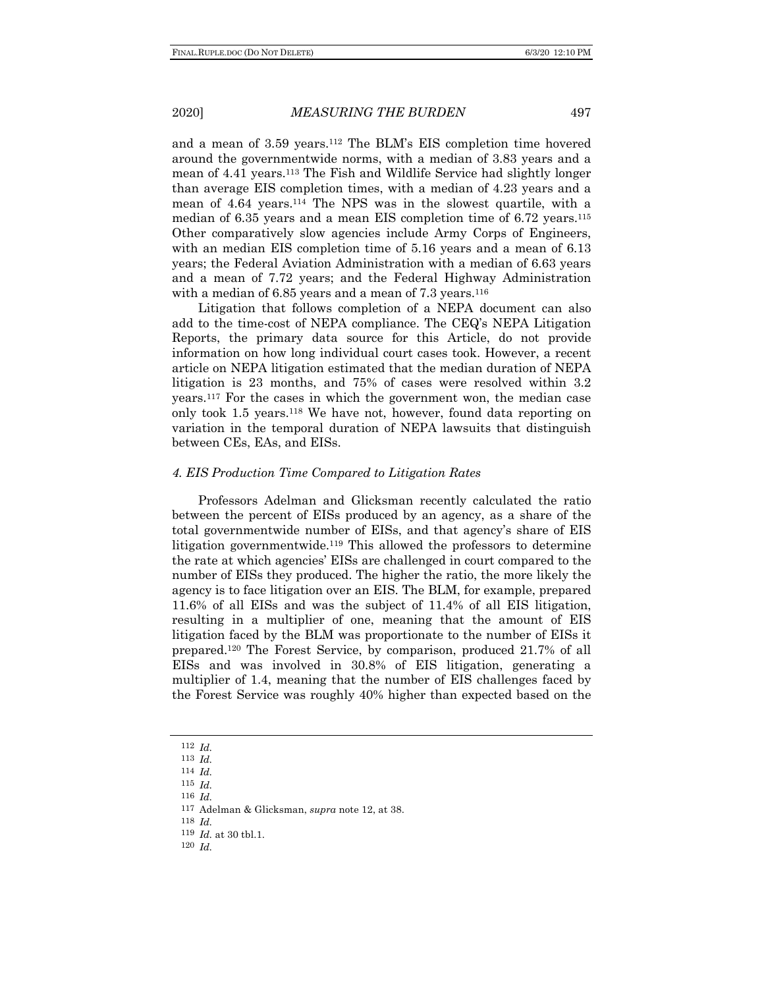and a mean of 3.59 years.112 The BLM's EIS completion time hovered around the governmentwide norms, with a median of 3.83 years and a mean of 4.41 years.113 The Fish and Wildlife Service had slightly longer than average EIS completion times, with a median of 4.23 years and a mean of 4.64 years.114 The NPS was in the slowest quartile, with a median of 6.35 years and a mean EIS completion time of 6.72 years.115 Other comparatively slow agencies include Army Corps of Engineers, with an median EIS completion time of 5.16 years and a mean of 6.13 years; the Federal Aviation Administration with a median of 6.63 years and a mean of 7.72 years; and the Federal Highway Administration with a median of  $6.85$  years and a mean of  $7.3$  years.<sup>116</sup>

Litigation that follows completion of a NEPA document can also add to the time-cost of NEPA compliance. The CEQ's NEPA Litigation Reports, the primary data source for this Article, do not provide information on how long individual court cases took. However, a recent article on NEPA litigation estimated that the median duration of NEPA litigation is 23 months, and 75% of cases were resolved within 3.2 years.117 For the cases in which the government won, the median case only took 1.5 years.118 We have not, however, found data reporting on variation in the temporal duration of NEPA lawsuits that distinguish between CEs, EAs, and EISs.

### *4. EIS Production Time Compared to Litigation Rates*

Professors Adelman and Glicksman recently calculated the ratio between the percent of EISs produced by an agency, as a share of the total governmentwide number of EISs, and that agency's share of EIS litigation governmentwide.<sup>119</sup> This allowed the professors to determine the rate at which agencies' EISs are challenged in court compared to the number of EISs they produced. The higher the ratio, the more likely the agency is to face litigation over an EIS. The BLM, for example, prepared 11.6% of all EISs and was the subject of 11.4% of all EIS litigation, resulting in a multiplier of one, meaning that the amount of EIS litigation faced by the BLM was proportionate to the number of EISs it prepared.120 The Forest Service, by comparison, produced 21.7% of all EISs and was involved in 30.8% of EIS litigation, generating a multiplier of 1.4, meaning that the number of EIS challenges faced by the Forest Service was roughly 40% higher than expected based on the

- 115 *Id.*
- 116 *Id.*

118 *Id.*

<sup>112</sup> *Id.*

<sup>113</sup> *Id.*

<sup>114</sup> *Id.*

<sup>117</sup> Adelman & Glicksman, *supra* note 12, at 38.

<sup>119</sup> *Id.* at 30 tbl.1.

<sup>120</sup> *Id.*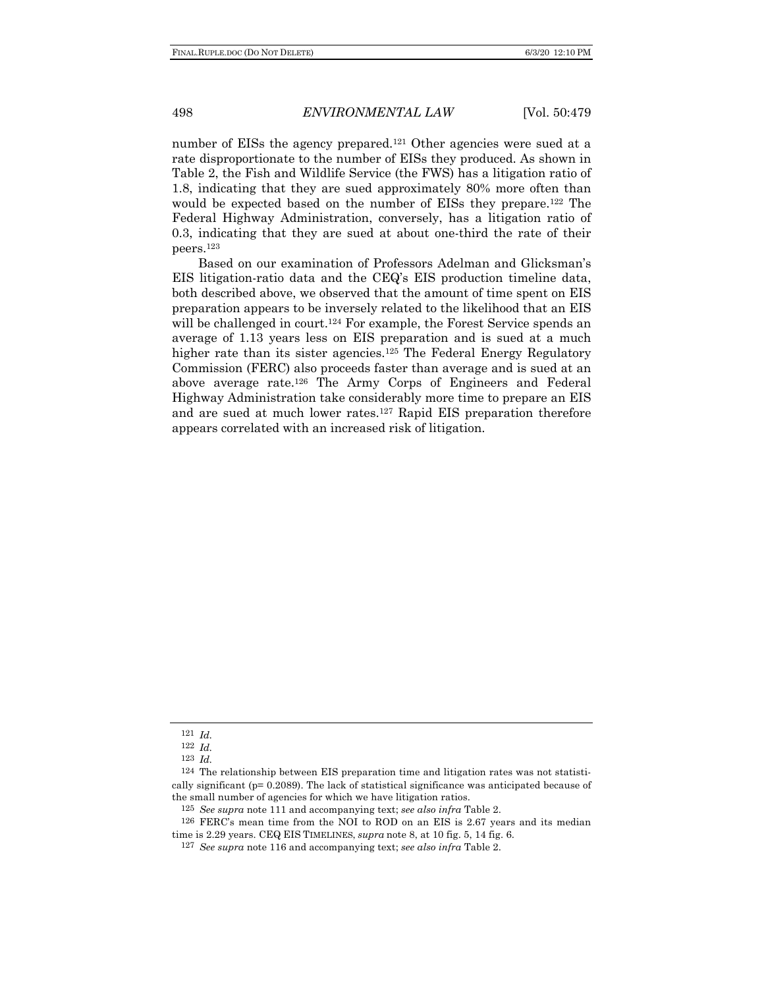number of EISs the agency prepared.<sup>121</sup> Other agencies were sued at a rate disproportionate to the number of EISs they produced. As shown in Table 2, the Fish and Wildlife Service (the FWS) has a litigation ratio of 1.8, indicating that they are sued approximately 80% more often than would be expected based on the number of EISs they prepare.122 The Federal Highway Administration, conversely, has a litigation ratio of 0.3, indicating that they are sued at about one-third the rate of their peers.123

Based on our examination of Professors Adelman and Glicksman's EIS litigation-ratio data and the CEQ's EIS production timeline data, both described above, we observed that the amount of time spent on EIS preparation appears to be inversely related to the likelihood that an EIS will be challenged in court.<sup>124</sup> For example, the Forest Service spends an average of 1.13 years less on EIS preparation and is sued at a much higher rate than its sister agencies.<sup>125</sup> The Federal Energy Regulatory Commission (FERC) also proceeds faster than average and is sued at an above average rate.126 The Army Corps of Engineers and Federal Highway Administration take considerably more time to prepare an EIS and are sued at much lower rates.127 Rapid EIS preparation therefore appears correlated with an increased risk of litigation.

<sup>121</sup> *Id.*

<sup>122</sup> *Id.*

<sup>123</sup> *Id.*

<sup>124</sup> The relationship between EIS preparation time and litigation rates was not statistically significant (p= 0.2089). The lack of statistical significance was anticipated because of the small number of agencies for which we have litigation ratios.

<sup>125</sup> *See supra* note 111 and accompanying text; *see also infra* Table 2.

<sup>126</sup> FERC's mean time from the NOI to ROD on an EIS is 2.67 years and its median time is 2.29 years. CEQ EIS TIMELINES, *supra* note 8, at 10 fig. 5, 14 fig. 6.

<sup>127</sup> *See supra* note 116 and accompanying text; *see also infra* Table 2.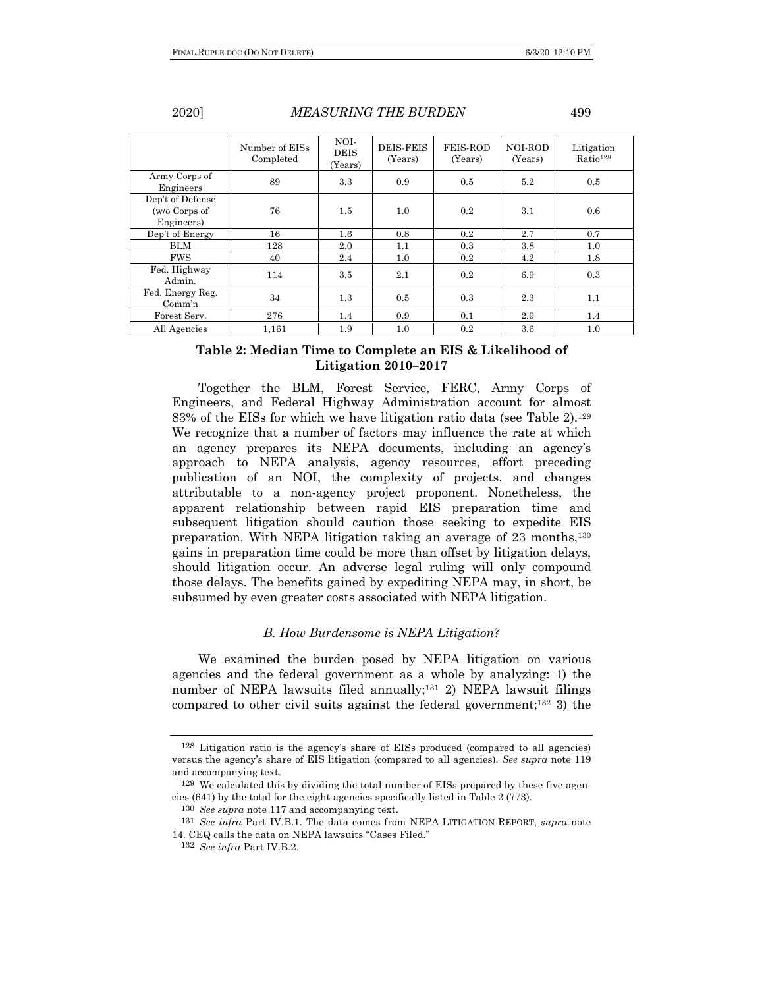|                                                 | Number of EISs<br>Completed | NOI-<br><b>DEIS</b><br>(Years) | <b>DEIS-FEIS</b><br>(Years) | <b>FEIS-ROD</b><br>(Years) | NOI-ROD<br>(Years) | Litigation<br>Ratio <sup>128</sup> |
|-------------------------------------------------|-----------------------------|--------------------------------|-----------------------------|----------------------------|--------------------|------------------------------------|
| Army Corps of<br>Engineers                      | 89                          | 3.3                            | 0.9                         | 0.5                        | 5.2                | 0.5                                |
| Dep't of Defense<br>(w/o Corps of<br>Engineers) | 76                          | $1.5\,$                        | 1.0                         | 0.2                        | 3.1                | 0.6                                |
| Dep't of Energy                                 | 16                          | $1.6\,$                        | 0.8                         | 0.2                        | 2.7                | 0.7                                |
| <b>BLM</b>                                      | 128                         | 2.0                            | 1.1                         | 0.3                        | 3.8                | 1.0                                |
| <b>FWS</b>                                      | 40                          | 2.4                            | 1.0                         | $0.2\,$                    | 4.2                | 1.8                                |
| Fed. Highway<br>Admin.                          | 114                         | $3.5\,$                        | 2.1                         | 0.2                        | 6.9                | 0.3                                |
| Fed. Energy Reg.<br>Comm'n                      | 34                          | 1.3                            | 0.5                         | 0.3                        | 2.3                | 1.1                                |
| Forest Serv.                                    | 276                         | 1.4                            | 0.9                         | 0.1                        | 2.9                | 1.4                                |
| All Agencies                                    | 1.161                       | 1.9                            | 1.0                         | 0.2                        | $3.6\,$            | 1.0                                |

## **Table 2: Median Time to Complete an EIS & Likelihood of Litigation 2010–2017**

Together the BLM, Forest Service, FERC, Army Corps of Engineers, and Federal Highway Administration account for almost 83% of the EISs for which we have litigation ratio data (see Table 2).129 We recognize that a number of factors may influence the rate at which an agency prepares its NEPA documents, including an agency's approach to NEPA analysis, agency resources, effort preceding publication of an NOI, the complexity of projects, and changes attributable to a non-agency project proponent. Nonetheless, the apparent relationship between rapid EIS preparation time and subsequent litigation should caution those seeking to expedite EIS preparation. With NEPA litigation taking an average of 23 months,130 gains in preparation time could be more than offset by litigation delays, should litigation occur. An adverse legal ruling will only compound those delays. The benefits gained by expediting NEPA may, in short, be subsumed by even greater costs associated with NEPA litigation.

### *B. How Burdensome is NEPA Litigation?*

We examined the burden posed by NEPA litigation on various agencies and the federal government as a whole by analyzing: 1) the number of NEPA lawsuits filed annually;131 2) NEPA lawsuit filings compared to other civil suits against the federal government;<sup>132</sup> 3) the

<sup>128</sup> Litigation ratio is the agency's share of EISs produced (compared to all agencies) versus the agency's share of EIS litigation (compared to all agencies). *See supra* note 119 and accompanying text.

<sup>129</sup> We calculated this by dividing the total number of EISs prepared by these five agencies (641) by the total for the eight agencies specifically listed in Table 2 (773).

<sup>130</sup> *See supra* note 117 and accompanying text.

<sup>131</sup> *See infra* Part IV.B.1. The data comes from NEPA LITIGATION REPORT, *supra* note 14. CEQ calls the data on NEPA lawsuits "Cases Filed."

<sup>132</sup> *See infra* Part IV.B.2.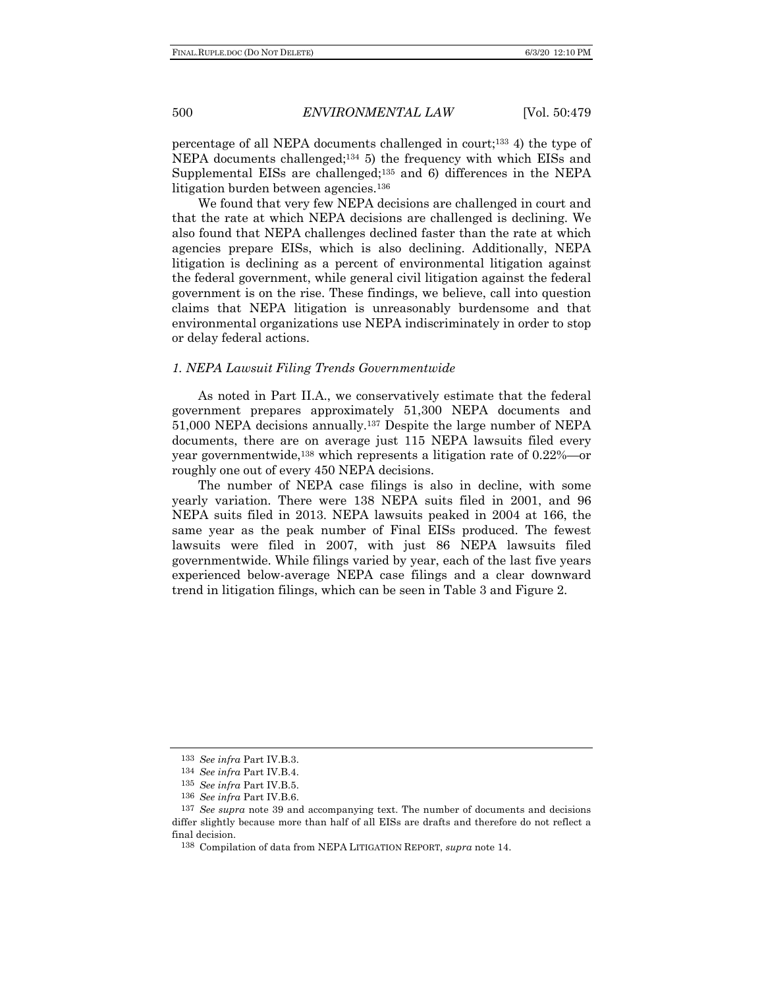percentage of all NEPA documents challenged in court;133 4) the type of NEPA documents challenged;134 5) the frequency with which EISs and Supplemental EISs are challenged;<sup>135</sup> and 6) differences in the NEPA litigation burden between agencies.<sup>136</sup>

We found that very few NEPA decisions are challenged in court and that the rate at which NEPA decisions are challenged is declining. We also found that NEPA challenges declined faster than the rate at which agencies prepare EISs, which is also declining. Additionally, NEPA litigation is declining as a percent of environmental litigation against the federal government, while general civil litigation against the federal government is on the rise. These findings, we believe, call into question claims that NEPA litigation is unreasonably burdensome and that environmental organizations use NEPA indiscriminately in order to stop or delay federal actions.

#### *1. NEPA Lawsuit Filing Trends Governmentwide*

As noted in Part II.A., we conservatively estimate that the federal government prepares approximately 51,300 NEPA documents and 51,000 NEPA decisions annually.137 Despite the large number of NEPA documents, there are on average just 115 NEPA lawsuits filed every year governmentwide,138 which represents a litigation rate of 0.22%—or roughly one out of every 450 NEPA decisions.

The number of NEPA case filings is also in decline, with some yearly variation. There were 138 NEPA suits filed in 2001, and 96 NEPA suits filed in 2013. NEPA lawsuits peaked in 2004 at 166, the same year as the peak number of Final EISs produced. The fewest lawsuits were filed in 2007, with just 86 NEPA lawsuits filed governmentwide. While filings varied by year, each of the last five years experienced below-average NEPA case filings and a clear downward trend in litigation filings, which can be seen in Table 3 and Figure 2.

<sup>133</sup> *See infra* Part IV.B.3.

<sup>134</sup> *See infra* Part IV.B.4.

<sup>135</sup> *See infra* Part IV.B.5.

<sup>136</sup> *See infra* Part IV.B.6.

<sup>137</sup> *See supra* note 39 and accompanying text. The number of documents and decisions differ slightly because more than half of all EISs are drafts and therefore do not reflect a final decision.

<sup>138</sup> Compilation of data from NEPA LITIGATION REPORT, *supra* note 14.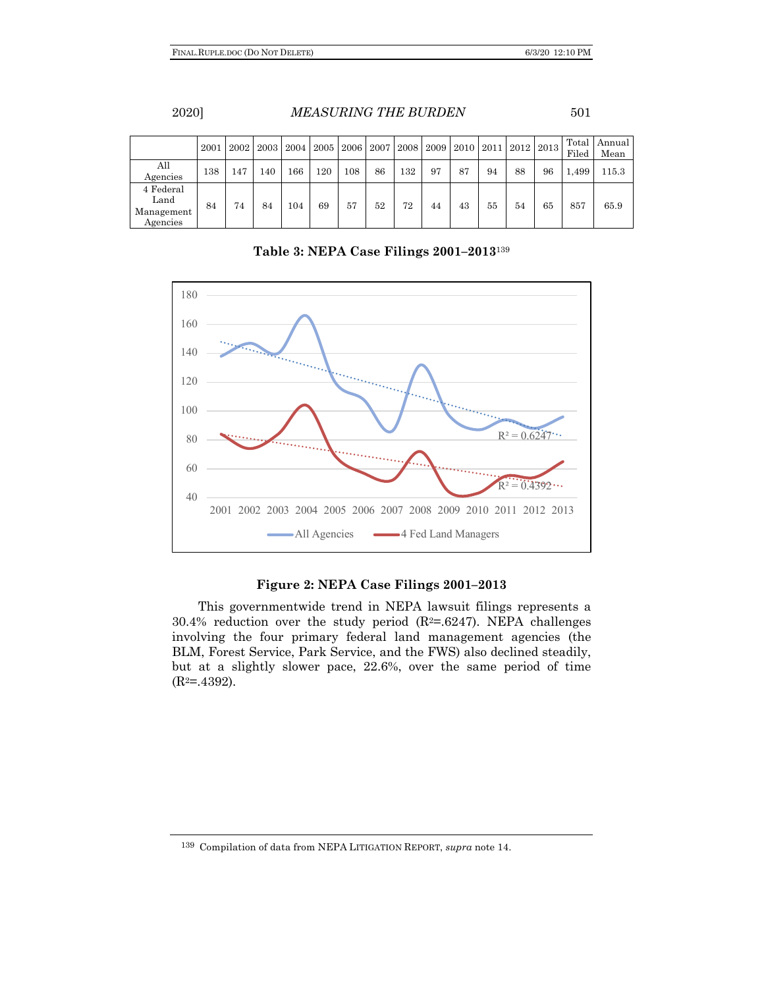|                                             | 2001 | 2002 | 2003 | 2004 |     | 2005   2006   2007 |    |     | 2008 2009 2010 |    |    | 2011   2012   2013 |    | Total<br>Filed | Annual  <br>Mean |
|---------------------------------------------|------|------|------|------|-----|--------------------|----|-----|----------------|----|----|--------------------|----|----------------|------------------|
| All<br>Agencies                             | 138  | 147  | 140  | 166  | 120 | 108                | 86 | 132 | 97             | 87 | 94 | 88                 | 96 | 1,499          | 115.3            |
| 4 Federal<br>Land<br>Management<br>Agencies | 84   | 74   | 84   | 104  | 69  | 57                 | 52 | 72  | 44             | 43 | 55 | 54                 | 65 | 857            | 65.9             |

**Table 3: NEPA Case Filings 2001–2013**<sup>139</sup>



## **Figure 2: NEPA Case Filings 2001–2013**

This governmentwide trend in NEPA lawsuit filings represents a 30.4% reduction over the study period  $(R^2=0.6247)$ . NEPA challenges involving the four primary federal land management agencies (the BLM, Forest Service, Park Service, and the FWS) also declined steadily, but at a slightly slower pace, 22.6%, over the same period of time  $(R<sup>2</sup>=.4392)$ .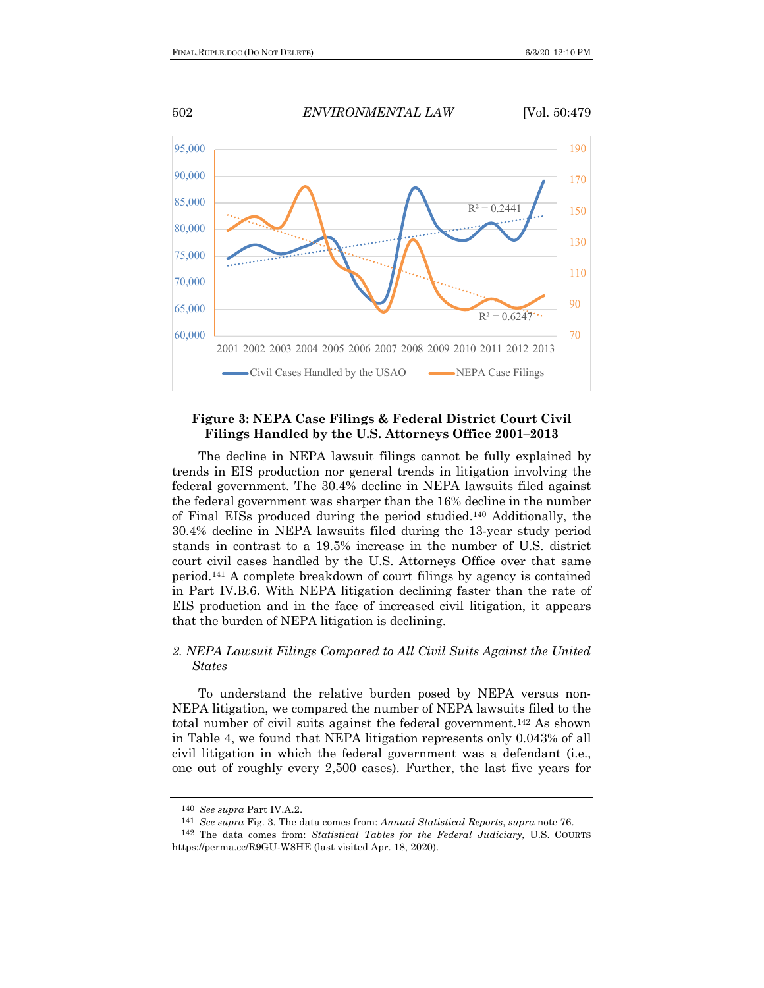

## **Figure 3: NEPA Case Filings & Federal District Court Civil Filings Handled by the U.S. Attorneys Office 2001–2013**

The decline in NEPA lawsuit filings cannot be fully explained by trends in EIS production nor general trends in litigation involving the federal government. The 30.4% decline in NEPA lawsuits filed against the federal government was sharper than the 16% decline in the number of Final EISs produced during the period studied.140 Additionally, the 30.4% decline in NEPA lawsuits filed during the 13-year study period stands in contrast to a 19.5% increase in the number of U.S. district court civil cases handled by the U.S. Attorneys Office over that same period.141 A complete breakdown of court filings by agency is contained in Part IV.B.6. With NEPA litigation declining faster than the rate of EIS production and in the face of increased civil litigation, it appears that the burden of NEPA litigation is declining.

# *2. NEPA Lawsuit Filings Compared to All Civil Suits Against the United States*

To understand the relative burden posed by NEPA versus non-NEPA litigation, we compared the number of NEPA lawsuits filed to the total number of civil suits against the federal government.142 As shown in Table 4, we found that NEPA litigation represents only 0.043% of all civil litigation in which the federal government was a defendant (i.e., one out of roughly every 2,500 cases). Further, the last five years for

<sup>140</sup> *See supra* Part IV.A.2.

<sup>141</sup> *See supra* Fig. 3. The data comes from: *Annual Statistical Reports*, *supra* note 76.

<sup>142</sup> The data comes from: *Statistical Tables for the Federal Judiciary*, U.S. COURTS https://perma.cc/R9GU-W8HE (last visited Apr. 18, 2020).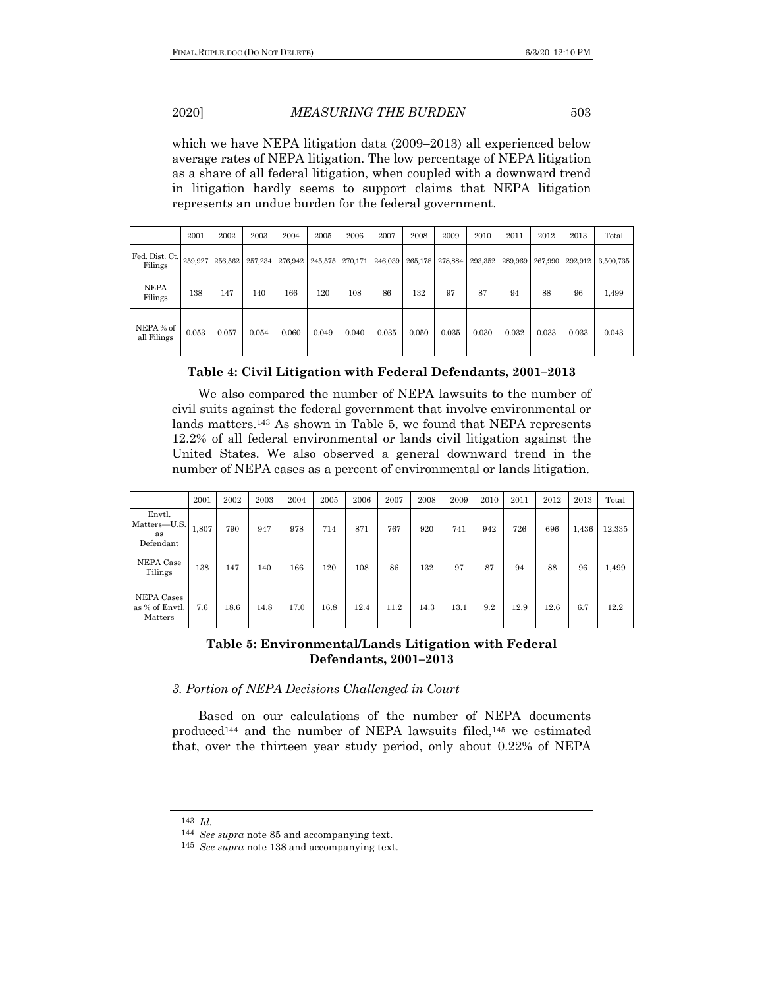which we have NEPA litigation data (2009–2013) all experienced below average rates of NEPA litigation. The low percentage of NEPA litigation as a share of all federal litigation, when coupled with a downward trend in litigation hardly seems to support claims that NEPA litigation represents an undue burden for the federal government.

|                           | 2001    | 2002    | 2003    | 2004    | 2005    | 2006            | 2007  | 2008  | 2009            | 2010  | 2011                    | 2012  | 2013    | Total     |
|---------------------------|---------|---------|---------|---------|---------|-----------------|-------|-------|-----------------|-------|-------------------------|-------|---------|-----------|
| Fed. Dist. Ct.<br>Filings | 259,927 | 256,562 | 257,234 | 276,942 | 245,575 | 270,171 246,039 |       |       | 265,178 278,884 |       | 293,352 289,969 267,990 |       | 292,912 | 3,500,735 |
| <b>NEPA</b><br>Filings    | 138     | 147     | 140     | 166     | 120     | 108             | 86    | 132   | 97              | 87    | 94                      | 88    | 96      | 1,499     |
| NEPA % of<br>all Filings  | 0.053   | 0.057   | 0.054   | 0.060   | 0.049   | 0.040           | 0.035 | 0.050 | 0.035           | 0.030 | 0.032                   | 0.033 | 0.033   | 0.043     |

# **Table 4: Civil Litigation with Federal Defendants, 2001–2013**

We also compared the number of NEPA lawsuits to the number of civil suits against the federal government that involve environmental or lands matters.143 As shown in Table 5, we found that NEPA represents 12.2% of all federal environmental or lands civil litigation against the United States. We also observed a general downward trend in the number of NEPA cases as a percent of environmental or lands litigation.

|                                           | 2001  | 2002 | 2003 | 2004 | 2005 | 2006 | 2007 | 2008 | 2009 | 2010 | 2011 | 2012 | 2013  | Total  |
|-------------------------------------------|-------|------|------|------|------|------|------|------|------|------|------|------|-------|--------|
| Envtl.<br>Matters-U.S.<br>as<br>Defendant | 1,807 | 790  | 947  | 978  | 714  | 871  | 767  | 920  | 741  | 942  | 726  | 696  | 1,436 | 12,335 |
| NEPA Case<br>Filings                      | 138   | 147  | 140  | 166  | 120  | 108  | 86   | 132  | 97   | 87   | 94   | 88   | 96    | 1,499  |
| NEPA Cases<br>as % of Envtl.<br>Matters   | 7.6   | 18.6 | 14.8 | 17.0 | 16.8 | 12.4 | 11.2 | 14.3 | 13.1 | 9.2  | 12.9 | 12.6 | 6.7   | 12.2   |

# **Table 5: Environmental/Lands Litigation with Federal Defendants, 2001–2013**

## *3. Portion of NEPA Decisions Challenged in Court*

Based on our calculations of the number of NEPA documents produced144 and the number of NEPA lawsuits filed,145 we estimated that, over the thirteen year study period, only about 0.22% of NEPA

<sup>143</sup> *Id.* 

<sup>144</sup> *See supra* note 85 and accompanying text.

<sup>145</sup> *See supra* note 138 and accompanying text.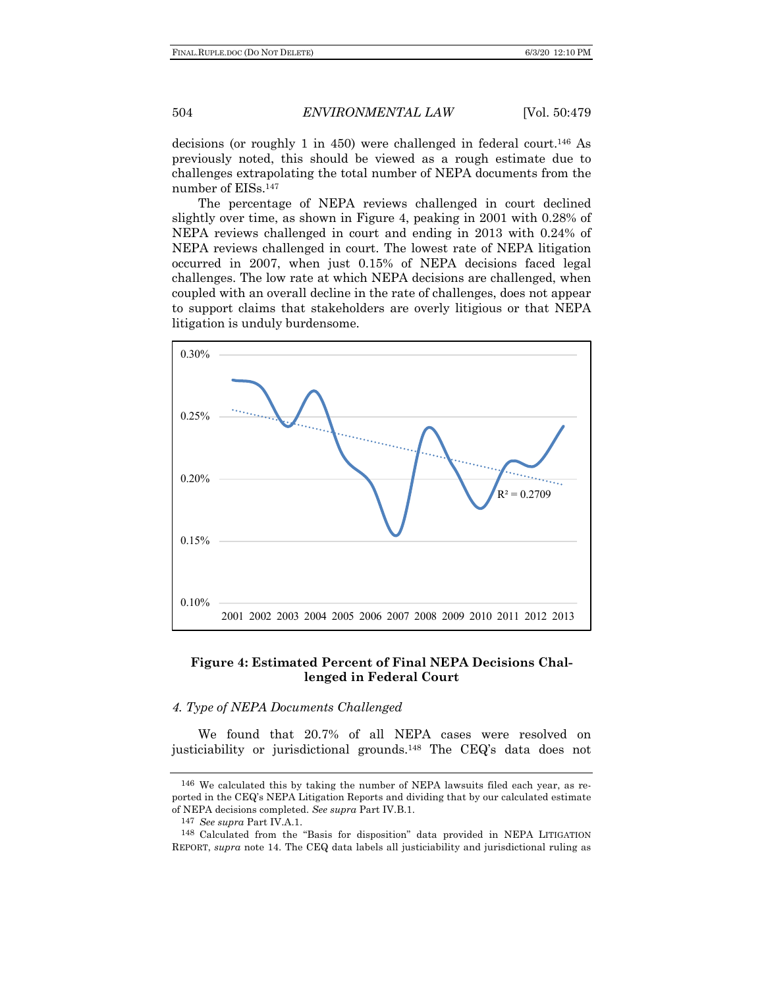decisions (or roughly 1 in 450) were challenged in federal court.<sup>146</sup> As previously noted, this should be viewed as a rough estimate due to challenges extrapolating the total number of NEPA documents from the number of EISs.147

The percentage of NEPA reviews challenged in court declined slightly over time, as shown in Figure 4, peaking in 2001 with 0.28% of NEPA reviews challenged in court and ending in 2013 with 0.24% of NEPA reviews challenged in court. The lowest rate of NEPA litigation occurred in 2007, when just 0.15% of NEPA decisions faced legal challenges. The low rate at which NEPA decisions are challenged, when coupled with an overall decline in the rate of challenges, does not appear to support claims that stakeholders are overly litigious or that NEPA litigation is unduly burdensome.



## **Figure 4: Estimated Percent of Final NEPA Decisions Challenged in Federal Court**

### *4. Type of NEPA Documents Challenged*

We found that 20.7% of all NEPA cases were resolved on justiciability or jurisdictional grounds.148 The CEQ's data does not

<sup>146</sup> We calculated this by taking the number of NEPA lawsuits filed each year, as reported in the CEQ's NEPA Litigation Reports and dividing that by our calculated estimate of NEPA decisions completed. *See supra* Part IV.B.1.

<sup>147</sup> *See supra* Part IV.A.1.

<sup>148</sup> Calculated from the "Basis for disposition" data provided in NEPA LITIGATION REPORT, *supra* note 14. The CEQ data labels all justiciability and jurisdictional ruling as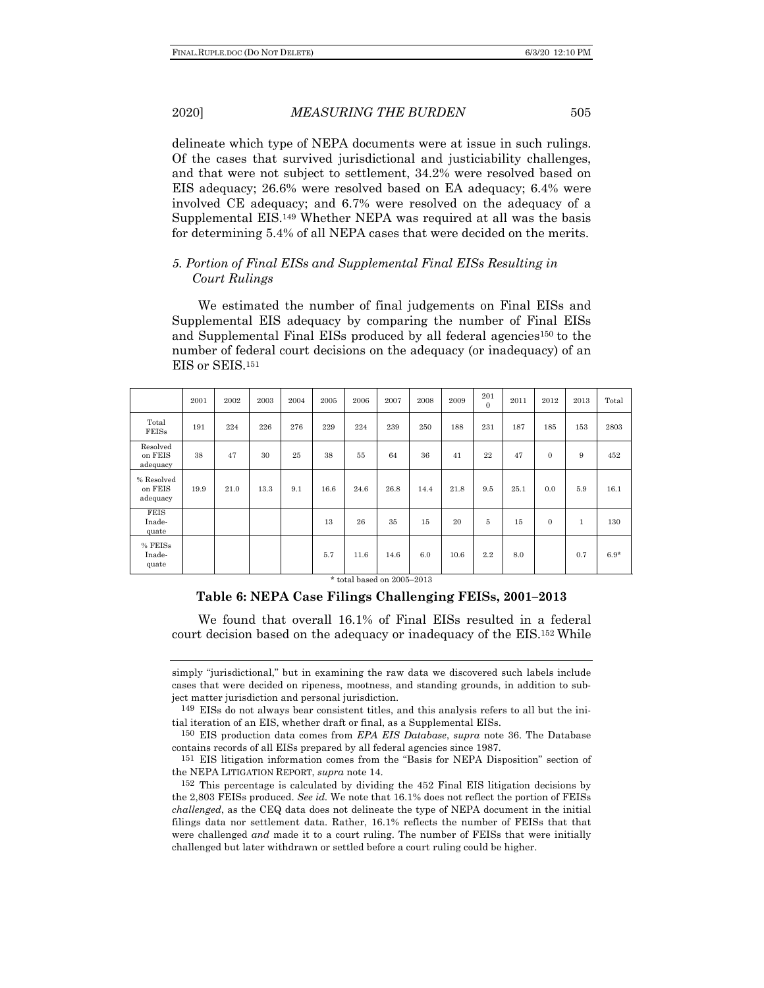delineate which type of NEPA documents were at issue in such rulings. Of the cases that survived jurisdictional and justiciability challenges, and that were not subject to settlement, 34.2% were resolved based on EIS adequacy; 26.6% were resolved based on EA adequacy; 6.4% were involved CE adequacy; and 6.7% were resolved on the adequacy of a Supplemental EIS.149 Whether NEPA was required at all was the basis for determining 5.4% of all NEPA cases that were decided on the merits.

## *5. Portion of Final EISs and Supplemental Final EISs Resulting in Court Rulings*

We estimated the number of final judgements on Final EISs and Supplemental EIS adequacy by comparing the number of Final EISs and Supplemental Final EISs produced by all federal agencies<sup>150</sup> to the number of federal court decisions on the adequacy (or inadequacy) of an EIS or SEIS.151

|                                   | 2001 | 2002 | 2003 | 2004 | 2005 | 2006 | 2007 | 2008 | 2009 | 201<br>$\Omega$ | 2011 | 2012     | 2013         | Total  |
|-----------------------------------|------|------|------|------|------|------|------|------|------|-----------------|------|----------|--------------|--------|
| Total<br><b>FEISs</b>             | 191  | 224  | 226  | 276  | 229  | 224  | 239  | 250  | 188  | 231             | 187  | 185      | 153          | 2803   |
| Resolved<br>on FEIS<br>adequacy   | 38   | 47   | 30   | 25   | 38   | 55   | 64   | 36   | 41   | 22              | 47   | $\Omega$ | 9            | 452    |
| % Resolved<br>on FEIS<br>adequacy | 19.9 | 21.0 | 13.3 | 9.1  | 16.6 | 24.6 | 26.8 | 14.4 | 21.8 | 9.5             | 25.1 | 0.0      | 5.9          | 16.1   |
| <b>FEIS</b><br>Inade-<br>quate    |      |      |      |      | 13   | 26   | 35   | 15   | 20   | 5               | 15   | $\Omega$ | $\mathbf{1}$ | 130    |
| % FEISs<br>Inade-<br>quate        |      |      |      |      | 5.7  | 11.6 | 14.6 | 6.0  | 10.6 | 2.2             | 8.0  |          | 0.7          | $6.9*$ |

\* total based on 2005–2013

### **Table 6: NEPA Case Filings Challenging FEISs, 2001–2013**

We found that overall 16.1% of Final EISs resulted in a federal court decision based on the adequacy or inadequacy of the EIS.152 While

simply "jurisdictional," but in examining the raw data we discovered such labels include cases that were decided on ripeness, mootness, and standing grounds, in addition to subject matter jurisdiction and personal jurisdiction.

<sup>149</sup> EISs do not always bear consistent titles, and this analysis refers to all but the initial iteration of an EIS, whether draft or final, as a Supplemental EISs.

<sup>150</sup> EIS production data comes from *EPA EIS Database*, *supra* note 36. The Database contains records of all EISs prepared by all federal agencies since 1987.

<sup>151</sup> EIS litigation information comes from the "Basis for NEPA Disposition" section of the NEPA LITIGATION REPORT, *supra* note 14.

<sup>152</sup> This percentage is calculated by dividing the 452 Final EIS litigation decisions by the 2,803 FEISs produced. *See id.* We note that 16.1% does not reflect the portion of FEISs *challenged*, as the CEQ data does not delineate the type of NEPA document in the initial filings data nor settlement data. Rather, 16.1% reflects the number of FEISs that that were challenged *and* made it to a court ruling. The number of FEISs that were initially challenged but later withdrawn or settled before a court ruling could be higher.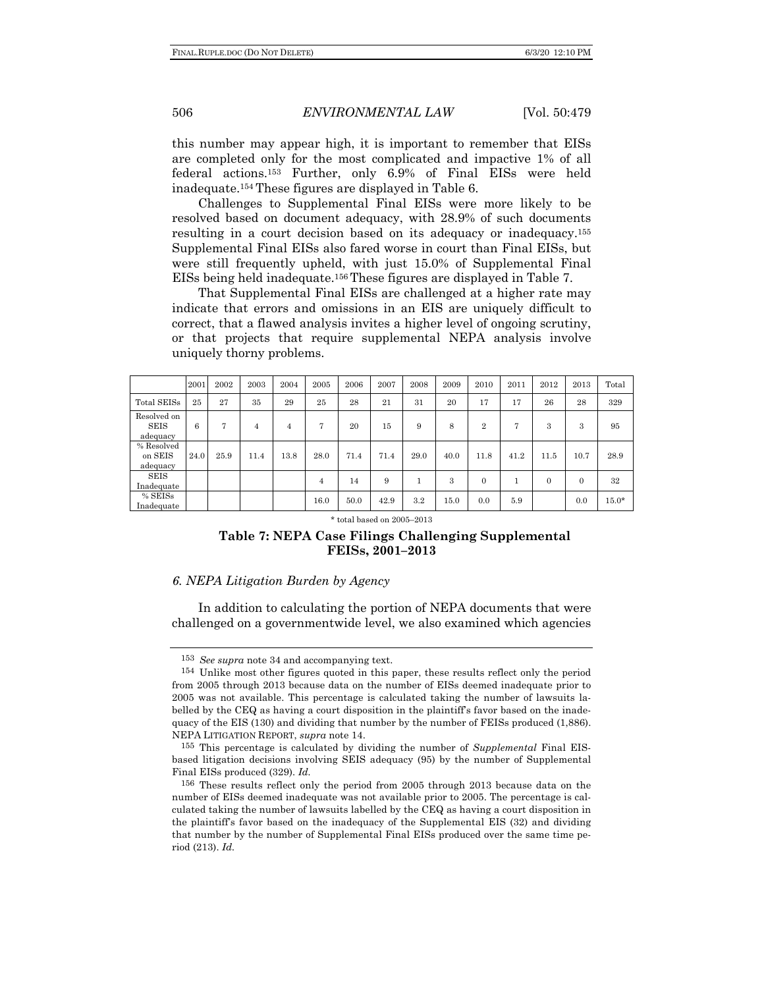this number may appear high, it is important to remember that EISs are completed only for the most complicated and impactive 1% of all federal actions.153 Further, only 6.9% of Final EISs were held inadequate.154 These figures are displayed in Table 6.

Challenges to Supplemental Final EISs were more likely to be resolved based on document adequacy, with 28.9% of such documents resulting in a court decision based on its adequacy or inadequacy.155 Supplemental Final EISs also fared worse in court than Final EISs, but were still frequently upheld, with just 15.0% of Supplemental Final EISs being held inadequate.156 These figures are displayed in Table 7.

That Supplemental Final EISs are challenged at a higher rate may indicate that errors and omissions in an EIS are uniquely difficult to correct, that a flawed analysis invites a higher level of ongoing scrutiny, or that projects that require supplemental NEPA analysis involve uniquely thorny problems.

|                                        | 2001 | 2002 | 2003 | 2004 | 2005           | 2006 | 2007 | 2008 | 2009 | 2010           | 2011 | 2012     | 2013     | Total   |
|----------------------------------------|------|------|------|------|----------------|------|------|------|------|----------------|------|----------|----------|---------|
| Total SEISs                            | 25   | 27   | 35   | 29   | 25             | 28   | 21   | 31   | 20   | 17             | 17   | 26       | 28       | 329     |
| Resolved on<br><b>SEIS</b><br>adequacy | 6    | 7    | 4    | 4    | 7              | 20   | 15   | 9    | 8    | $\overline{2}$ | 7    | 3        | 3        | 95      |
| % Resolved<br>on SEIS<br>adequacy      | 24.0 | 25.9 | 11.4 | 13.8 | 28.0           | 71.4 | 71.4 | 29.0 | 40.0 | 11.8           | 41.2 | 11.5     | 10.7     | 28.9    |
| <b>SEIS</b><br>Inadequate              |      |      |      |      | $\overline{4}$ | 14   | 9    |      | 3    | $\Omega$       |      | $\theta$ | $\Omega$ | 32      |
| % SEISs<br>Inadequate                  |      |      |      |      | 16.0           | 50.0 | 42.9 | 3.2  | 15.0 | 0.0            | 5.9  |          | 0.0      | $15.0*$ |

#### \* total based on 2005–2013

## **Table 7: NEPA Case Filings Challenging Supplemental FEISs, 2001–2013**

### *6. NEPA Litigation Burden by Agency*

In addition to calculating the portion of NEPA documents that were challenged on a governmentwide level, we also examined which agencies

<sup>153</sup> *See supra* note 34 and accompanying text.

<sup>154</sup> Unlike most other figures quoted in this paper, these results reflect only the period from 2005 through 2013 because data on the number of EISs deemed inadequate prior to 2005 was not available. This percentage is calculated taking the number of lawsuits labelled by the CEQ as having a court disposition in the plaintiff's favor based on the inadequacy of the EIS (130) and dividing that number by the number of FEISs produced (1,886). NEPA LITIGATION REPORT, *supra* note 14.

<sup>155</sup> This percentage is calculated by dividing the number of *Supplemental* Final EISbased litigation decisions involving SEIS adequacy (95) by the number of Supplemental Final EISs produced (329). *Id.*

<sup>156</sup> These results reflect only the period from 2005 through 2013 because data on the number of EISs deemed inadequate was not available prior to 2005. The percentage is calculated taking the number of lawsuits labelled by the CEQ as having a court disposition in the plaintiff's favor based on the inadequacy of the Supplemental EIS (32) and dividing that number by the number of Supplemental Final EISs produced over the same time period (213). *Id.*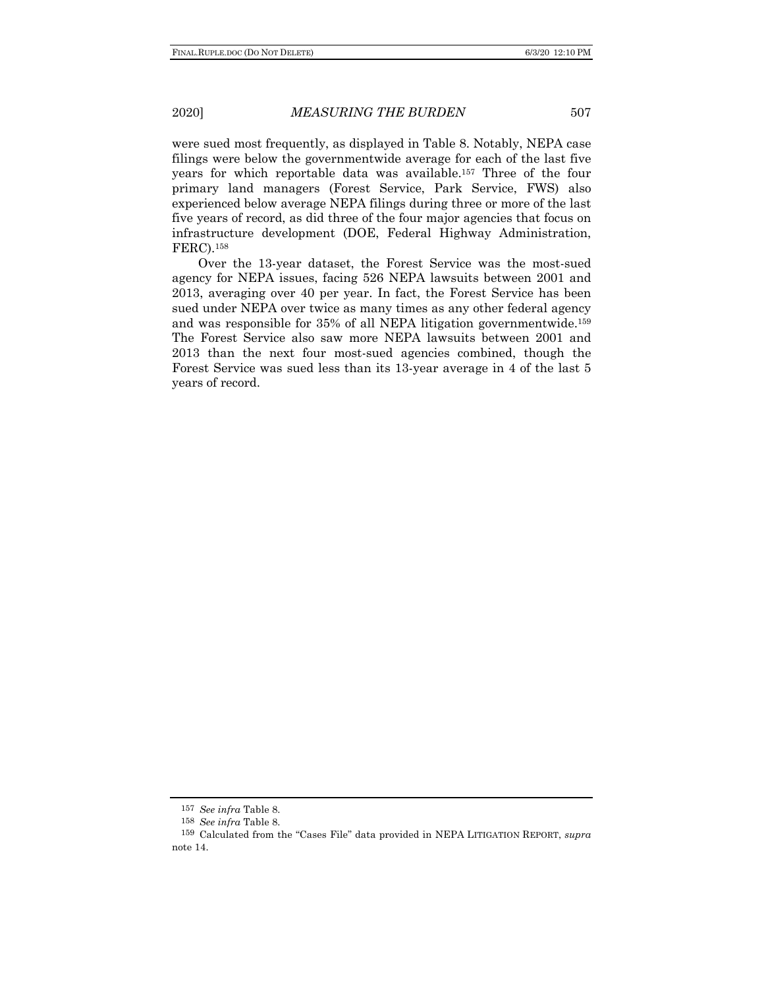were sued most frequently, as displayed in Table 8. Notably, NEPA case filings were below the governmentwide average for each of the last five years for which reportable data was available.157 Three of the four primary land managers (Forest Service, Park Service, FWS) also experienced below average NEPA filings during three or more of the last five years of record, as did three of the four major agencies that focus on infrastructure development (DOE, Federal Highway Administration, FERC).158

Over the 13-year dataset, the Forest Service was the most-sued agency for NEPA issues, facing 526 NEPA lawsuits between 2001 and 2013, averaging over 40 per year. In fact, the Forest Service has been sued under NEPA over twice as many times as any other federal agency and was responsible for 35% of all NEPA litigation governmentwide.159 The Forest Service also saw more NEPA lawsuits between 2001 and 2013 than the next four most-sued agencies combined, though the Forest Service was sued less than its 13-year average in 4 of the last 5 years of record.

<sup>157</sup> *See infra* Table 8.

<sup>158</sup> *See infra* Table 8.

<sup>159</sup> Calculated from the "Cases File" data provided in NEPA LITIGATION REPORT, *supra*  note 14.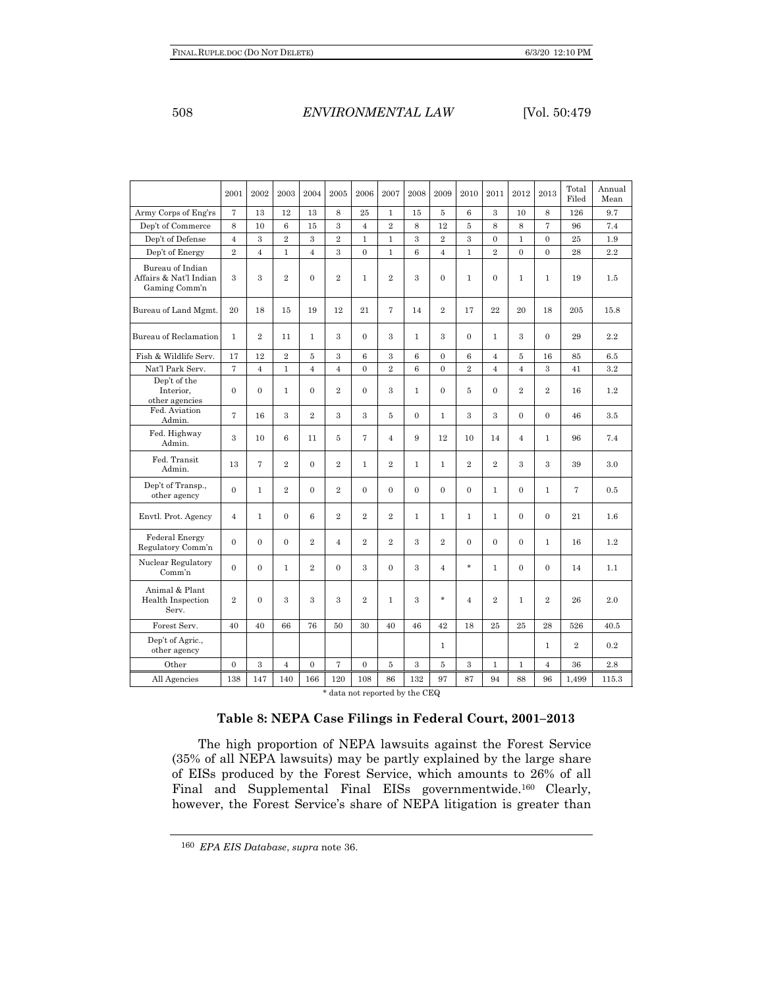# 508 *ENVIRONMENTAL LAW* [Vol. 50:479

|                                                             | 2001           | 2002           | 2003           | 2004           | 2005           | 2006           | 2007           | 2008           | 2009             | 2010           | 2011             | 2012                    | 2013           | Total<br>Filed | Annual<br>Mean |
|-------------------------------------------------------------|----------------|----------------|----------------|----------------|----------------|----------------|----------------|----------------|------------------|----------------|------------------|-------------------------|----------------|----------------|----------------|
| Army Corps of Eng'rs                                        | $\overline{7}$ | 13             | 12             | 13             | 8              | 25             | $\mathbf{1}$   | 15             | 5                | $6\phantom{1}$ | 3                | 10                      | 8              | 126            | 9.7            |
| Dep't of Commerce                                           | 8              | 10             | 6              | 15             | 3              | $\overline{4}$ | $\overline{2}$ | 8              | 12               | 5              | 8                | 8                       | $\overline{7}$ | 96             | 7.4            |
| Dep't of Defense                                            | $\overline{4}$ | 3              | $\overline{2}$ | 3              | $\overline{2}$ | $\mathbf{1}$   | $\mathbf{1}$   | 3              | $\overline{2}$   | 3              | $\mathbf{0}$     | $\mathbf{1}$            | $\overline{0}$ | 25             | 1.9            |
| Dep't of Energy                                             | $\overline{2}$ | $\overline{4}$ | $\mathbf{1}$   | $\overline{4}$ | 3              | $\mathbf{0}$   | $\mathbf{1}$   | 6              | $\overline{4}$   | $\mathbf{1}$   | $\overline{2}$   | $\theta$                | $\Omega$       | 28             | 2.2            |
| Bureau of Indian<br>Affairs & Nat'l Indian<br>Gaming Comm'n | 3              | 3              | $\,2$          | $\overline{0}$ | $\overline{2}$ | $\mathbf{1}$   | $\overline{2}$ | 3              | $\boldsymbol{0}$ | $\mathbf{1}$   | $\boldsymbol{0}$ | $\mathbf{1}$            | $\mathbf{1}$   | 19             | 1.5            |
| Bureau of Land Mgmt.                                        | 20             | 18             | 15             | 19             | 12             | 21             | $\overline{7}$ | 14             | $\overline{2}$   | 17             | 22               | 20                      | 18             | 205            | 15.8           |
| <b>Bureau of Reclamation</b>                                | $\mathbf{1}$   | $\overline{2}$ | 11             | $\mathbf{1}$   | $\mathbf{a}$   | $\mathbf{0}$   | $\mathcal{S}$  | $\mathbf{1}$   | 3                | $\theta$       | $\mathbf{1}$     | $\overline{\mathbf{3}}$ | $\Omega$       | 29             | 2.2            |
| Fish & Wildlife Serv.                                       | 17             | 12             | $\overline{2}$ | 5              | 3              | 6              | 3              | 6              | $\overline{0}$   | 6              | $\overline{4}$   | 5                       | 16             | 85             | 6.5            |
| Nat'l Park Serv.                                            | $\overline{7}$ | $\overline{4}$ | $\mathbf{1}$   | $\overline{4}$ | $\overline{4}$ | $\mathbf{0}$   | $\overline{2}$ | 6              | $\overline{0}$   | $\overline{2}$ | $\overline{4}$   | $\overline{4}$          | 3              | 41             | 3.2            |
| Dep't of the<br>Interior.<br>other agencies                 | $\Omega$       | $\overline{0}$ | $\mathbf{1}$   | $\Omega$       | $\overline{2}$ | $\mathbf{0}$   | $\mathcal{R}$  | $\mathbf{1}$   | $\mathbf{0}$     | 5              | $\Omega$         | $\overline{2}$          | $\overline{2}$ | 16             | 1.2            |
| Fed. Aviation<br>Admin.                                     | $\overline{7}$ | 16             | 3              | $\overline{2}$ | 3              | 3              | 5              | $\overline{0}$ | $\mathbf{1}$     | 3              | 3                | $\theta$                | $\Omega$       | 46             | 3.5            |
| Fed. Highway<br>Admin.                                      | 3              | 10             | 6              | 11             | 5              | $\overline{7}$ | $\overline{4}$ | 9              | 12               | 10             | 14               | $\overline{4}$          | $\mathbf{1}$   | 96             | 7.4            |
| Fed. Transit<br>Admin.                                      | 13             | $\overline{7}$ | $\overline{2}$ | $\overline{0}$ | $\overline{2}$ | $\mathbf{1}$   | $\overline{2}$ | $\mathbf{1}$   | $\mathbf{1}$     | $\overline{2}$ | $\overline{2}$   | 3                       | 3              | 39             | 3.0            |
| Dep't of Transp.,<br>other agency                           | $\overline{0}$ | $\mathbf{1}$   | $\overline{2}$ | $\overline{0}$ | $\overline{2}$ | $\mathbf{0}$   | $\overline{0}$ | $\overline{0}$ | $\mathbf{0}$     | $\mathbf{0}$   | $\mathbf{1}$     | $\overline{0}$          | $\mathbf{1}$   | 7              | 0.5            |
| Envtl. Prot. Agency                                         | $\overline{4}$ | $\mathbf{1}$   | $\mathbf{0}$   | 6              | $\overline{2}$ | $\overline{2}$ | $\overline{2}$ | $\mathbf{1}$   | $\mathbf{1}$     | $\mathbf{1}$   | $\mathbf{1}$     | $\overline{0}$          | $\overline{0}$ | 21             | 1.6            |
| <b>Federal Energy</b><br>Regulatory Comm'n                  | $\theta$       | $\overline{0}$ | $\mathbf{0}$   | $\overline{2}$ | $\overline{4}$ | $\overline{2}$ | $\overline{2}$ | 3              | $\overline{2}$   | $\overline{0}$ | $\mathbf{0}$     | $\mathbf{0}$            | $\mathbf{1}$   | 16             | 1.2            |
| Nuclear Regulatory<br>Common'n                              | $\theta$       | $\overline{0}$ | $\mathbf{1}$   | $\overline{2}$ | $\overline{0}$ | 3              | $\overline{0}$ | 3              | $\overline{4}$   | $\star$        | $\mathbf{1}$     | $\overline{0}$          | $\overline{0}$ | 14             | 1.1            |
| Animal & Plant<br>Health Inspection<br>Serv.                | $\overline{2}$ | $\overline{0}$ | 3              | 3              | 3              | $\overline{2}$ | $\mathbf{1}$   | 3              | $\star$          | $\overline{4}$ | $\overline{2}$   | $\mathbf{1}$            | $\overline{2}$ | 26             | 2.0            |
| Forest Serv.                                                | 40             | 40             | 66             | 76             | 50             | 30             | 40             | 46             | 42               | 18             | 25               | 25                      | 28             | 526            | 40.5           |
| Dep't of Agric.,<br>other agency                            |                |                |                |                |                |                |                |                | $\mathbf{1}$     |                |                  |                         | $\mathbf{1}$   | $\overline{2}$ | 0.2            |
| Other                                                       | $\Omega$       | 3              | $\overline{4}$ | $\overline{0}$ | $\overline{7}$ | $\Omega$       | 5              | 3              | $\overline{5}$   | 3              | $\mathbf{1}$     | $\mathbf{1}$            | $\overline{4}$ | 36             | 2.8            |
| All Agencies                                                | 138            | 147            | 140            | 166            | 120            | 108            | 86             | 132            | 97               | 87             | 94               | 88                      | 96             | 1,499          | 115.3          |

\* data not reported by the CEQ

# **Table 8: NEPA Case Filings in Federal Court, 2001–2013**

The high proportion of NEPA lawsuits against the Forest Service (35% of all NEPA lawsuits) may be partly explained by the large share of EISs produced by the Forest Service, which amounts to 26% of all Final and Supplemental Final EISs governmentwide.160 Clearly, however, the Forest Service's share of NEPA litigation is greater than

<sup>160</sup> *EPA EIS Database*, *supra* note 36.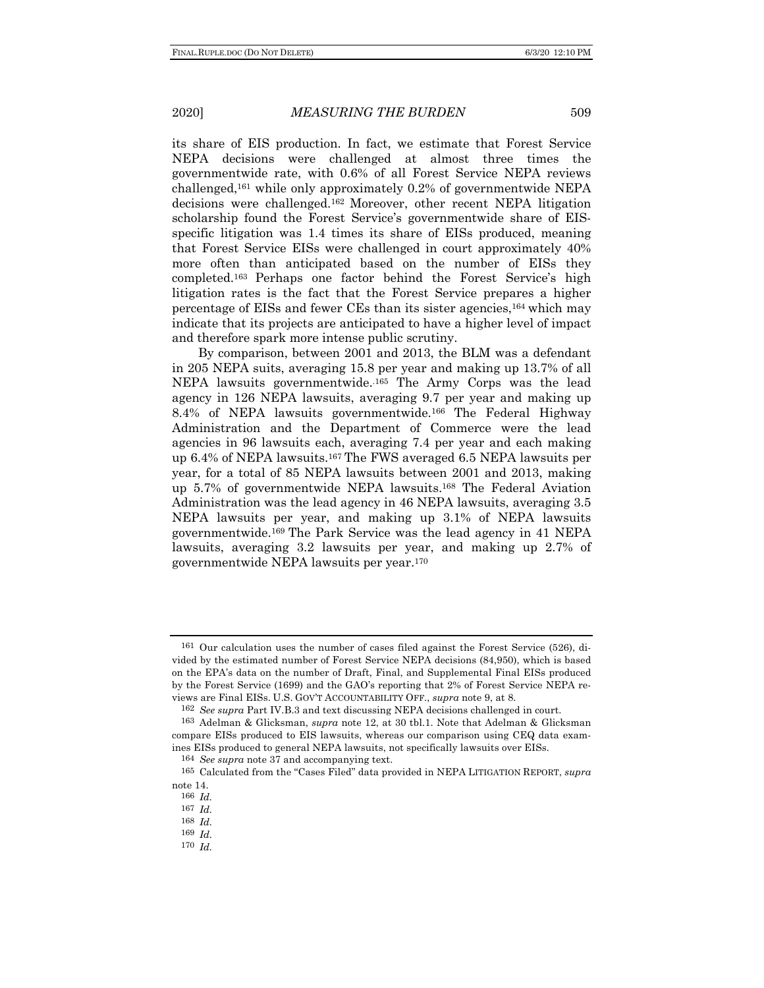its share of EIS production. In fact, we estimate that Forest Service NEPA decisions were challenged at almost three times the governmentwide rate, with 0.6% of all Forest Service NEPA reviews challenged,161 while only approximately 0.2% of governmentwide NEPA decisions were challenged.162 Moreover, other recent NEPA litigation scholarship found the Forest Service's governmentwide share of EISspecific litigation was 1.4 times its share of EISs produced, meaning that Forest Service EISs were challenged in court approximately 40% more often than anticipated based on the number of EISs they completed.163 Perhaps one factor behind the Forest Service's high litigation rates is the fact that the Forest Service prepares a higher percentage of EISs and fewer CEs than its sister agencies,164 which may indicate that its projects are anticipated to have a higher level of impact and therefore spark more intense public scrutiny.

By comparison, between 2001 and 2013, the BLM was a defendant in 205 NEPA suits, averaging 15.8 per year and making up 13.7% of all NEPA lawsuits governmentwide.<sup>165</sup> The Army Corps was the lead agency in 126 NEPA lawsuits, averaging 9.7 per year and making up 8.4% of NEPA lawsuits governmentwide.166 The Federal Highway Administration and the Department of Commerce were the lead agencies in 96 lawsuits each, averaging 7.4 per year and each making up 6.4% of NEPA lawsuits.167 The FWS averaged 6.5 NEPA lawsuits per year, for a total of 85 NEPA lawsuits between 2001 and 2013, making up 5.7% of governmentwide NEPA lawsuits.168 The Federal Aviation Administration was the lead agency in 46 NEPA lawsuits, averaging 3.5 NEPA lawsuits per year, and making up 3.1% of NEPA lawsuits governmentwide.169 The Park Service was the lead agency in 41 NEPA lawsuits, averaging 3.2 lawsuits per year, and making up 2.7% of governmentwide NEPA lawsuits per year.170

<sup>161</sup> Our calculation uses the number of cases filed against the Forest Service (526), divided by the estimated number of Forest Service NEPA decisions (84,950), which is based on the EPA's data on the number of Draft, Final, and Supplemental Final EISs produced by the Forest Service (1699) and the GAO's reporting that 2% of Forest Service NEPA reviews are Final EISs. U.S. GOV'T ACCOUNTABILITY OFF., *supra* note 9, at 8.

<sup>162</sup> *See supra* Part IV.B.3 and text discussing NEPA decisions challenged in court.

<sup>163</sup> Adelman & Glicksman, *supra* note 12, at 30 tbl.1. Note that Adelman & Glicksman compare EISs produced to EIS lawsuits, whereas our comparison using CEQ data examines EISs produced to general NEPA lawsuits, not specifically lawsuits over EISs.

<sup>164</sup> *See supra* note 37 and accompanying text.

<sup>165</sup> Calculated from the "Cases Filed" data provided in NEPA LITIGATION REPORT, *supra*  note 14.

<sup>166</sup> *Id.*

<sup>167</sup> *Id.*

<sup>168</sup> *Id.*

<sup>169</sup> *Id.*

<sup>170</sup> *Id.*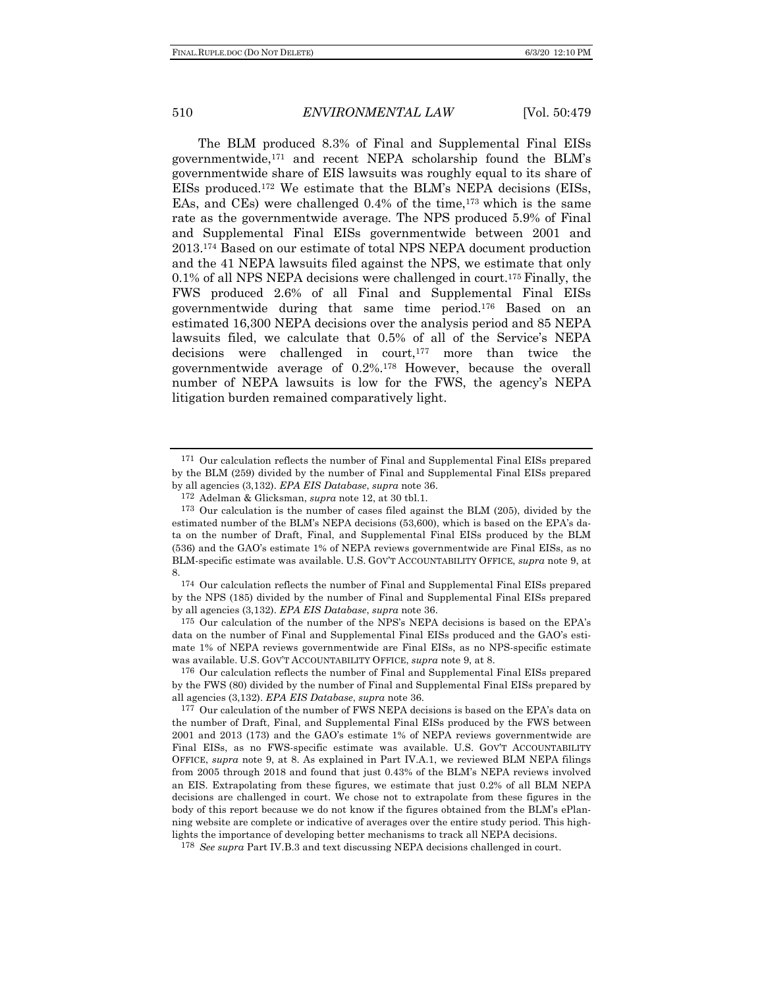The BLM produced 8.3% of Final and Supplemental Final EISs governmentwide,171 and recent NEPA scholarship found the BLM's governmentwide share of EIS lawsuits was roughly equal to its share of EISs produced.172 We estimate that the BLM's NEPA decisions (EISs, EAs, and CEs) were challenged  $0.4\%$  of the time,<sup>173</sup> which is the same rate as the governmentwide average. The NPS produced 5.9% of Final and Supplemental Final EISs governmentwide between 2001 and 2013.174 Based on our estimate of total NPS NEPA document production and the 41 NEPA lawsuits filed against the NPS, we estimate that only 0.1% of all NPS NEPA decisions were challenged in court.175 Finally, the FWS produced 2.6% of all Final and Supplemental Final EISs governmentwide during that same time period.176 Based on an estimated 16,300 NEPA decisions over the analysis period and 85 NEPA lawsuits filed, we calculate that 0.5% of all of the Service's NEPA decisions were challenged in court,177 more than twice the governmentwide average of 0.2%.178 However, because the overall number of NEPA lawsuits is low for the FWS, the agency's NEPA litigation burden remained comparatively light.

175 Our calculation of the number of the NPS's NEPA decisions is based on the EPA's data on the number of Final and Supplemental Final EISs produced and the GAO's estimate 1% of NEPA reviews governmentwide are Final EISs, as no NPS-specific estimate was available. U.S. GOV'T ACCOUNTABILITY OFFICE, *supra* note 9, at 8.

176 Our calculation reflects the number of Final and Supplemental Final EISs prepared by the FWS (80) divided by the number of Final and Supplemental Final EISs prepared by all agencies (3,132). *EPA EIS Database*, *supra* note 36.

177 Our calculation of the number of FWS NEPA decisions is based on the EPA's data on the number of Draft, Final, and Supplemental Final EISs produced by the FWS between 2001 and 2013 (173) and the GAO's estimate 1% of NEPA reviews governmentwide are Final EISs, as no FWS-specific estimate was available. U.S. GOV'T ACCOUNTABILITY OFFICE, *supra* note 9, at 8. As explained in Part IV.A.1, we reviewed BLM NEPA filings from 2005 through 2018 and found that just 0.43% of the BLM's NEPA reviews involved an EIS. Extrapolating from these figures, we estimate that just 0.2% of all BLM NEPA decisions are challenged in court. We chose not to extrapolate from these figures in the body of this report because we do not know if the figures obtained from the BLM's ePlanning website are complete or indicative of averages over the entire study period. This highlights the importance of developing better mechanisms to track all NEPA decisions.

178 *See supra* Part IV.B.3 and text discussing NEPA decisions challenged in court.

<sup>171</sup> Our calculation reflects the number of Final and Supplemental Final EISs prepared by the BLM (259) divided by the number of Final and Supplemental Final EISs prepared by all agencies (3,132). *EPA EIS Database*, *supra* note 36. 172 Adelman & Glicksman, *supra* note 12, at 30 tbl.1.

<sup>173</sup> Our calculation is the number of cases filed against the BLM (205), divided by the estimated number of the BLM's NEPA decisions (53,600), which is based on the EPA's data on the number of Draft, Final, and Supplemental Final EISs produced by the BLM (536) and the GAO's estimate 1% of NEPA reviews governmentwide are Final EISs, as no BLM-specific estimate was available. U.S. GOV'T ACCOUNTABILITY OFFICE, *supra* note 9, at 8.

<sup>174</sup> Our calculation reflects the number of Final and Supplemental Final EISs prepared by the NPS (185) divided by the number of Final and Supplemental Final EISs prepared by all agencies (3,132). *EPA EIS Database*, *supra* note 36.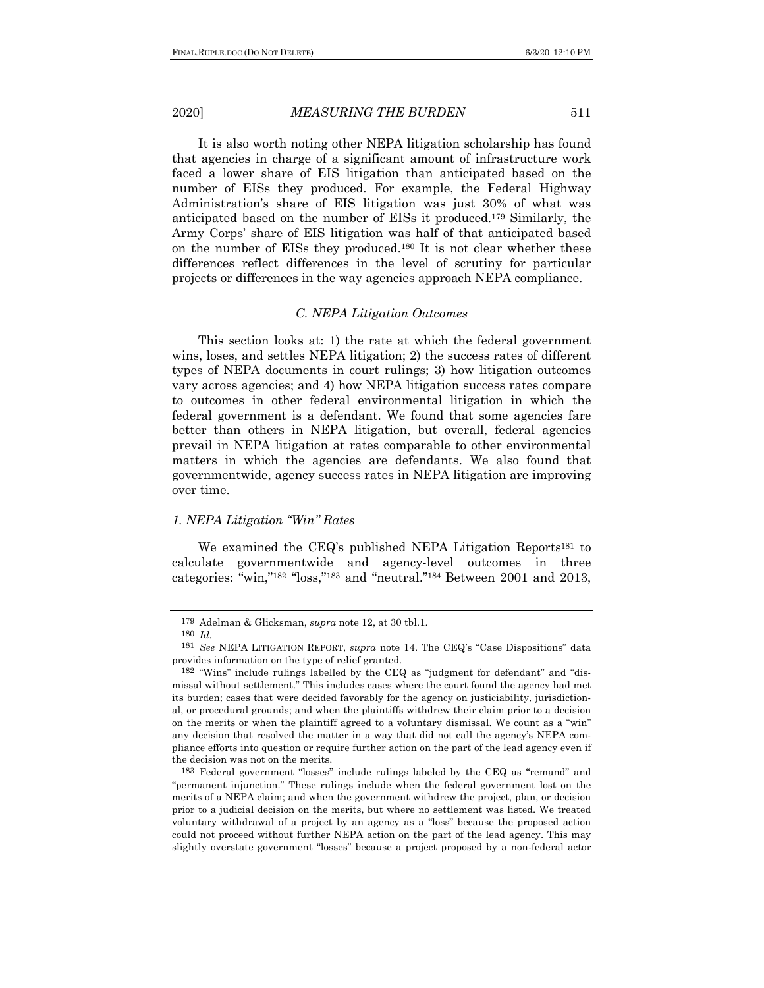It is also worth noting other NEPA litigation scholarship has found that agencies in charge of a significant amount of infrastructure work faced a lower share of EIS litigation than anticipated based on the number of EISs they produced. For example, the Federal Highway Administration's share of EIS litigation was just 30% of what was anticipated based on the number of EISs it produced.179 Similarly, the Army Corps' share of EIS litigation was half of that anticipated based on the number of EISs they produced.180 It is not clear whether these differences reflect differences in the level of scrutiny for particular projects or differences in the way agencies approach NEPA compliance.

### *C. NEPA Litigation Outcomes*

This section looks at: 1) the rate at which the federal government wins, loses, and settles NEPA litigation; 2) the success rates of different types of NEPA documents in court rulings; 3) how litigation outcomes vary across agencies; and 4) how NEPA litigation success rates compare to outcomes in other federal environmental litigation in which the federal government is a defendant. We found that some agencies fare better than others in NEPA litigation, but overall, federal agencies prevail in NEPA litigation at rates comparable to other environmental matters in which the agencies are defendants. We also found that governmentwide, agency success rates in NEPA litigation are improving over time.

### *1. NEPA Litigation "Win" Rates*

We examined the CEQ's published NEPA Litigation Reports<sup>181</sup> to calculate governmentwide and agency-level outcomes in three categories: "win,"182 "loss,"183 and "neutral."184 Between 2001 and 2013,

183 Federal government "losses" include rulings labeled by the CEQ as "remand" and "permanent injunction." These rulings include when the federal government lost on the merits of a NEPA claim; and when the government withdrew the project, plan, or decision prior to a judicial decision on the merits, but where no settlement was listed. We treated voluntary withdrawal of a project by an agency as a "loss" because the proposed action could not proceed without further NEPA action on the part of the lead agency. This may slightly overstate government "losses" because a project proposed by a non-federal actor

<sup>179</sup> Adelman & Glicksman, *supra* note 12, at 30 tbl.1.

<sup>180</sup> *Id.*

<sup>181</sup> *See* NEPA LITIGATION REPORT, *supra* note 14. The CEQ's "Case Dispositions" data provides information on the type of relief granted.

<sup>182</sup> "Wins" include rulings labelled by the CEQ as "judgment for defendant" and "dismissal without settlement." This includes cases where the court found the agency had met its burden; cases that were decided favorably for the agency on justiciability, jurisdictional, or procedural grounds; and when the plaintiffs withdrew their claim prior to a decision on the merits or when the plaintiff agreed to a voluntary dismissal. We count as a "win" any decision that resolved the matter in a way that did not call the agency's NEPA compliance efforts into question or require further action on the part of the lead agency even if the decision was not on the merits.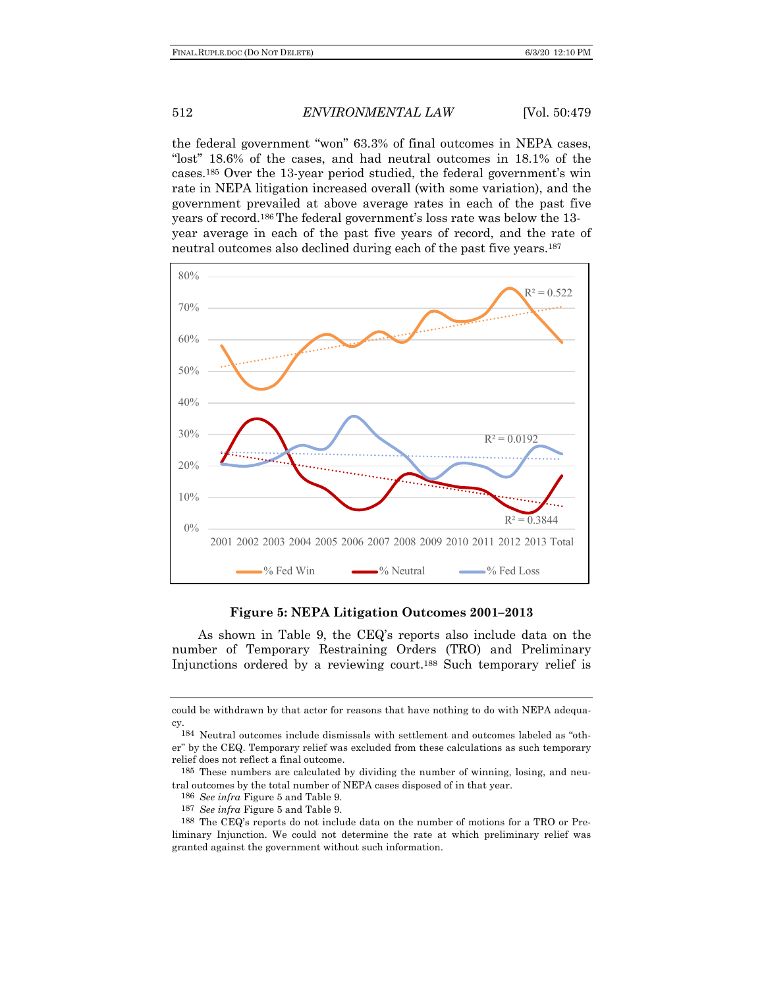the federal government "won" 63.3% of final outcomes in NEPA cases, "lost" 18.6% of the cases, and had neutral outcomes in 18.1% of the cases.185 Over the 13-year period studied, the federal government's win rate in NEPA litigation increased overall (with some variation), and the government prevailed at above average rates in each of the past five years of record.186 The federal government's loss rate was below the 13 year average in each of the past five years of record, and the rate of neutral outcomes also declined during each of the past five years.187



**Figure 5: NEPA Litigation Outcomes 2001–2013**

As shown in Table 9, the CEQ's reports also include data on the number of Temporary Restraining Orders (TRO) and Preliminary Injunctions ordered by a reviewing court.188 Such temporary relief is

- 186 *See infra* Figure 5 and Table 9.
- 187 *See infra* Figure 5 and Table 9.

could be withdrawn by that actor for reasons that have nothing to do with NEPA adequacy.

<sup>184</sup> Neutral outcomes include dismissals with settlement and outcomes labeled as "other" by the CEQ. Temporary relief was excluded from these calculations as such temporary relief does not reflect a final outcome.

<sup>185</sup> These numbers are calculated by dividing the number of winning, losing, and neutral outcomes by the total number of NEPA cases disposed of in that year.

<sup>188</sup> The CEQ's reports do not include data on the number of motions for a TRO or Preliminary Injunction. We could not determine the rate at which preliminary relief was granted against the government without such information.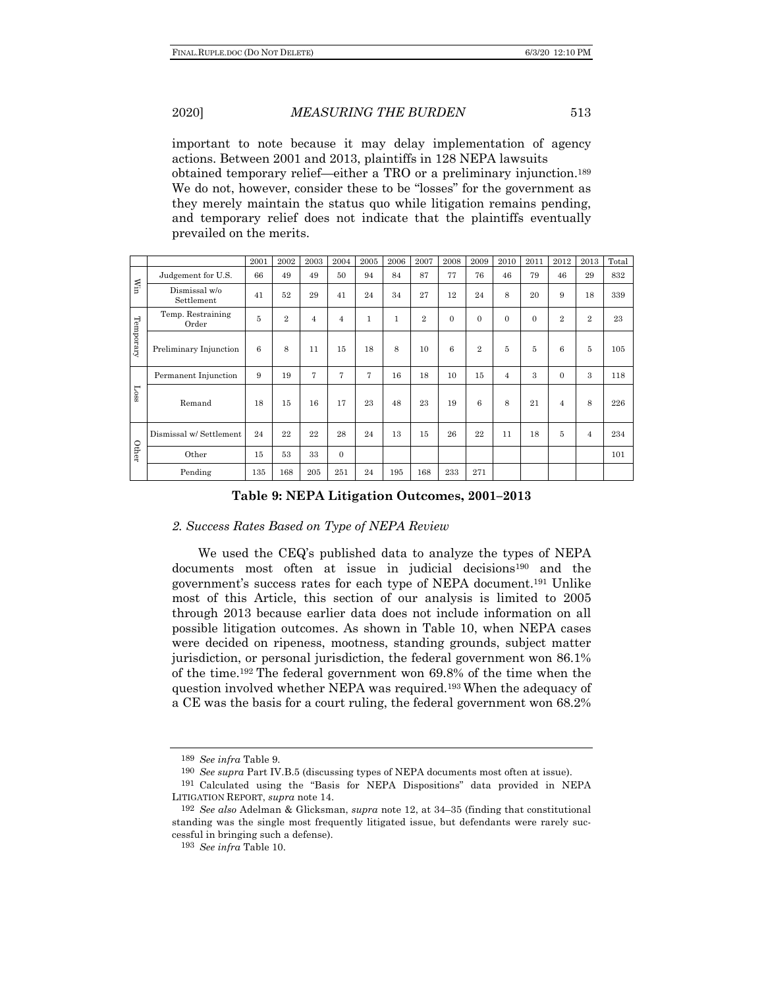important to note because it may delay implementation of agency actions. Between 2001 and 2013, plaintiffs in 128 NEPA lawsuits obtained temporary relief—either a TRO or a preliminary injunction.189 We do not, however, consider these to be "losses" for the government as they merely maintain the status quo while litigation remains pending, and temporary relief does not indicate that the plaintiffs eventually prevailed on the merits.

|               |                             | 2001 | 2002           | 2003           | 2004           | 2005         | 2006         | 2007           | 2008     | 2009           | 2010           | 2011     | 2012           | 2013           | Total |
|---------------|-----------------------------|------|----------------|----------------|----------------|--------------|--------------|----------------|----------|----------------|----------------|----------|----------------|----------------|-------|
|               | Judgement for U.S.          | 66   | 49             | 49             | 50             | 94           | 84           | 87             | 77       | 76             | 46             | 79       | 46             | 29             | 832   |
| Мin           | Dismissal w/o<br>Settlement | 41   | 52             | 29             | 41             | 24           | 34           | 27             | 12       | 24             | 8              | 20       | 9              | 18             | 339   |
|               | Temp. Restraining<br>Order  | 5    | $\overline{2}$ | $\overline{4}$ | $\overline{4}$ | $\mathbf{1}$ | $\mathbf{1}$ | $\overline{2}$ | $\Omega$ | $\mathbf{0}$   | $\theta$       | $\Omega$ | $\overline{2}$ | $\overline{2}$ | 23    |
| Temporary     | Preliminary Injunction      | 6    | 8              | 11             | 15             | 18           | 8            | 10             | 6        | $\overline{2}$ | 5              | 5        | 6              | $\overline{5}$ | 105   |
|               | Permanent Injunction        | 9    | 19             | 7              | 7              | 7            | 16           | 18             | 10       | 15             | $\overline{4}$ | 3        | $\overline{0}$ | 3              | 118   |
| $_{\rm iso1}$ | Remand                      | 18   | 15             | 16             | 17             | 23           | 48           | 23             | 19       | 6              | 8              | 21       | $\overline{4}$ | 8              | 226   |
|               | Dismissal w/ Settlement     | 24   | 22             | 22             | 28             | 24           | 13           | 15             | 26       | 22             | 11             | 18       | 5              | $\overline{4}$ | 234   |
| Other         | Other                       | 15   | 53             | 33             | $\Omega$       |              |              |                |          |                |                |          |                |                | 101   |
|               | Pending                     | 135  | 168            | 205            | 251            | 24           | 195          | 168            | 233      | 271            |                |          |                |                |       |

**Table 9: NEPA Litigation Outcomes, 2001–2013**

## *2. Success Rates Based on Type of NEPA Review*

We used the CEQ's published data to analyze the types of NEPA documents most often at issue in judicial decisions<sup>190</sup> and the government's success rates for each type of NEPA document.191 Unlike most of this Article, this section of our analysis is limited to 2005 through 2013 because earlier data does not include information on all possible litigation outcomes. As shown in Table 10, when NEPA cases were decided on ripeness, mootness, standing grounds, subject matter jurisdiction, or personal jurisdiction, the federal government won 86.1% of the time.192 The federal government won 69.8% of the time when the question involved whether NEPA was required.193 When the adequacy of a CE was the basis for a court ruling, the federal government won 68.2%

<sup>189</sup> *See infra* Table 9.

<sup>190</sup> *See supra* Part IV.B.5 (discussing types of NEPA documents most often at issue).

<sup>191</sup> Calculated using the "Basis for NEPA Dispositions" data provided in NEPA LITIGATION REPORT, *supra* note 14.

<sup>192</sup> *See also* Adelman & Glicksman, *supra* note 12, at 34–35 (finding that constitutional standing was the single most frequently litigated issue, but defendants were rarely successful in bringing such a defense).

<sup>193</sup> *See infra* Table 10.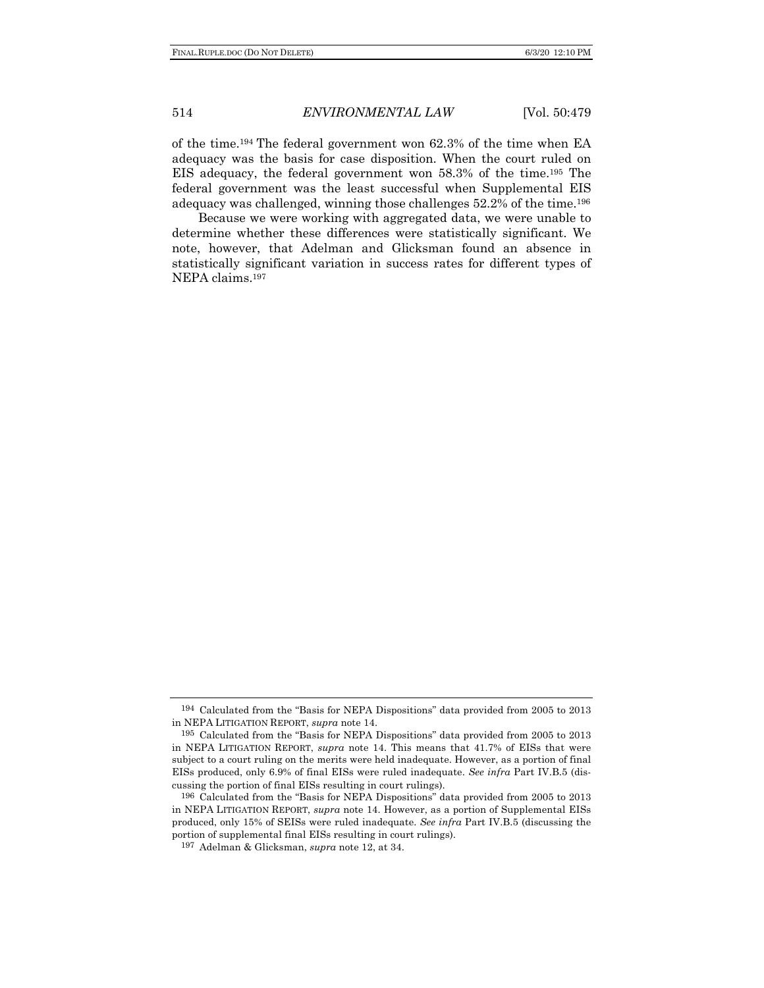of the time.194 The federal government won 62.3% of the time when EA adequacy was the basis for case disposition. When the court ruled on EIS adequacy, the federal government won 58.3% of the time.195 The federal government was the least successful when Supplemental EIS adequacy was challenged, winning those challenges 52.2% of the time.196

Because we were working with aggregated data, we were unable to determine whether these differences were statistically significant. We note, however, that Adelman and Glicksman found an absence in statistically significant variation in success rates for different types of NEPA claims.197

<sup>194</sup> Calculated from the "Basis for NEPA Dispositions" data provided from 2005 to 2013 in NEPA LITIGATION REPORT, *supra* note 14.

<sup>195</sup> Calculated from the "Basis for NEPA Dispositions" data provided from 2005 to 2013 in NEPA LITIGATION REPORT, *supra* note 14. This means that 41.7% of EISs that were subject to a court ruling on the merits were held inadequate. However, as a portion of final EISs produced, only 6.9% of final EISs were ruled inadequate. *See infra* Part IV.B.5 (discussing the portion of final EISs resulting in court rulings).

<sup>196</sup> Calculated from the "Basis for NEPA Dispositions" data provided from 2005 to 2013 in NEPA LITIGATION REPORT, *supra* note 14. However, as a portion of Supplemental EISs produced, only 15% of SEISs were ruled inadequate. *See infra* Part IV.B.5 (discussing the portion of supplemental final EISs resulting in court rulings).

<sup>197</sup> Adelman & Glicksman, *supra* note 12, at 34.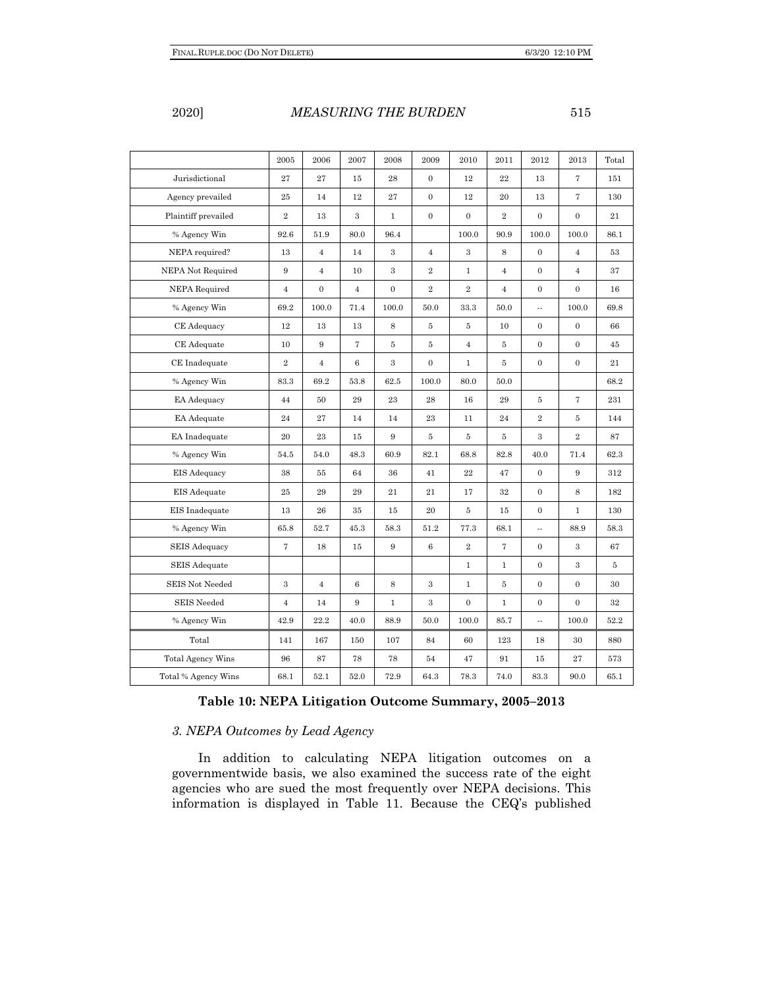|                          | 2005           | 2006           | 2007             | 2008           | 2009             | 2010             | 2011           | 2012             | 2013              | Total  |
|--------------------------|----------------|----------------|------------------|----------------|------------------|------------------|----------------|------------------|-------------------|--------|
| Jurisdictional           | 27             | 27             | 15               | 28             | $\mathbf{0}$     | 12               | 22             | 13               | $\tau$            | 151    |
|                          |                |                |                  |                |                  |                  |                |                  |                   |        |
| Agency prevailed         | 25             | 14             | 12               | 27             | $\boldsymbol{0}$ | 12               | 20             | 13               | $\scriptstyle{7}$ | 130    |
| Plaintiff prevailed      | $\overline{2}$ | 13             | 3                | $\mathbf{1}$   | $\boldsymbol{0}$ | $\boldsymbol{0}$ | $\overline{2}$ | $\mathbf{0}$     | $\boldsymbol{0}$  | 21     |
| % Agency Win             | 92.6           | 51.9           | 80.0             | 96.4           |                  | 100.0            | 90.9           | 100.0            | 100.0             | 86.1   |
| NEPA required?           | 13             | $\overline{4}$ | 14               | 3              | $\overline{4}$   | $\,3$            | $\,$ 8 $\,$    | $\mathbf 0$      | $\overline{4}$    | 53     |
| NEPA Not Required        | 9              | $\overline{4}$ | 10               | 3              | $\,2$            | $\mathbf{1}$     | $\overline{4}$ | $\overline{0}$   | $\overline{4}$    | 37     |
| <b>NEPA Required</b>     | $\overline{4}$ | $\mathbf{0}$   | $\overline{4}$   | $\overline{0}$ | $\overline{2}$   | $\overline{2}$   | $\overline{4}$ | $\mathbf{0}$     | $\overline{0}$    | 16     |
| % Agency Win             | 69.2           | 100.0          | 71.4             | 100.0          | 50.0             | 33.3             | 50.0           | Ξ.               | 100.0             | 69.8   |
| CE Adequacy              | 12             | 13             | 13               | 8              | $\bf 5$          | $5\phantom{.0}$  | 10             | $\overline{0}$   | $\overline{0}$    | 66     |
| CE Adequate              | 10             | $\,9$          | 7                | $\overline{5}$ | $\bf 5$          | $\,4$            | 5              | $\boldsymbol{0}$ | $\mathbf{0}$      | 45     |
| CE Inadequate            | $\overline{2}$ | $\overline{4}$ | $\,6$            | 3              | $\boldsymbol{0}$ | $\mathbf{1}$     | 5              | $\boldsymbol{0}$ | $\mathbf{0}$      | 21     |
| % Agency Win             | 83.3           | 69.2           | 53.8             | 62.5           | 100.0            | 80.0             | 50.0           |                  |                   | 68.2   |
| EA Adequacy              | 44             | 50             | 29               | $\bf 23$       | $\bf 28$         | 16               | 29             | $\bf 5$          | $\overline{7}$    | 231    |
| EA Adequate              | 24             | 27             | 14               | 14             | 23               | 11               | 24             | $\overline{2}$   | 5                 | 144    |
| EA Inadequate            | 20             | 23             | 15               | 9              | 5                | 5                | 5              | 3                | $\overline{2}$    | 87     |
| % Agency Win             | 54.5           | 54.0           | 48.3             | 60.9           | $82.1\,$         | 68.8             | 82.8           | 40.0             | 71.4              | 62.3   |
| EIS Adequacy             | 38             | 55             | 64               | 36             | 41               | $\bf{22}$        | 47             | $\mathbf{0}$     | 9                 | 312    |
| EIS Adequate             | 25             | 29             | 29               | 21             | 21               | 17               | 32             | $\overline{0}$   | 8                 | 182    |
| EIS Inadequate           | 13             | ${\bf 26}$     | $35\,$           | 15             | $20\,$           | $5\,$            | 15             | $\mathbf 0$      | $\mathbf{1}$      | 130    |
| % Agency Win             | 65.8           | 52.7           | 45.3             | 58.3           | 51.2             | 77.3             | 68.1           | u,               | 88.9              | 58.3   |
| <b>SEIS Adequacy</b>     | $\overline{7}$ | 18             | 15               | 9              | $\,6\,$          | $\,2\,$          | $\overline{7}$ | $\mathbf{0}$     | 3                 | 67     |
| <b>SEIS</b> Adequate     |                |                |                  |                |                  | $\mathbf{1}$     | $\mathbf{1}$   | $\overline{0}$   | $\,3$             | 5      |
| <b>SEIS Not Needed</b>   | 3              | $\,4\,$        | $\boldsymbol{6}$ | 8              | 3                | $\mathbf{1}$     | 5              | $\mathbf{0}$     | $\overline{0}$    | 30     |
| <b>SEIS</b> Needed       | $\overline{4}$ | 14             | 9                | $\mathbf{1}$   | 3                | $\boldsymbol{0}$ | $\mathbf 1$    | $\boldsymbol{0}$ | $\boldsymbol{0}$  | $32\,$ |
| % Agency Win             | 42.9           | 22.2           | 40.0             | 88.9           | 50.0             | 100.0            | 85.7           | Ξ.               | 100.0             | 52.2   |
| Total                    | 141            | 167            | 150              | 107            | 84               | 60               | 123            | 18               | 30                | 880    |
| <b>Total Agency Wins</b> | 96             | 87             | 78               | 78             | 54               | 47               | 91             | 15               | 27                | 573    |
| Total % Agency Wins      | 68.1           | 52.1           | 52.0             | 72.9           | 64.3             | 78.3             | 74.0           | 83.3             | 90.0              | 65.1   |

# **Table 10: NEPA Litigation Outcome Summary, 2005–2013**

## *3. NEPA Outcomes by Lead Agency*

In addition to calculating NEPA litigation outcomes on a governmentwide basis, we also examined the success rate of the eight agencies who are sued the most frequently over NEPA decisions. This information is displayed in Table 11. Because the CEQ's published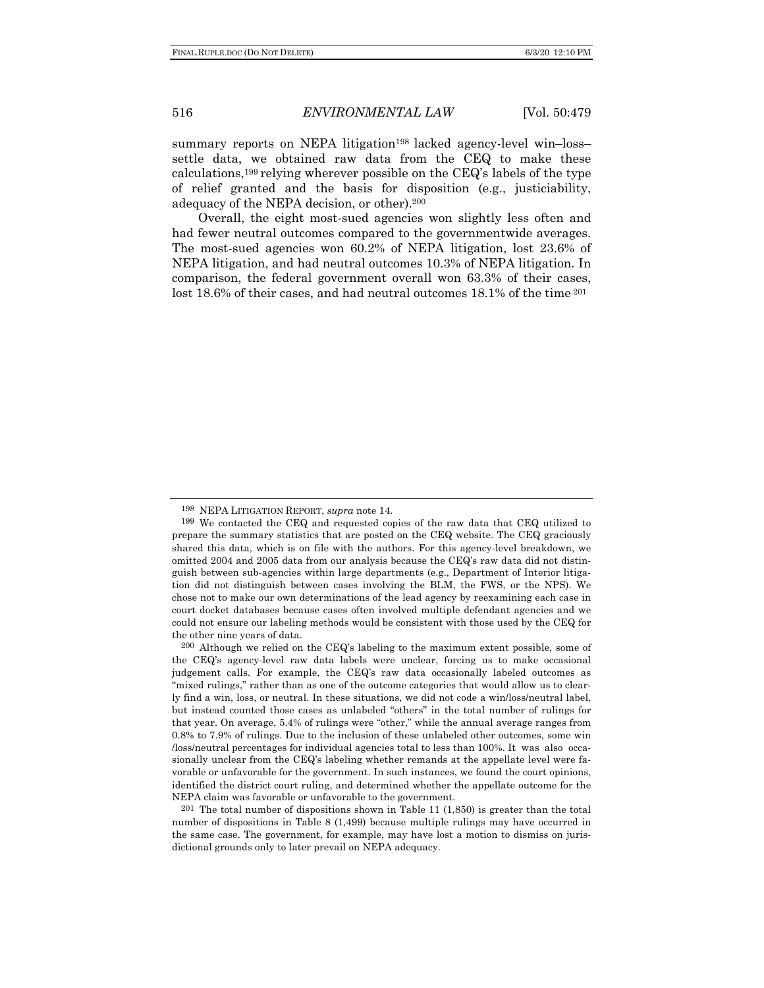summary reports on NEPA litigation<sup>198</sup> lacked agency-level win–loss– settle data, we obtained raw data from the CEQ to make these calculations,<sup>199</sup> relying wherever possible on the CEQ's labels of the type of relief granted and the basis for disposition (e.g., justiciability, adequacy of the NEPA decision, or other).200

Overall, the eight most-sued agencies won slightly less often and had fewer neutral outcomes compared to the governmentwide averages. The most-sued agencies won 60.2% of NEPA litigation, lost 23.6% of NEPA litigation, and had neutral outcomes 10.3% of NEPA litigation. In comparison, the federal government overall won 63.3% of their cases, lost 18.6% of their cases, and had neutral outcomes  $18.1\%$  of the time<sup>201</sup>

 $201$  The total number of dispositions shown in Table 11 (1,850) is greater than the total number of dispositions in Table 8 (1,499) because multiple rulings may have occurred in the same case. The government, for example, may have lost a motion to dismiss on jurisdictional grounds only to later prevail on NEPA adequacy.

<sup>198</sup> NEPA LITIGATION REPORT, *supra* note 14.

<sup>199</sup> We contacted the CEQ and requested copies of the raw data that CEQ utilized to prepare the summary statistics that are posted on the CEQ website. The CEQ graciously shared this data, which is on file with the authors. For this agency-level breakdown, we omitted 2004 and 2005 data from our analysis because the CEQ's raw data did not distinguish between sub-agencies within large departments (e.g., Department of Interior litigation did not distinguish between cases involving the BLM, the FWS, or the NPS). We chose not to make our own determinations of the lead agency by reexamining each case in court docket databases because cases often involved multiple defendant agencies and we could not ensure our labeling methods would be consistent with those used by the CEQ for the other nine years of data.

<sup>200</sup> Although we relied on the CEQ's labeling to the maximum extent possible, some of the CEQ's agency-level raw data labels were unclear, forcing us to make occasional judgement calls. For example, the CEQ's raw data occasionally labeled outcomes as "mixed rulings," rather than as one of the outcome categories that would allow us to clearly find a win, loss, or neutral. In these situations, we did not code a win/loss/neutral label, but instead counted those cases as unlabeled "others" in the total number of rulings for that year. On average, 5.4% of rulings were "other," while the annual average ranges from 0.8% to 7.9% of rulings. Due to the inclusion of these unlabeled other outcomes, some win /loss/neutral percentages for individual agencies total to less than 100%. It was also occasionally unclear from the CEQ's labeling whether remands at the appellate level were favorable or unfavorable for the government. In such instances, we found the court opinions, identified the district court ruling, and determined whether the appellate outcome for the NEPA claim was favorable or unfavorable to the government.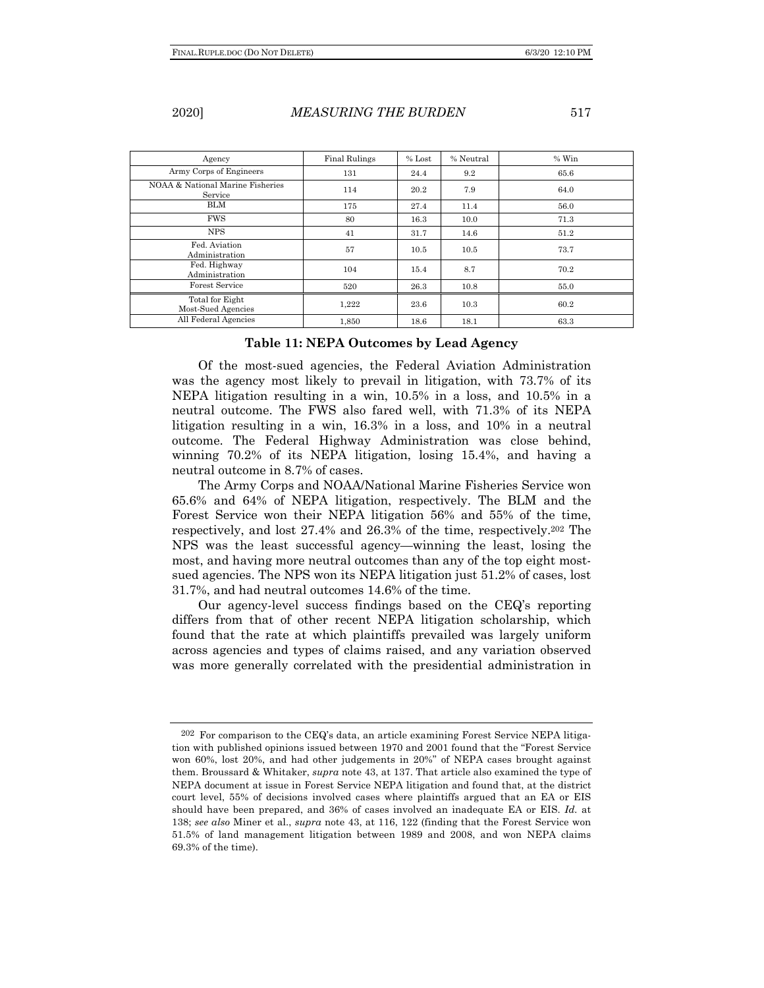| Agency                                      | <b>Final Rulings</b> | $%$ Lost | % Neutral | $%$ Win |
|---------------------------------------------|----------------------|----------|-----------|---------|
| Army Corps of Engineers                     | 131                  | 24.4     | 9.2       | 65.6    |
| NOAA & National Marine Fisheries<br>Service | 114                  | 20.2     | 7.9       | 64.0    |
| <b>BLM</b>                                  | 175                  | 27.4     | 11.4      | 56.0    |
| <b>FWS</b>                                  | 80                   | 16.3     | 10.0      | 71.3    |
| <b>NPS</b>                                  | 41                   | 31.7     | 14.6      | 51.2    |
| Fed. Aviation<br>Administration             | 57                   | 10.5     | 10.5      | 73.7    |
| Fed. Highway<br>Administration              | 104                  | 15.4     | 8.7       | 70.2    |
| Forest Service                              | 520                  | 26.3     | 10.8      | 55.0    |
| Total for Eight<br>Most-Sued Agencies       | 1,222                | 23.6     | 10.3      | 60.2    |
| All Federal Agencies                        | 1.850                | 18.6     | 18.1      | 63.3    |

### **Table 11: NEPA Outcomes by Lead Agency**

Of the most-sued agencies, the Federal Aviation Administration was the agency most likely to prevail in litigation, with 73.7% of its NEPA litigation resulting in a win, 10.5% in a loss, and 10.5% in a neutral outcome. The FWS also fared well, with 71.3% of its NEPA litigation resulting in a win, 16.3% in a loss, and 10% in a neutral outcome. The Federal Highway Administration was close behind, winning 70.2% of its NEPA litigation, losing 15.4%, and having a neutral outcome in 8.7% of cases.

The Army Corps and NOAA/National Marine Fisheries Service won 65.6% and 64% of NEPA litigation, respectively. The BLM and the Forest Service won their NEPA litigation 56% and 55% of the time, respectively, and lost 27.4% and 26.3% of the time, respectively.202 The NPS was the least successful agency—winning the least, losing the most, and having more neutral outcomes than any of the top eight mostsued agencies. The NPS won its NEPA litigation just 51.2% of cases, lost 31.7%, and had neutral outcomes 14.6% of the time.

Our agency-level success findings based on the CEQ's reporting differs from that of other recent NEPA litigation scholarship, which found that the rate at which plaintiffs prevailed was largely uniform across agencies and types of claims raised, and any variation observed was more generally correlated with the presidential administration in

<sup>202</sup> For comparison to the CEQ's data, an article examining Forest Service NEPA litigation with published opinions issued between 1970 and 2001 found that the "Forest Service won 60%, lost 20%, and had other judgements in 20%" of NEPA cases brought against them. Broussard & Whitaker, *supra* note 43, at 137. That article also examined the type of NEPA document at issue in Forest Service NEPA litigation and found that, at the district court level, 55% of decisions involved cases where plaintiffs argued that an EA or EIS should have been prepared, and 36% of cases involved an inadequate EA or EIS. *Id.* at 138; *see also* Miner et al., *supra* note 43, at 116, 122 (finding that the Forest Service won 51.5% of land management litigation between 1989 and 2008, and won NEPA claims 69.3% of the time).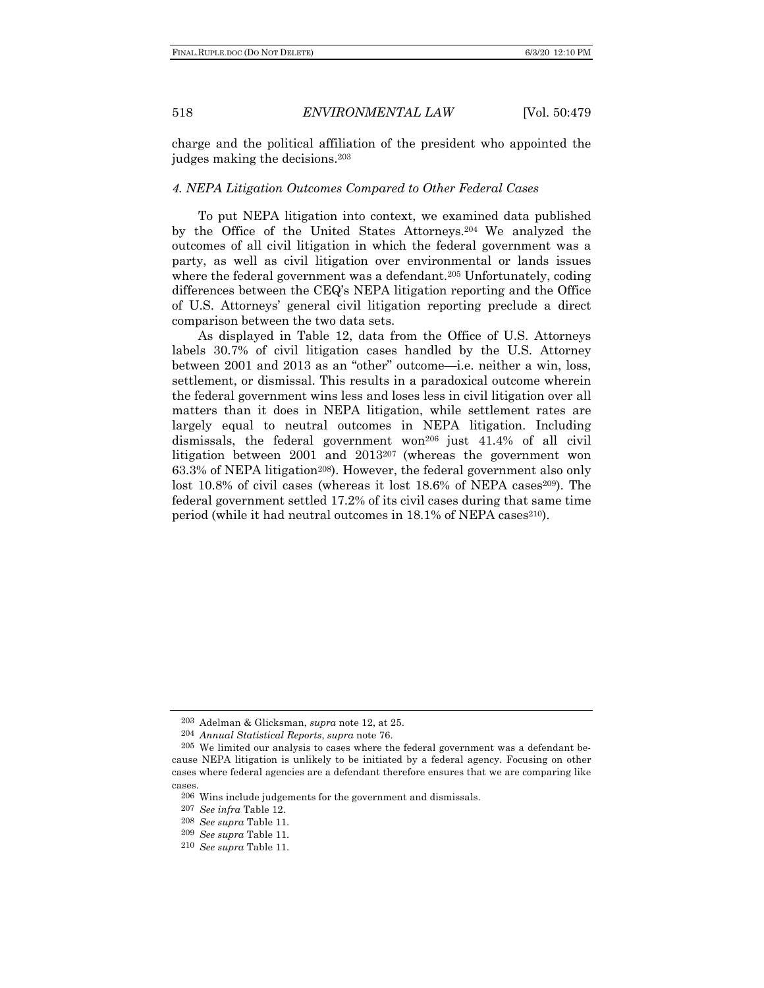charge and the political affiliation of the president who appointed the judges making the decisions.203

### *4. NEPA Litigation Outcomes Compared to Other Federal Cases*

To put NEPA litigation into context, we examined data published by the Office of the United States Attorneys.204 We analyzed the outcomes of all civil litigation in which the federal government was a party, as well as civil litigation over environmental or lands issues where the federal government was a defendant.<sup>205</sup> Unfortunately, coding differences between the CEQ's NEPA litigation reporting and the Office of U.S. Attorneys' general civil litigation reporting preclude a direct comparison between the two data sets.

As displayed in Table 12, data from the Office of U.S. Attorneys labels 30.7% of civil litigation cases handled by the U.S. Attorney between 2001 and 2013 as an "other" outcome—i.e. neither a win, loss, settlement, or dismissal. This results in a paradoxical outcome wherein the federal government wins less and loses less in civil litigation over all matters than it does in NEPA litigation, while settlement rates are largely equal to neutral outcomes in NEPA litigation. Including dismissals, the federal government won<sup>206</sup> just 41.4% of all civil litigation between 2001 and 2013207 (whereas the government won 63.3% of NEPA litigation<sup>208</sup>). However, the federal government also only lost 10.8% of civil cases (whereas it lost  $18.6\%$  of NEPA cases<sup>209</sup>). The federal government settled 17.2% of its civil cases during that same time period (while it had neutral outcomes in  $18.1\%$  of NEPA cases<sup>210</sup>).

<sup>203</sup> Adelman & Glicksman, *supra* note 12, at 25.

<sup>204</sup> *Annual Statistical Reports*, *supra* note 76.

<sup>205</sup> We limited our analysis to cases where the federal government was a defendant because NEPA litigation is unlikely to be initiated by a federal agency. Focusing on other cases where federal agencies are a defendant therefore ensures that we are comparing like cases.

<sup>206</sup> Wins include judgements for the government and dismissals.

<sup>207</sup> *See infra* Table 12.

<sup>208</sup> *See supra* Table 11.

<sup>209</sup> *See supra* Table 11.

<sup>210</sup> *See supra* Table 11.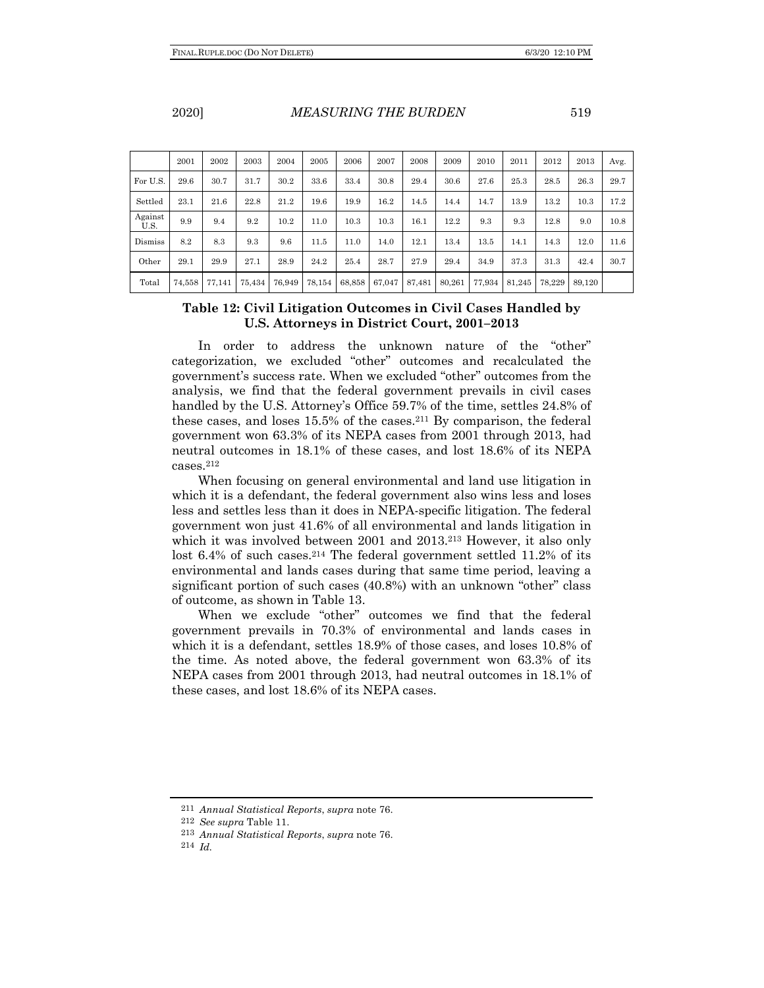|                 | 2001 | 2002 | 2003 | 2004     | 2005 | 2006 | 2007 | 2008 | 2009 | 2010 | 2011 | 2012 | 2013 | Avg. |
|-----------------|------|------|------|----------|------|------|------|------|------|------|------|------|------|------|
| For U.S.        | 29.6 | 30.7 | 31.7 | 30.2     | 33.6 | 33.4 | 30.8 | 29.4 | 30.6 | 27.6 | 25.3 | 28.5 | 26.3 | 29.7 |
| Settled         | 23.1 | 21.6 | 22.8 | 21.2     | 19.6 | 19.9 | 16.2 | 14.5 | 14.4 | 14.7 | 13.9 | 13.2 | 10.3 | 17.2 |
| Against<br>U.S. | 9.9  | 9.4  | 9.2  | $10.2\,$ | 11.0 | 10.3 | 10.3 | 16.1 | 12.2 | 9.3  | 9.3  | 12.8 | 9.0  | 10.8 |
| Dismiss         | 8.2  | 8.3  | 9.3  | 9.6      | 11.5 | 11.0 | 14.0 | 12.1 | 13.4 | 13.5 | 14.1 | 14.3 | 12.0 | 11.6 |
| Other           | 29.1 | 29.9 | 27.1 | 28.9     | 24.2 | 25.4 | 28.7 | 27.9 | 29.4 | 34.9 | 37.3 | 31.3 | 42.4 | 30.7 |

# **Table 12: Civil Litigation Outcomes in Civil Cases Handled by U.S. Attorneys in District Court, 2001–2013**

Total 74,558 77,141 75,434 76,949 78,154 68,858 67,047 87,481 80,261 77,934 81,245 78,229 89,120

In order to address the unknown nature of the "other" categorization, we excluded "other" outcomes and recalculated the government's success rate. When we excluded "other" outcomes from the analysis, we find that the federal government prevails in civil cases handled by the U.S. Attorney's Office 59.7% of the time, settles 24.8% of these cases, and loses 15.5% of the cases.211 By comparison, the federal government won 63.3% of its NEPA cases from 2001 through 2013, had neutral outcomes in 18.1% of these cases, and lost 18.6% of its NEPA cases.212

When focusing on general environmental and land use litigation in which it is a defendant, the federal government also wins less and loses less and settles less than it does in NEPA-specific litigation. The federal government won just 41.6% of all environmental and lands litigation in which it was involved between 2001 and 2013.<sup>213</sup> However, it also only lost 6.4% of such cases.214 The federal government settled 11.2% of its environmental and lands cases during that same time period, leaving a significant portion of such cases (40.8%) with an unknown "other" class of outcome, as shown in Table 13.

When we exclude "other" outcomes we find that the federal government prevails in 70.3% of environmental and lands cases in which it is a defendant, settles 18.9% of those cases, and loses 10.8% of the time. As noted above, the federal government won 63.3% of its NEPA cases from 2001 through 2013, had neutral outcomes in 18.1% of these cases, and lost 18.6% of its NEPA cases.

<sup>211</sup> *Annual Statistical Reports*, *supra* note 76.

<sup>212</sup> *See supra* Table 11.

<sup>213</sup> *Annual Statistical Reports*, *supra* note 76.

<sup>214</sup> *Id.*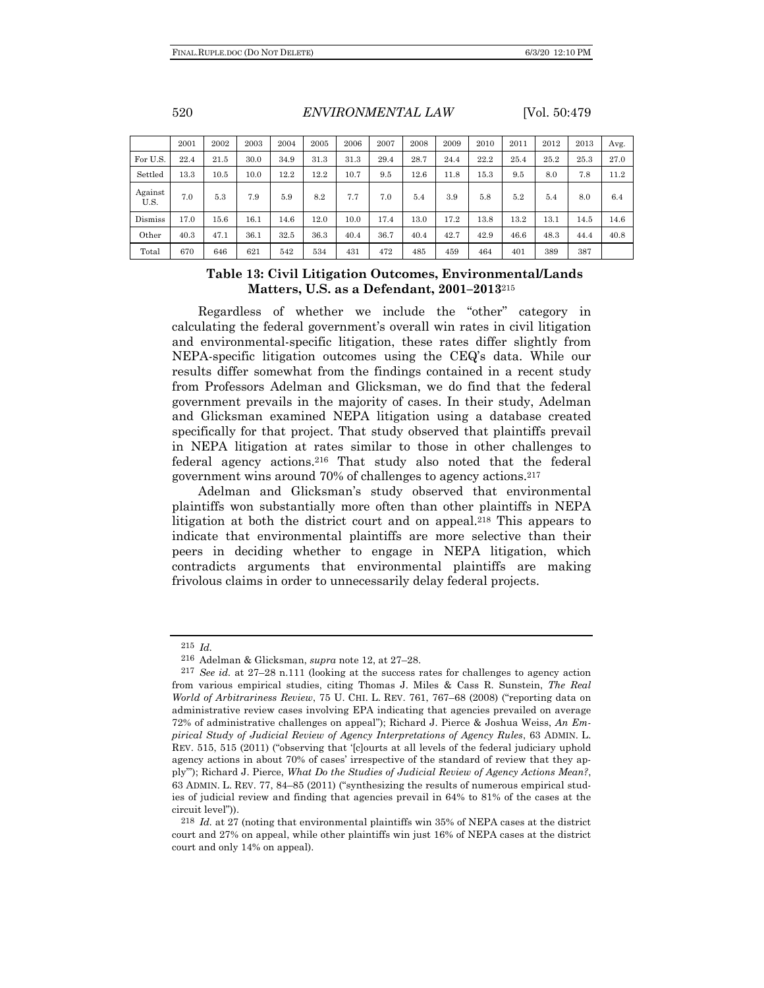|                 | 2001 | 2002 | 2003 | 2004 | 2005 | 2006 | 2007 | 2008 | 2009 | 2010 | 2011 | 2012 | 2013 | Avg. |
|-----------------|------|------|------|------|------|------|------|------|------|------|------|------|------|------|
| For U.S.        | 22.4 | 21.5 | 30.0 | 34.9 | 31.3 | 31.3 | 29.4 | 28.7 | 24.4 | 22.2 | 25.4 | 25.2 | 25.3 | 27.0 |
| Settled         | 13.3 | 10.5 | 10.0 | 12.2 | 12.2 | 10.7 | 9.5  | 12.6 | 11.8 | 15.3 | 9.5  | 8.0  | 7.8  | 11.2 |
| Against<br>U.S. | 7.0  | 5.3  | 7.9  | 5.9  | 8.2  | 7.7  | 7.0  | 5.4  | 3.9  | 5.8  | 5.2  | 5.4  | 8.0  | 6.4  |
| Dismiss         | 17.0 | 15.6 | 16.1 | 14.6 | 12.0 | 10.0 | 17.4 | 13.0 | 17.2 | 13.8 | 13.2 | 13.1 | 14.5 | 14.6 |
| Other           | 40.3 | 47.1 | 36.1 | 32.5 | 36.3 | 40.4 | 36.7 | 40.4 | 42.7 | 42.9 | 46.6 | 48.3 | 44.4 | 40.8 |
| Total           | 670  | 646  | 621  | 542  | 534  | 431  | 472  | 485  | 459  | 464  | 401  | 389  | 387  |      |

# **Table 13: Civil Litigation Outcomes, Environmental/Lands Matters, U.S. as a Defendant, 2001–2013**<sup>215</sup>

Regardless of whether we include the "other" category in calculating the federal government's overall win rates in civil litigation and environmental-specific litigation, these rates differ slightly from NEPA-specific litigation outcomes using the CEQ's data. While our results differ somewhat from the findings contained in a recent study from Professors Adelman and Glicksman, we do find that the federal government prevails in the majority of cases. In their study, Adelman and Glicksman examined NEPA litigation using a database created specifically for that project. That study observed that plaintiffs prevail in NEPA litigation at rates similar to those in other challenges to federal agency actions.216 That study also noted that the federal government wins around 70% of challenges to agency actions.217

Adelman and Glicksman's study observed that environmental plaintiffs won substantially more often than other plaintiffs in NEPA litigation at both the district court and on appeal.218 This appears to indicate that environmental plaintiffs are more selective than their peers in deciding whether to engage in NEPA litigation, which contradicts arguments that environmental plaintiffs are making frivolous claims in order to unnecessarily delay federal projects.

<sup>215</sup> *Id.*

<sup>216</sup> Adelman & Glicksman, *supra* note 12, at 27–28.

<sup>217</sup> *See id.* at 27–28 n.111 (looking at the success rates for challenges to agency action from various empirical studies, citing Thomas J. Miles & Cass R. Sunstein, *The Real World of Arbitrariness Review*, 75 U. CHI. L. REV. 761, 767–68 (2008) ("reporting data on administrative review cases involving EPA indicating that agencies prevailed on average 72% of administrative challenges on appeal"); Richard J. Pierce & Joshua Weiss, *An Empirical Study of Judicial Review of Agency Interpretations of Agency Rules*, 63 ADMIN. L. REV. 515, 515 (2011) ("observing that '[c]ourts at all levels of the federal judiciary uphold agency actions in about 70% of cases' irrespective of the standard of review that they apply'"); Richard J. Pierce, *What Do the Studies of Judicial Review of Agency Actions Mean?*, 63 ADMIN. L. REV. 77, 84–85 (2011) ("synthesizing the results of numerous empirical studies of judicial review and finding that agencies prevail in 64% to 81% of the cases at the circuit level")).

<sup>218</sup> *Id.* at 27 (noting that environmental plaintiffs win 35% of NEPA cases at the district court and 27% on appeal, while other plaintiffs win just 16% of NEPA cases at the district court and only 14% on appeal).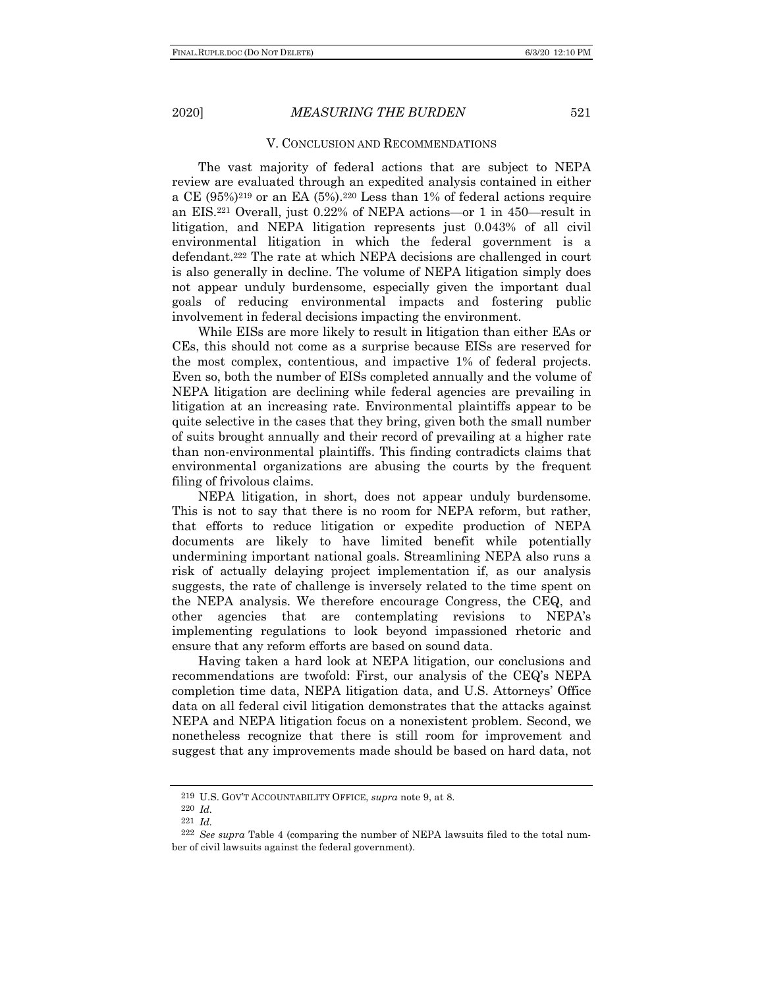#### V. CONCLUSION AND RECOMMENDATIONS

The vast majority of federal actions that are subject to NEPA review are evaluated through an expedited analysis contained in either a CE  $(95\%)^{219}$  or an EA  $(5\%)^{220}$  Less than 1% of federal actions require an EIS.221 Overall, just 0.22% of NEPA actions—or 1 in 450—result in litigation, and NEPA litigation represents just 0.043% of all civil environmental litigation in which the federal government is a defendant.222 The rate at which NEPA decisions are challenged in court is also generally in decline. The volume of NEPA litigation simply does not appear unduly burdensome, especially given the important dual goals of reducing environmental impacts and fostering public involvement in federal decisions impacting the environment.

While EISs are more likely to result in litigation than either EAs or CEs, this should not come as a surprise because EISs are reserved for the most complex, contentious, and impactive 1% of federal projects. Even so, both the number of EISs completed annually and the volume of NEPA litigation are declining while federal agencies are prevailing in litigation at an increasing rate. Environmental plaintiffs appear to be quite selective in the cases that they bring, given both the small number of suits brought annually and their record of prevailing at a higher rate than non-environmental plaintiffs. This finding contradicts claims that environmental organizations are abusing the courts by the frequent filing of frivolous claims.

NEPA litigation, in short, does not appear unduly burdensome. This is not to say that there is no room for NEPA reform, but rather, that efforts to reduce litigation or expedite production of NEPA documents are likely to have limited benefit while potentially undermining important national goals. Streamlining NEPA also runs a risk of actually delaying project implementation if, as our analysis suggests, the rate of challenge is inversely related to the time spent on the NEPA analysis. We therefore encourage Congress, the CEQ, and other agencies that are contemplating revisions to NEPA's implementing regulations to look beyond impassioned rhetoric and ensure that any reform efforts are based on sound data.

Having taken a hard look at NEPA litigation, our conclusions and recommendations are twofold: First, our analysis of the CEQ's NEPA completion time data, NEPA litigation data, and U.S. Attorneys' Office data on all federal civil litigation demonstrates that the attacks against NEPA and NEPA litigation focus on a nonexistent problem. Second, we nonetheless recognize that there is still room for improvement and suggest that any improvements made should be based on hard data, not

<sup>219</sup> U.S. GOV'T ACCOUNTABILITY OFFICE, *supra* note 9, at 8.

<sup>220</sup> *Id.*

<sup>221</sup> *Id.*

<sup>222</sup> *See supra* Table 4 (comparing the number of NEPA lawsuits filed to the total number of civil lawsuits against the federal government).